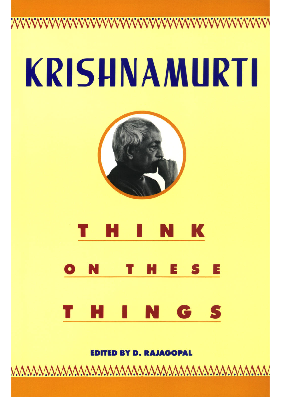# **KRISHNAMURTI**

<u>WWWWWWWWWWWWWWWWWWWWWWWWWWWW</u>







#### S G H N

**EDITED BY D. RAJAGOPAL** 

<u>WWWWWWWWWWWWWWWWWWWWWWWWW</u>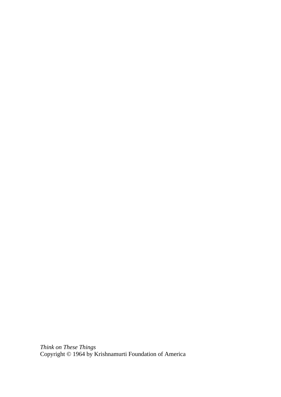*Think on These Things*  Copyright © 1964 by Krishnamurti Foundation of America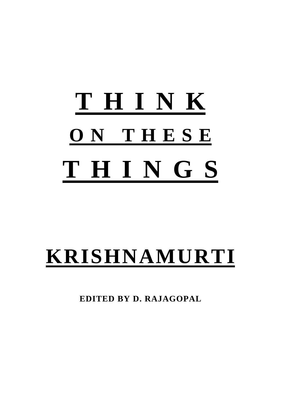## **THINK ON THESE THINGS**

## **KRISHNAMURTI**

**EDITED BY D. RAJAGOPAL**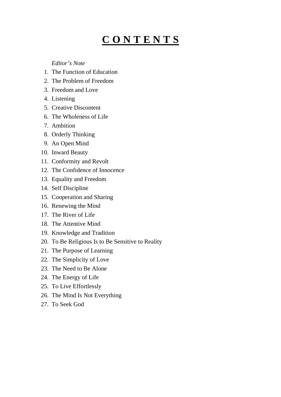### **CONTENTS**

*Editor's Note* 

- 1. The Function of Education
- 2. The Problem of Freedom
- 3. Freedom and Love
- 4. Listening
- 5. Creative Discontent
- 6. The Wholeness of Life
- 7. Ambition
- 8. Orderly Thinking
- 9. An Open Mind
- 10. Inward Beauty
- 11. Conformity and Revolt
- 12. The Confidence of Innocence
- 13. Equality and Freedom
- 14. Self Discipline
- 15. Cooperation and Sharing
- 16. Renewing the Mind
- 17. The River of Life
- 18. The Attentive Mind
- 19. Knowledge and Tradition
- 20. To Be Religious Is to Be Sensitive to Reality
- 21. The Purpose of Learning
- 22. The Simplicity of Love
- 23. The Need to Be Alone
- 24. The Energy of Life
- 25. To Live Effortlessly
- 26. The Mind Is Not Everything
- 27. To Seek God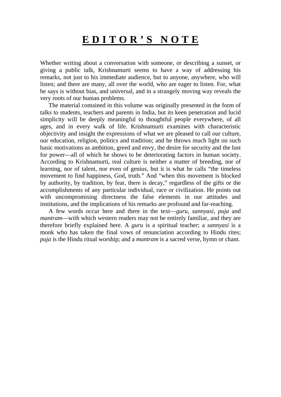#### **EDITOR'S NOTE**

Whether writing about a conversation with someone, or describing a sunset, or giving a public talk, Krishnamurti seems to have a way of addressing his remarks, not just to his immediate audience, but to anyone, anywhere, who will listen; and there are many, all over the world, who are eager to listen. For, what he says is without bias, and universal, and in a strangely moving way reveals the very roots of our human problems.

The material contained in this volume was originally presented in the form of talks to students, teachers and parents in India, but its keen penetration and lucid simplicity will be deeply meaningful to thoughtful people everywhere, of all ages, and in every walk of life. Krishnamurti examines with characteristic objectivity and insight the expressions of what we are pleased to call our culture, our education, religion, politics and tradition; and he throws much light on such basic motivations as ambition, greed and envy, the desire for security and the lust for power—all of which he shows to be deteriorating factors in human society. According to Krishnamurti, real culture is neither a matter of breeding, nor of learning, nor of talent, nor even of genius, but it is what he calls "the timeless movement to find happiness, God, truth." And "when this movement is blocked by authority, by tradition, by fear, there is decay," regardless of the gifts or the accomplishments of any particular individual, race or civilization. He points out with uncompromising directness the false elements in our attitudes and institutions, and the implications of his remarks are profound and far-reaching.

A few words occur here and there in the text—*guru*, *sannyasi*, *puja* and *mantram*—with which western readers may not be entirely familiar, and they are therefore briefly explained here. A *guru* is a spiritual teacher; a *sannyasi* is a monk who has taken the final vows of renunciation according to Hindu rites; *puja* is the Hindu ritual worship; and a *mantram* is a sacred verse, hymn or chant.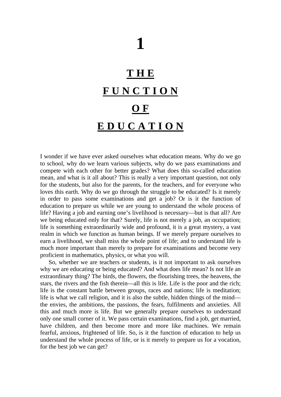## **1**

## **THE FUNCTION O F EDUCATION**

I wonder if we have ever asked ourselves what education means. Why do we go to school, why do we learn various subjects, why do we pass examinations and compete with each other for better grades? What does this so-called education mean, and what is it all about? This is really a very important question, not only for the students, but also for the parents, for the teachers, and for everyone who loves this earth. Why do we go through the struggle to be educated? Is it merely in order to pass some examinations and get a job? Or is it the function of education to prepare us while we are young to understand the whole process of life? Having a job and earning one's livelihood is necessary—but is that all? Are we being educated only for that? Surely, life is not merely a job, an occupation; life is something extraordinarily wide and profound, it is a great mystery, a vast realm in which we function as human beings. If we merely prepare ourselves to earn a livelihood, we shall miss the whole point of life; and to understand life is much more important than merely to prepare for examinations and become very proficient in mathematics, physics, or what you will.

So, whether we are teachers or students, is it not important to ask ourselves why we are educating or being educated? And what does life mean? Is not life an extraordinary thing? The birds, the flowers, the flourishing trees, the heavens, the stars, the rivers and the fish therein—all this is life. Life is the poor and the rich; life is the constant battle between groups, races and nations; life is meditation; life is what we call religion, and it is also the subtle, hidden things of the mind the envies, the ambitions, the passions, the fears, fulfilments and anxieties. All this and much more is life. But we generally prepare ourselves to understand only one small corner of it. We pass certain examinations, find a job, get married, have children, and then become more and more like machines. We remain fearful, anxious, frightened of life. So, is it the function of education to help us understand the whole process of life, or is it merely to prepare us for a vocation, for the best job we can get?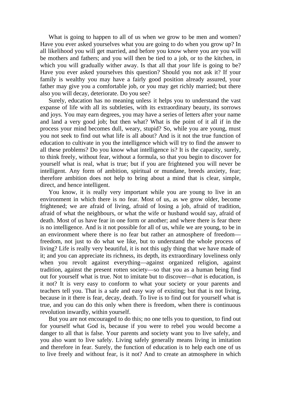What is going to happen to all of us when we grow to be men and women? Have you ever asked yourselves what you are going to do when you grow up? In all likelihood you will get married, and before you know where you are you will be mothers and fathers; and you will then be tied to a job, or to the kitchen, in which you will gradually wither away. Is that all that *your* life is going to be? Have you ever asked yourselves this question? Should you not ask it? If your family is wealthy you may have a fairly good position already assured, your father may give you a comfortable job, or you may get richly married; but there also you will decay, deteriorate. Do you see?

Surely, education has no meaning unless it helps you to understand the vast expanse of life with all its subtleties, with its extraordinary beauty, its sorrows and joys. You may earn degrees, you may have a series of letters after your name and land a very good job; but then what? What is the point of it all if in the process your mind becomes dull, weary, stupid? So, while you are young, must you not seek to find out what life is all about? And is it not the true function of education to cultivate in you the intelligence which will try to find the answer to all these problems? Do you know what intelligence is? It is the capacity, surely, to think freely, without fear, without a formula, so that you begin to discover for yourself what is real, what is true; but if you are frightened you will never be intelligent. Any form of ambition, spiritual or mundane, breeds anxiety, fear; therefore ambition does not help to bring about a mind that is clear, simple, direct, and hence intelligent.

You know, it is really very important while you are young to live in an environment in which there is no fear. Most of us, as we grow older, become frightened; we are afraid of living, afraid of losing a job, afraid of tradition, afraid of what the neighbours, or what the wife or husband would say, afraid of death. Most of us have fear in one form or another; and where there is fear there is no intelligence. And is it not possible for all of us, while we are young, to be in an environment where there is no fear but rather an atmosphere of freedom freedom, not just to do what we like, but to understand the whole process of living? Life is really very beautiful, it is not this ugly thing that we have made of it; and you can appreciate its richness, its depth, its extraordinary loveliness only when you revolt against everything—against organized religion, against tradition, against the present rotten society—so that you as a human being find out for yourself what is true. Not to imitate but to discover—*that* is education, is it not? It is very easy to conform to what your society or your parents and teachers tell you. That is a safe and easy way of existing; but that is not living, because in it there is fear, decay, death. To live is to find out for yourself what is true, and you can do this only when there is freedom, when there is continuous revolution inwardly, within yourself.

But you are not encouraged to do this; no one tells you to question, to find out for yourself what God is, because if you were to rebel you would become a danger to all that is false. Your parents and society want you to live safely, and you also want to live safely. Living safely generally means living in imitation and therefore in fear. Surely, the function of education is to help each one of us to live freely and without fear, is it not? And to create an atmosphere in which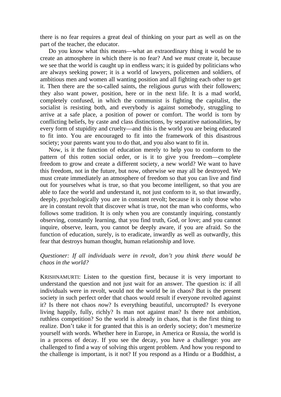there is no fear requires a great deal of thinking on your part as well as on the part of the teacher, the educator.

Do you know what this means—what an extraordinary thing it would be to create an atmosphere in which there is no fear? And we *must* create it, because we see that the world is caught up in endless wars; it is guided by politicians who are always seeking power; it is a world of lawyers, policemen and soldiers, of ambitious men and women all wanting position and all fighting each other to get it. Then there are the so-called saints, the religious *gurus* with their followers; they also want power, position, here or in the next life. It is a mad world, completely confused, in which the communist is fighting the capitalist, the socialist is resisting both, and everybody is against somebody, struggling to arrive at a safe place, a position of power or comfort. The world is torn by conflicting beliefs, by caste and class distinctions, by separative nationalities, by every form of stupidity and cruelty—and this is the world you are being educated to fit into. You are encouraged to fit into the framework of this disastrous society; your parents want you to do that, and you also want to fit in.

Now, is it the function of education merely to help you to conform to the pattern of this rotten social order, or is it to give you freedom—complete freedom to grow and create a different society, a new world? We want to have this freedom, not in the future, but now, otherwise we may all be destroyed. We must create immediately an atmosphere of freedom so that you can live and find out for yourselves what is true, so that you become intelligent, so that you are able to face the world and understand it, not just conform to it, so that inwardly, deeply, psychologically you are in constant revolt; because it is only those who are in constant revolt that discover what is true, not the man who conforms, who follows some tradition. It is only when you are constantly inquiring, constantly observing, constantly learning, that you find truth, God, or love; and you cannot inquire, observe, learn, you cannot be deeply aware, if you are afraid. So the function of education, surely, is to eradicate, inwardly as well as outwardly, this fear that destroys human thought, human relationship and love.

#### *Questioner: If all individuals were in revolt, don't you think there would be chaos in the world?*

KRISHNAMURTI: Listen to the question first, because it is very important to understand the question and not just wait for an answer. The question is: if all individuals were in revolt, would not the world be in chaos? But is the present society in such perfect order that chaos would result if everyone revolted against it? Is there not chaos *now*? Is everything beautiful, uncorrupted? Is everyone living happily, fully, richly? Is man not against man? Is there not ambition, ruthless competition? So the world is already in chaos, that is the first thing to realize. Don't take it for granted that this is an orderly society; don't mesmerize yourself with words. Whether here in Europe, in America or Russia, the world is in a process of decay. If you see the decay, you have a challenge: you are challenged to find a way of solving this urgent problem. And how you respond to the challenge is important, is it not? If you respond as a Hindu or a Buddhist, a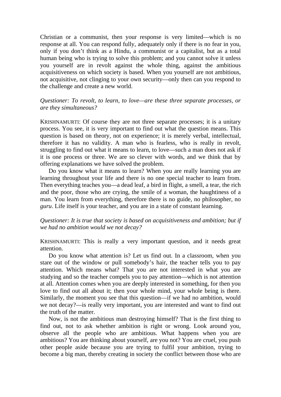Christian or a communist, then your response is very limited—which is no response at all. You can respond fully, adequately only if there is no fear in you, only if you don't think as a Hindu, a communist or a capitalist, but as a total human being who is trying to solve this problem; and you cannot solve it unless you yourself are in revolt against the whole thing, against the ambitious acquisitiveness on which society is based. When you yourself are not ambitious, not acquisitive, not clinging to your own security—only then can you respond to the challenge and create a new world.

#### *Questioner: To revolt, to learn, to love—are these three separate processes, or are they simultaneous?*

KRISHNAMURTI: Of course they are not three separate processes; it is a unitary process. You see, it is very important to find out what the question means. This question is based on theory, not on experience; it is merely verbal, intellectual, therefore it has no validity. A man who is fearless, who is really in revolt, struggling to find out what it means to learn, to love—such a man does not ask if it is one process or three. We are so clever with words, and we think that by offering explanations we have solved the problem.

Do you know what it means to learn? When you are really learning you are learning throughout your life and there is no one special teacher to learn from. Then everything teaches you—a dead leaf, a bird in flight, a smell, a tear, the rich and the poor, those who are crying, the smile of a woman, the haughtiness of a man. You learn from everything, therefore there is no guide, no philosopher, no *guru*. Life itself is your teacher, and you are in a state of constant learning.

#### *Questioner: It is true that society is based on acquisitiveness and ambition; but if we had no ambition would we not decay?*

KRISHNAMURTI: This is really a very important question, and it needs great attention.

Do you know what attention is? Let us find out. In a classroom, when you stare out of the window or pull somebody's hair, the teacher tells you to pay attention. Which means what? That you are not interested in what you are studying and so the teacher compels you to pay attention—which is not attention at all. Attention comes when you are deeply interested in something, for then you love to find out all about it; then your whole mind, your whole being is there. Similarly, the moment you see that this question—if we had no ambition, would we not decay?—is really very important, you are interested and want to find out the truth of the matter.

Now, is not the ambitious man destroying himself? That is the first thing to find out, not to ask whether ambition is right or wrong. Look around you, observe all the people who are ambitious. What happens when you are ambitious? You are thinking about yourself, are you not? You are cruel, you push other people aside because you are trying to fulfil your ambition, trying to become a big man, thereby creating in society the conflict between those who are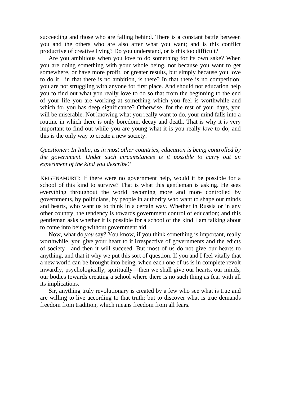succeeding and those who are falling behind. There is a constant battle between you and the others who are also after what you want; and is this conflict productive of creative living? Do you understand, or is this too difficult?

Are you ambitious when you love to do something for its own sake? When you are doing something with your whole being, not because you want to get somewhere, or have more profit, or greater results, but simply because you love to do it—in that there is no ambition, is there? In that there is no competition; you are not struggling with anyone for first place. And should not education help you to find out what you really love to do so that from the beginning to the end of your life you are working at something which you feel is worthwhile and which for you has deep significance? Otherwise, for the rest of your days, you will be miserable. Not knowing what you really want to do, your mind falls into a routine in which there is only boredom, decay and death. That is why it is very important to find out while you are young what it is you really *love* to do; and this is the only way to create a new society.

*Questioner: In India, as in most other countries, education is being controlled by the government. Under such circumstances is it possible to carry out an experiment of the kind you describe?* 

KRISHNAMURTI: If there were no government help, would it be possible for a school of this kind to survive? That is what this gentleman is asking. He sees everything throughout the world becoming more and more controlled by governments, by politicians, by people in authority who want to shape our minds and hearts, who want us to think in a certain way. Whether in Russia or in any other country, the tendency is towards government control of education; and this gentleman asks whether it is possible for a school of the kind I am talking about to come into being without government aid.

Now, what do *you* say? You know, if you think something is important, really worthwhile, you give your heart to it irrespective of governments and the edicts of society—and then it will succeed. But most of us do not give our hearts to anything, and that it why we put this sort of question. If you and I feel vitally that a new world can be brought into being, when each one of us is in complete revolt inwardly, psychologically, spiritually—then we shall give our hearts, our minds, our bodies towards creating a school where there is no such thing as fear with all its implications.

Sir, anything truly revolutionary is created by a few who see what is true and are willing to live according to that truth; but to discover what is true demands freedom from tradition, which means freedom from all fears.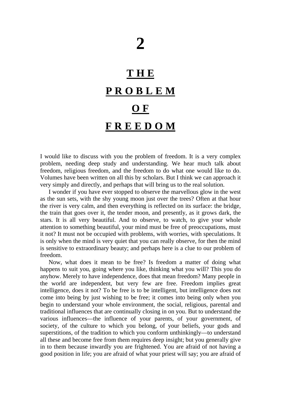## **THE PROBLEM O F FREEDOM**

I would like to discuss with you the problem of freedom. It is a very complex problem, needing deep study and understanding. We hear much talk about freedom, religious freedom, and the freedom to do what one would like to do. Volumes have been written on all this by scholars. But I think we can approach it very simply and directly, and perhaps that will bring us to the real solution.

I wonder if you have ever stopped to observe the marvellous glow in the west as the sun sets, with the shy young moon just over the trees? Often at that hour the river is very calm, and then everything is reflected on its surface: the bridge, the train that goes over it, the tender moon, and presently, as it grows dark, the stars. It is all very beautiful. And to observe, to watch, to give your whole attention to something beautiful, your mind must be free of preoccupations, must it not? It must not be occupied with problems, with worries, with speculations. It is only when the mind is very quiet that you can really observe, for then the mind is sensitive to extraordinary beauty; and perhaps here is a clue to our problem of freedom.

Now, what does it mean to be free? Is freedom a matter of doing what happens to suit you, going where you like, thinking what you will? This you do anyhow. Merely to have independence, does that mean freedom? Many people in the world are independent, but very few are free. Freedom implies great intelligence, does it not? To be free is to be intelligent, but intelligence does not come into being by just wishing to be free; it comes into being only when you begin to understand your whole environment, the social, religious, parental and traditional influences that are continually closing in on you. But to understand the various influences—the influence of your parents, of your government, of society, of the culture to which you belong, of your beliefs, your gods and superstitions, of the tradition to which you conform unthinkingly—to understand all these and become free from them requires deep insight; but you generally give in to them because inwardly you are frightened. You are afraid of not having a good position in life; you are afraid of what your priest will say; you are afraid of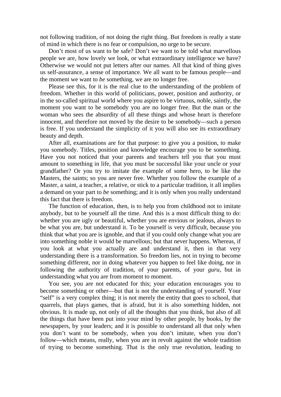not following tradition, of not doing the right thing. But freedom is really a state of mind in which there is no fear or compulsion, no urge to be secure.

Don't most of us want to be safe? Don't we want to be told what marvellous people we are, how lovely we look, or what extraordinary intelligence we have? Otherwise we would not put letters after our names. All that kind of thing gives us self-assurance, a sense of importance. We all want to be famous people—and the moment we want to *be* something, we are no longer free.

Please see this, for it is the real clue to the understanding of the problem of freedom. Whether in this world of politicians, power, position and authority, or in the so-called spiritual world where you aspire to be virtuous, noble, saintly, the moment you want to be somebody you are no longer free. But the man or the woman who sees the absurdity of all these things and whose heart is therefore innocent, and therefore not moved by the desire to be somebody—such a person is free. If you understand the simplicity of it you will also see its extraordinary beauty and depth.

After all, examinations are for that purpose: to give you a position, to make you somebody. Titles, position and knowledge encourage you to be something. Have you not noticed that your parents and teachers tell you that you must amount to something in life, that you must be successful like your uncle or your grandfather? Or you try to imitate the example of some hero, to be like the Masters, the saints; so you are never free. Whether you follow the example of a Master, a saint, a teacher, a relative, or stick to a particular tradition, it all implies a demand on your part to *be* something; and it is only when you really understand this fact that there is freedom.

The function of education, then, is to help you from childhood not to imitate anybody, but to be yourself all the time. And this is a most difficult thing to do: whether you are ugly or beautiful, whether you are envious or jealous, always to be what you are, but understand it. To be yourself is very difficult, because you think that what you are is ignoble, and that if you could only change what you are into something noble it would be marvellous; but that never happens. Whereas, if you look at what you actually are and understand it, then in that very understanding there is a transformation. So freedom lies, not in trying to become something different, nor in doing whatever you happen to feel like doing, nor in following the authority of tradition, of your parents, of your *guru*, but in understanding what you are from moment to moment.

You see, you are not educated for this; your education encourages you to become something or other—but that is not the understanding of yourself. Your "self" is a very complex thing; it is not merely the entity that goes to school, that quarrels, that plays games, that is afraid, but it is also something hidden, not obvious. It is made up, not only of all the thoughts that you think, but also of all the things that have been put into your mind by other people, by books, by the newspapers, by your leaders; and it is possible to understand all that only when you don't want to be somebody, when you don't imitate, when you don't follow—which means, really, when you are in revolt against the whole tradition of trying to become something. That is the only true revolution, leading to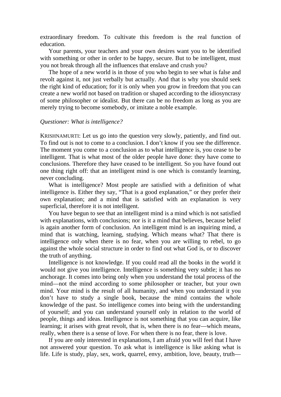extraordinary freedom. To cultivate this freedom is the real function of education.

Your parents, your teachers and your own desires want you to be identified with something or other in order to be happy, secure. But to be intelligent, must you not break through all the influences that enslave and crush you?

The hope of a new world is in those of you who begin to see what is false and revolt against it, not just verbally but actually. And that is why you should seek the right kind of education; for it is only when you grow in freedom that you can create a new world not based on tradition or shaped according to the idiosyncrasy of some philosopher or idealist. But there can be no freedom as long as you are merely trying to become somebody, or imitate a noble example.

#### *Questioner: What is intelligence?*

KRISHNAMURTI: Let us go into the question very slowly, patiently, and find out. To find out is not to come to a conclusion. I don't know if you see the difference. The moment you come to a conclusion as to what intelligence is, you cease to be intelligent. That is what most of the older people have done: they have come to conclusions. Therefore they have ceased to be intelligent. So you have found out one thing right off: that an intelligent mind is one which is constantly learning, never concluding.

What is intelligence? Most people are satisfied with a definition of what intelligence is. Either they say, "That is a good explanation," or they prefer their own explanation; and a mind that is satisfied with an explanation is very superficial, therefore it is not intelligent.

You have begun to see that an intelligent mind is a mind which is not satisfied with explanations, with conclusions; nor is it a mind that believes, because belief is again another form of conclusion. An intelligent mind is an inquiring mind, a mind that is watching, learning, studying. Which means what? That there is intelligence only when there is no fear, when you are willing to rebel, to go against the whole social structure in order to find out what God is, or to discover the truth of anything.

Intelligence is not knowledge. If you could read all the books in the world it would not give you intelligence. Intelligence is something very subtle; it has no anchorage. It comes into being only when you understand the total process of the mind—not the mind according to some philosopher or teacher, but your own mind. Your mind is the result of all humanity, and when you understand it you don't have to study a single book, because the mind contains the whole knowledge of the past. So intelligence comes into being with the understanding of yourself; and you can understand yourself only in relation to the world of people, things and ideas. Intelligence is not something that you can acquire, like learning; it arises with great revolt, that is, when there is no fear—which means, really, when there is a sense of love. For when there is no fear, there is love.

If you are only interested in explanations, I am afraid you will feel that I have not answered your question. To ask what is intelligence is like asking what is life. Life is study, play, sex, work, quarrel, envy, ambition, love, beauty, truth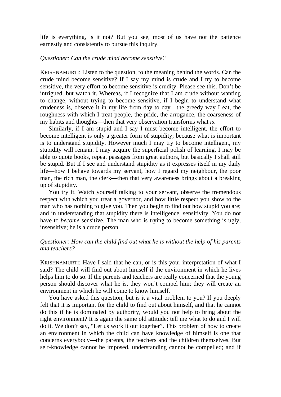life is everything, is it not? But you see, most of us have not the patience earnestly and consistently to pursue this inquiry.

#### *Questioner: Can the crude mind become sensitive?*

KRISHNAMURTI: Listen to the question, to the meaning behind the words. Can the crude mind become sensitive? If I say my mind is crude and I try to become sensitive, the very effort to become sensitive is crudity. Please see this. Don't be intrigued, but watch it. Whereas, if I recognize that I am crude without wanting to change, without trying to become sensitive, if I begin to understand what crudeness is, observe it in my life from day to day—the greedy way I eat, the roughness with which I treat people, the pride, the arrogance, the coarseness of my habits and thoughts—then that very observation transforms what *is*.

Similarly, if I am stupid and I say I must become intelligent, the effort to become intelligent is only a greater form of stupidity; because what is important is to understand stupidity. However much I may try to become intelligent, my stupidity will remain. I may acquire the superficial polish of learning, I may be able to quote books, repeat passages from great authors, but basically I shall still be stupid. But if I see and understand stupidity as it expresses itself in my daily life—how I behave towards my servant, how I regard my neighbour, the poor man, the rich man, the clerk—then that very awareness brings about a breaking up of stupidity.

You try it. Watch yourself talking to your servant, observe the tremendous respect with which you treat a governor, and how little respect you show to the man who has nothing to give you. Then you begin to find out how stupid you are; and in understanding that stupidity there is intelligence, sensitivity. You do not have to *become* sensitive. The man who is trying to become something is ugly, insensitive; he is a crude person.

#### *Questioner: How can the child find out what he is without the help of his parents and teachers?*

KRISHNAMURTI: Have I said that he can, or is this your interpretation of what I said? The child will find out about himself if the environment in which he lives helps him to do so. If the parents and teachers are really concerned that the young person should discover what he is, they won't compel him; they will create an environment in which he will come to know himself.

You have asked this question; but is it a vital problem to you? If you deeply felt that it is important for the child to find out about himself, and that he cannot do this if he is dominated by authority, would you not help to bring about the right environment? It is again the same old attitude: tell me what to do and I will do it. We don't say, "Let us work it out together". This problem of how to create an environment in which the child can have knowledge of himself is one that concerns everybody—the parents, the teachers and the children themselves. But self-knowledge cannot be imposed, understanding cannot be compelled; and if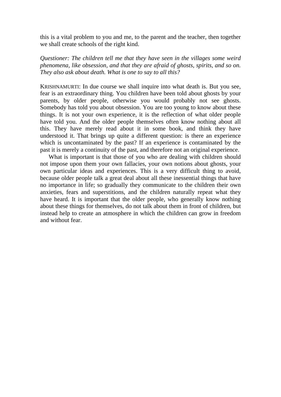this is a vital problem to you and me, to the parent and the teacher, then together we shall create schools of the right kind.

*Questioner: The children tell me that they have seen in the villages some weird phenomena, like obsession, and that they are afraid of ghosts, spirits, and so on. They also ask about death. What is one to say to all this?* 

KRISHNAMURTI: In due course we shall inquire into what death is. But you see, fear is an extraordinary thing. You children have been told about ghosts by your parents, by older people, otherwise you would probably not see ghosts. Somebody has told you about obsession. You are too young to know about these things. It is not your own experience, it is the reflection of what older people have told you. And the older people themselves often know nothing about all this. They have merely read about it in some book, and think they have understood it. That brings up quite a different question: is there an experience which is uncontaminated by the past? If an experience is contaminated by the past it is merely a continuity of the past, and therefore not an original experience.

What is important is that those of you who are dealing with children should not impose upon them your own fallacies, your own notions about ghosts, your own particular ideas and experiences. This is a very difficult thing to avoid, because older people talk a great deal about all these inessential things that have no importance in life; so gradually they communicate to the children their own anxieties, fears and superstitions, and the children naturally repeat what they have heard. It is important that the older people, who generally know nothing about these things for themselves, do not talk about them in front of children, but instead help to create an atmosphere in which the children can grow in freedom and without fear.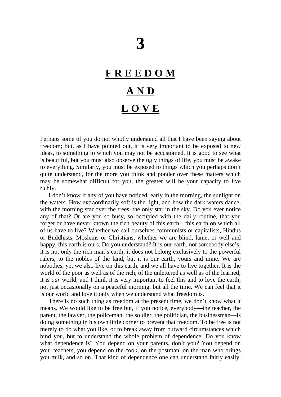## **FREEDOM AND LOVE**

Perhaps some of you do not wholly understand all that I have been saying about freedom; but, as I have pointed out, it is very important to be exposed to new ideas, to something to which you may not be accustomed. It is good to see what is beautiful, but you must also observe the ugly things of life, you must be awake to everything. Similarly, you must be exposed to things which you perhaps don't quite understand, for the more you think and ponder over these matters which may be somewhat difficult for you, the greater will be your capacity to live richly.

I don't know if any of you have noticed, early in the morning, the sunlight on the waters. How extraordinarily soft is the light, and how the dark waters dance, with the morning star over the trees, the only star in the sky. Do you ever notice any of that? Or are you so busy, so occupied with the daily routine, that you forget or have never known the rich beauty of this earth—this earth on which all of us have to live? Whether we call ourselves communists or capitalists, Hindus or Buddhists, Moslems or Christians, whether we are blind, lame, or well and happy, this earth is ours. Do you understand? It is our earth, not somebody else's; it is not only the rich man's earth, it does not belong exclusively to the powerful rulers, to the nobles of the land, but it is our earth, yours and mine. We are nobodies, yet we also live on this earth, and we all have to live together. It is the world of the poor as well as of the rich, of the unlettered as well as of the learned; it is *our* world, and I think it is very important to feel this and to love the earth, not just occasionally on a peaceful morning, but all the time. We can feel that it is our world and love it only when we understand what freedom is.

There is no such thing as freedom at the present time, we don't know what it means. We would like to be free but, if you notice, everybody—the teacher, the parent, the lawyer, the policeman, the soldier, the politician, the businessman—is doing something in his own little corner to prevent that freedom. To be free is not merely to do what you like, or to break away from outward circumstances which bind you, but to understand the whole problem of dependence. Do you know what dependence is? You depend on your parents, don't you? You depend on your teachers, you depend on the cook, on the postman, on the man who brings you milk, and so on. That kind of dependence one can understand fairly easily.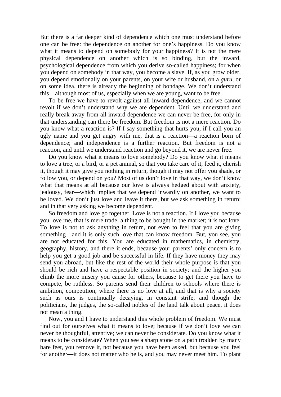But there is a far deeper kind of dependence which one must understand before one can be free: the dependence on another for one's happiness. Do you know what it means to depend on somebody for your happiness? It is not the mere physical dependence on another which is so binding, but the inward, psychological dependence from which you derive so-called happiness; for when you depend on somebody in that way, you become a slave. If, as you grow older, you depend emotionally on your parents, on your wife or husband, on a *guru*, or on some idea, there is already the beginning of bondage. We don't understand this—although most of us, especially when we are young, want to be free.

To be free we have to revolt against all inward dependence, and we cannot revolt if we don't understand why we are dependent. Until we understand and really break away from all inward dependence we can never be free, for only in that understanding can there be freedom. But freedom is not a mere reaction. Do you know what a reaction is? If I say something that hurts you, if I call you an ugly name and you get angry with me, that is a reaction—a reaction born of dependence; and independence is a further reaction. But freedom is not a reaction, and until we understand reaction and go beyond it, we are never free.

Do you know what it means to love somebody? Do you know what it means to love a tree, or a bird, or a pet animal, so that you take care of it, feed it, cherish it, though it may give you nothing in return, though it may not offer you shade, or follow you, or depend on you? Most of us don't love in that way, we don't know what that means at all because our love is always hedged about with anxiety, jealousy, fear—which implies that we depend inwardly on another, we want to be loved. We don't just love and leave it there, but we ask something in return; and in that very asking we become dependent.

So freedom and love go together. Love is not a reaction. If I love you because you love me, that is mere trade, a thing to be bought in the market; it is not love. To love is not to ask anything in return, not even to feel that you are giving something—and it is only such love that can know freedom. But, you see, you are not educated for this. You are educated in mathematics, in chemistry, geography, history, and there it ends, because your parents' only concern is to help you get a good job and be successful in life. If they have money they may send you abroad, but like the rest of the world their whole purpose is that you should be rich and have a respectable position in society; and the higher you climb the more misery you cause for others, because to get there you have to compete, be ruthless. So parents send their children to schools where there is ambition, competition, where there is no love at all, and that is why a society such as ours is continually decaying, in constant strife; and though the politicians, the judges, the so-called nobles of the land talk about peace, it does not mean a thing.

Now, you and I have to understand this whole problem of freedom. We must find out for ourselves what it means to love; because if we don't love we can never be thoughtful, attentive; we can never be considerate. Do you know what it means to be considerate? When you see a sharp stone on a path trodden by many bare feet, you remove it, not because you have been asked, but because you feel for another—it does not matter who he is, and you may never meet him. To plant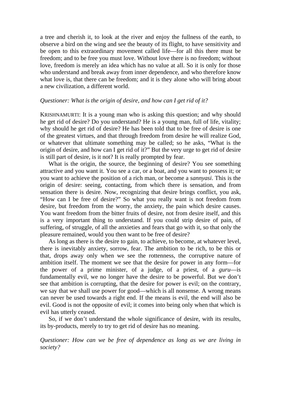a tree and cherish it, to look at the river and enjoy the fullness of the earth, to observe a bird on the wing and see the beauty of its flight, to have sensitivity and be open to this extraordinary movement called life—for all this there must be freedom; and to be free you must love. Without love there is no freedom; without love, freedom is merely an idea which has no value at all. So it is only for those who understand and break away from inner dependence, and who therefore know what love is, that there can be freedom; and it is they alone who will bring about a new civilization, a different world.

#### *Questioner: What is the origin of desire, and how can I get rid of it?*

KRISHNAMURTI: It is a young man who is asking this question; and why should he get rid of desire? Do you understand? He is a young man, full of life, vitality; why should he get rid of desire? He has been told that to be free of desire is one of the greatest virtues, and that through freedom from desire he will realize God, or whatever that ultimate something may be called; so he asks, "What is the origin of desire, and how can I get rid of it?" But the very urge to get rid of desire is still part of desire, is it not? It is really prompted by fear.

What is the origin, the source, the beginning of desire? You see something attractive and you want it. You see a car, or a boat, and you want to possess it; or you want to achieve the position of a rich man, or become a *sannyasi*. This is the origin of desire: seeing, contacting, from which there is sensation, and from sensation there is desire. Now, recognizing that desire brings conflict, you ask, "How can I be free of desire?" So what you really want is not freedom from desire, but freedom from the worry, the anxiety, the pain which desire causes. You want freedom from the bitter fruits of desire, not from desire itself, and this is a very important thing to understand. If you could strip desire of pain, of suffering, of struggle, of all the anxieties and fears that go with it, so that only the pleasure remained, would you then want to be free of desire?

As long as there is the desire to gain, to achieve, to become, at whatever level, there is inevitably anxiety, sorrow, fear. The ambition to be rich, to be this or that, drops away only when we see the rottenness, the corruptive nature of ambition itself. The moment we see that the desire for power in any form—for the power of a prime minister, of a judge, of a priest, of a *guru*—is fundamentally evil, we no longer have the desire to be powerful. But we don't see that ambition is corrupting, that the desire for power is evil; on the contrary, we say that we shall use power for good—which is all nonsense. A wrong means can never be used towards a right end. If the means is evil, the end will also be evil. Good is not the opposite of evil; it comes into being only when that which is evil has utterly ceased.

So, if we don't understand the whole significance of desire, with its results, its by-products, merely to try to get rid of desire has no meaning.

*Questioner: How can we be free of dependence as long as we are living in society?*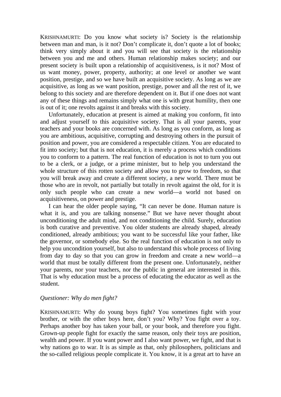KRISHNAMURTI: Do you know what society is? Society is the relationship between man and man, is it not? Don't complicate it, don't quote a lot of books; think very simply about it and you will see that society is the relationship between you and me and others. Human relationship makes society; and our present society is built upon a relationship of acquisitiveness, is it not? Most of us want money, power, property, authority; at one level or another we want position, prestige, and so we have built an acquisitive society. As long as we are acquisitive, as long as we want position, prestige, power and all the rest of it, we belong to this society and are therefore dependent on it. But if one does not want any of these things and remains simply what one is with great humility, then one is out of it; one revolts against it and breaks with this society.

Unfortunately, education at present is aimed at making you conform, fit into and adjust yourself to this acquisitive society. That is all your parents, your teachers and your books are concerned with. As long as you conform, as long as you are ambitious, acquisitive, corrupting and destroying others in the pursuit of position and power, you are considered a respectable citizen. You are educated to fit into society; but that is not education, it is merely a process which conditions you to conform to a pattern. The real function of education is not to turn you out to be a clerk, or a judge, or a prime minister, but to help you understand the whole structure of this rotten society and allow you to grow to freedom, so that you will break away and create a different society, a new world. There must be those who are in revolt, not partially but totally in revolt against the old, for it is only such people who can create a new world—a world not based on acquisitiveness, on power and prestige.

I can hear the older people saying, "It can never be done. Human nature is what it is, and you are talking nonsense." But we have never thought about unconditioning the adult mind, and not conditioning the child. Surely, education is both curative and preventive. You older students are already shaped, already conditioned, already ambitious; you want to be successful like your father, like the governor, or somebody else. So the real function of education is not only to help you uncondition yourself, but also to understand this whole process of living from day to day so that you can grow in freedom and create a new world—a world that must be totally different from the present one. Unfortunately, neither your parents, nor your teachers, nor the public in general are interested in this. That is why education must be a process of educating the educator as well as the student.

#### *Questioner: Why do men fight?*

KRISHNAMURTI: Why do young boys fight? You sometimes fight with your brother, or with the other boys here, don't you? Why? You fight over a toy. Perhaps another boy has taken your ball, or your book, and therefore you fight. Grown-up people fight for exactly the same reason, only their toys are position, wealth and power. If you want power and I also want power, we fight, and that is why nations go to war. It is as simple as that, only philosophers, politicians and the so-called religious people complicate it. You know, it is a great art to have an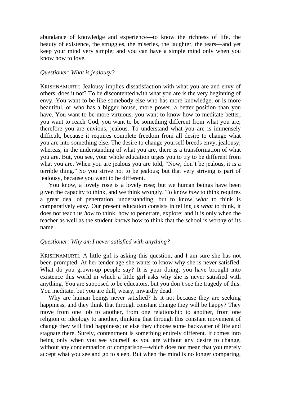abundance of knowledge and experience—to know the richness of life, the beauty of existence, the struggles, the miseries, the laughter, the tears—and yet keep your mind very simple; and you can have a simple mind only when you know how to love.

#### *Questioner: What is jealousy?*

KRISHNAMURTI: Jealousy implies dissatisfaction with what you are and envy of others, does it not? To be discontented with what you are is the very beginning of envy. You want to be like somebody else who has more knowledge, or is more beautiful, or who has a bigger house, more power, a better position than you have. You want to be more virtuous, you want to know how to meditate better, you want to reach God, you want to be something different from what you are; therefore you are envious, jealous. To understand what you are is immensely difficult, because it requires complete freedom from all desire to change what you are into something else. The desire to change yourself breeds envy, jealousy; whereas, in the understanding of what you are, there is a transformation of what you are. But, you see, your whole education urges you to try to be different from what you are. When you are jealous you are told, "Now, don't be jealous, it is a terrible thing." So you strive not to be jealous; but that very striving is part of jealousy, because you want to be different.

You know, a lovely rose is a lovely rose; but we human beings have been given the capacity to think, and we think wrongly. To know *how* to think requires a great deal of penetration, understanding, but to know *what* to think is comparatively easy. Our present education consists in telling us *what* to think, it does not teach us *how* to think, how to penetrate, explore; and it is only when the teacher as well as the student knows how to think that the school is worthy of its name.

#### *Questioner: Why am I never satisfied with anything?*

KRISHNAMURTI: A little girl is asking this question, and I am sure she has not been prompted. At her tender age she wants to know why she is never satisfied. What do you grown-up people say? It is your doing; you have brought into existence this world in which a little girl asks why she is never satisfied with anything. You are supposed to be educators, but you don't see the tragedy of this. You meditate, but you are dull, weary, inwardly dead.

Why are human beings never satisfied? Is it not because they are seeking happiness, and they think that through constant change they will be happy? They move from one job to another, from one relationship to another, from one religion or ideology to another, thinking that through this constant movement of change they will find happiness; or else they choose some backwater of life and stagnate there. Surely, contentment is something entirely different. It comes into being only when you see yourself as you are without any desire to change, without any condemnation or comparison—which does not mean that you merely accept what you see and go to sleep. But when the mind is no longer comparing,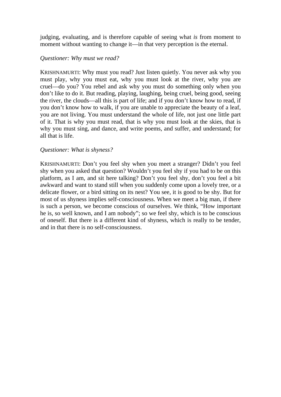judging, evaluating, and is therefore capable of seeing what *is* from moment to moment without wanting to change it—in that very perception is the eternal.

#### *Questioner: Why must we read?*

KRISHNAMURTI: Why must you read? Just listen quietly. You never ask why you must play, why you must eat, why you must look at the river, why you are cruel—do you? You rebel and ask why you must do something only when you don't like to do it. But reading, playing, laughing, being cruel, being good, seeing the river, the clouds—all this is part of life; and if you don't know how to read, if you don't know how to walk, if you are unable to appreciate the beauty of a leaf, you are not living. You must understand the whole of life, not just one little part of it. That is why you must read, that is why you must look at the skies, that is why you must sing, and dance, and write poems, and suffer, and understand; for all that is life.

#### *Questioner: What is shyness?*

KRISHNAMURTI: Don't you feel shy when you meet a stranger? Didn't you feel shy when you asked that question? Wouldn't you feel shy if you had to be on this platform, as I am, and sit here talking? Don't you feel shy, don't you feel a bit awkward and want to stand still when you suddenly come upon a lovely tree, or a delicate flower, or a bird sitting on its nest? You see, it is good to be shy. But for most of us shyness implies self-consciousness. When we meet a big man, if there is such a person, we become conscious of ourselves. We think, "How important he is, so well known, and I am nobody"; so we feel shy, which is to be conscious of oneself. But there is a different kind of shyness, which is really to be tender, and in that there is no self-consciousness.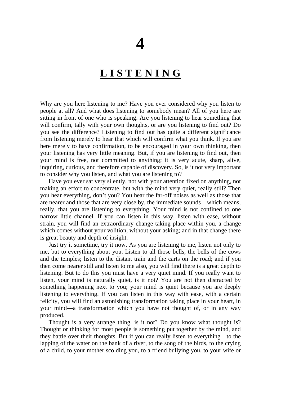#### **LISTENING**

Why are you here listening to me? Have you ever considered why you listen to people at all? And what does listening to somebody mean? All of you here are sitting in front of one who is speaking. Are you listening to hear something that will confirm, tally with your own thoughts, or are you listening to find out? Do you see the difference? Listening to find out has quite a different significance from listening merely to hear that which will confirm what you think. If you are here merely to have confirmation, to be encouraged in your own thinking, then your listening has very little meaning. But, if you are listening to find out, then your mind is free, not committed to anything; it is very acute, sharp, alive, inquiring, curious, and therefore capable of discovery. So, is it not very important to consider why you listen, and what you are listening to?

Have you ever sat very silently, not with your attention fixed on anything, not making an effort to concentrate, but with the mind very quiet, really still? Then you hear everything, don't you? You hear the far-off noises as well as those that are nearer and those that are very close by, the immediate sounds—which means, really, that you are listening to everything. Your mind is not confined to one narrow little channel. If you can listen in this way, listen with ease, without strain, you will find an extraordinary change taking place within you, a change which comes without your volition, without your asking; and in that change there is great beauty and depth of insight.

Just try it sometime, try it now. As you are listening to me, listen not only to me, but to everything about you. Listen to all those bells, the bells of the cows and the temples; listen to the distant train and the carts on the road; and if you then come nearer still and listen to me also, you will find there is a great depth to listening. But to do this you must have a very quiet mind. If you really want to listen, your mind is naturally quiet, is it not? You are not then distracted by something happening next to you; your mind is quiet because you are deeply listening to everything. If you can listen in this way with ease, with a certain felicity, you will find an astonishing transformation taking place in your heart, in your mind—a transformation which you have not thought of, or in any way produced.

Thought is a very strange thing, is it not? Do you know what thought is? Thought or thinking for most people is something put together by the mind, and they battle over their thoughts. But if you can really listen to everything—to the lapping of the water on the bank of a river, to the song of the birds, to the crying of a child, to your mother scolding you, to a friend bullying you, to your wife or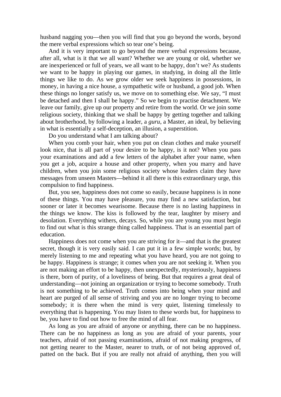husband nagging you—then you will find that you go beyond the words, beyond the mere verbal expressions which so tear one's being.

And it is very important to go beyond the mere verbal expressions because, after all, what is it that we all want? Whether we are young or old, whether we are inexperienced or full of years, we all want to be happy, don't we? As students we want to be happy in playing our games, in studying, in doing all the little things we like to do. As we grow older we seek happiness in possessions, in money, in having a nice house, a sympathetic wife or husband, a good job. When these things no longer satisfy us, we move on to something else. We say, "I must be detached and then I shall be happy." So we begin to practise detachment. We leave our family, give up our property and retire from the world. Or we join some religious society, thinking that we shall be happy by getting together and talking about brotherhood, by following a leader, a *guru*, a Master, an ideal, by believing in what is essentially a self-deception, an illusion, a superstition.

Do you understand what I am talking about?

When you comb your hair, when you put on clean clothes and make yourself look nice, that is all part of your desire to be happy, is it not? When you pass your examinations and add a few letters of the alphabet after your name, when you get a job, acquire a house and other property, when you marry and have children, when you join some religious society whose leaders claim they have messages from unseen Masters—behind it all there is this extraordinary urge, this compulsion to find happiness.

But, you see, happiness does not come so easily, because happiness is in none of these things. You may have pleasure, you may find a new satisfaction, but sooner or later it becomes wearisome. Because there is no lasting happiness in the things we know. The kiss is followed by the tear, laughter by misery and desolation. Everything withers, decays. So, while you are young you must begin to find out what is this strange thing called happiness. That is an essential part of education.

Happiness does not come when you are striving for it—and that is the greatest secret, though it is very easily said. I can put it in a few simple words; but, by merely listening to me and repeating what you have heard, you are not going to be happy. Happiness is strange; it comes when you are not seeking it. When you are not making an effort to be happy, then unexpectedly, mysteriously, happiness is there, born of purity, of a loveliness of being. But that requires a great deal of understanding—not joining an organization or trying to become somebody. Truth is not something to be achieved. Truth comes into being when your mind and heart are purged of all sense of striving and you are no longer trying to become somebody; it is there when the mind is very quiet, listening timelessly to everything that is happening. You may listen to these words but, for happiness to be, you have to find out how to free the mind of all fear.

As long as you are afraid of anyone or anything, there can be no happiness. There can be no happiness as long as you are afraid of your parents, your teachers, afraid of not passing examinations, afraid of not making progress, of not getting nearer to the Master, nearer to truth, or of not being approved of, patted on the back. But if you are really not afraid of anything, then you will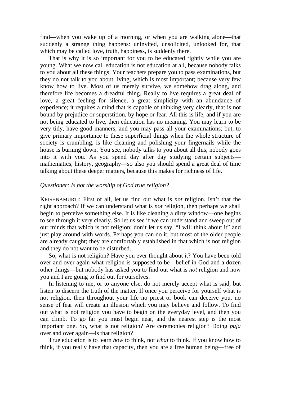find—when you wake up of a morning, or when you are walking alone—that suddenly a strange thing happens: uninvited, unsolicited, unlooked for, that which may be called love, truth, happiness, is suddenly there.

That is why it is so important for you to be educated rightly while you are young. What we now call education is not education at all, because nobody talks to you about all these things. Your teachers prepare you to pass examinations, but they do not talk to you about living, which is most important; because very few know how to live. Most of us merely survive, we somehow drag along, and therefore life becomes a dreadful thing. Really to live requires a great deal of love, a great feeling for silence, a great simplicity with an abundance of experience; it requires a mind that is capable of thinking very clearly, that is not bound by prejudice or superstition, by hope or fear. All this is life, and if you are not being educated to live, then education has no meaning. You may learn to be very tidy, have good manners, and you may pass all your examinations; but, to give primary importance to these superficial things when the whole structure of society is crumbling, is like cleaning and polishing your fingernails while the house is burning down. You see, nobody talks to you about all this, nobody goes into it with you. As you spend day after day studying certain subjects mathematics, history, geography—so also you should spend a great deal of time talking about these deeper matters, because this makes for richness of life.

#### *Questioner: Is not the worship of God true religion?*

KRISHNAMURTI: First of all, let us find out what is *not* religion. Isn't that the right approach? If we can understand what is *not* religion, then perhaps we shall begin to perceive something else. It is like cleaning a dirty window—one begins to see through it very clearly. So let us see if we can understand and sweep out of our minds that which is not religion; don't let us say, "I will think about it" and just play around with words. Perhaps you can do it, but most of the older people are already caught; they are comfortably established in that which is not religion and they do not want to be disturbed.

So, what is not religion? Have you ever thought about it? You have been told over and over again what religion is supposed to be—belief in God and a dozen other things—but nobody has asked you to find out what is *not* religion and now you and I are going to find out for ourselves.

In listening to me, or to anyone else, do not merely accept what is said, but listen to discern the truth of the matter. If once you perceive for yourself what is not religion, then throughout your life no priest or book can deceive you, no sense of fear will create an illusion which you may believe and follow. To find out what is not religion you have to begin on the everyday level, and then you can climb. To go far you must begin near, and the nearest step is the most important one. So, what is not religion? Are ceremonies religion? Doing *puja* over and over again—is that religion?

True education is to learn *how* to think, not *what* to think. If you know how to think, if you really have that capacity, then you are a free human being—free of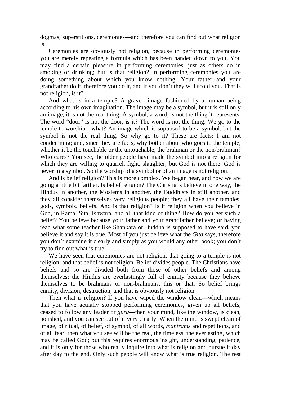dogmas, superstitions, ceremonies—and therefore you can find out what religion is.

Ceremonies are obviously not religion, because in performing ceremonies you are merely repeating a formula which has been handed down to you. You may find a certain pleasure in performing ceremonies, just as others do in smoking or drinking; but is that religion? In performing ceremonies you are doing something about which you know nothing. Your father and your grandfather do it, therefore you do it, and if you don't they will scold you. That is not religion, is it?

And what is in a temple? A graven image fashioned by a human being according to his own imagination. The image may be a symbol, but it is still only an image, it is not the real thing. A symbol, a word, is not the thing it represents. The word "door" is not the door, is it? The word is not the thing. We go to the temple to worship—what? An image which is supposed to be a symbol; but the symbol is not the real thing. So why go to it? These are facts; I am not condemning; and, since they are facts, why bother about who goes to the temple, whether it be the touchable or the untouchable, the brahman or the non-brahman? Who cares? You see, the older people have made the symbol into a religion for which they are willing to quarrel, fight, slaughter; but God is not there. God is never in a symbol. So the worship of a symbol or of an image is not religion.

And is belief religion? This is more complex. We began near, and now we are going a little bit farther. Is belief religion? The Christians believe in one way, the Hindus in another, the Moslems in another, the Buddhists in still another, and they all consider themselves very religious people; they all have their temples, gods, symbols, beliefs. And is that religion? Is it religion when you believe in God, in Rama, Sita, Ishwara, and all that kind of thing? How do you get such a belief? You believe because your father and your grandfather believe; or having read what some teacher like Shankara or Buddha is supposed to have said, you believe it and say it is true. Most of you just believe what the *Gita* says, therefore you don't examine it clearly and simply as you would any other book; you don't try to find out what is true.

We have seen that ceremonies are not religion, that going to a temple is not religion, and that belief is not religion. Belief divides people. The Christians have beliefs and so are divided both from those of other beliefs and among themselves; the Hindus are everlastingly full of enmity because they believe themselves to be brahmans or non-brahmans, this or that. So belief brings enmity, division, destruction, and that is obviously not religion.

Then what *is* religion? If you have wiped the window clean—which means that you have actually stopped performing ceremonies, given up all beliefs, ceased to follow any leader or *guru*—then your mind, like the window, is clean, polished, and you can see out of it very clearly. When the mind is swept clean of image, of ritual, of belief, of symbol, of all words, *mantrams* and repetitions, and of all fear, then what you see will be the real, the timeless, the everlasting, which may be called God; but this requires enormous insight, understanding, patience, and it is only for those who really inquire into what is religion and pursue it day after day to the end. Only such people will know what is true religion. The rest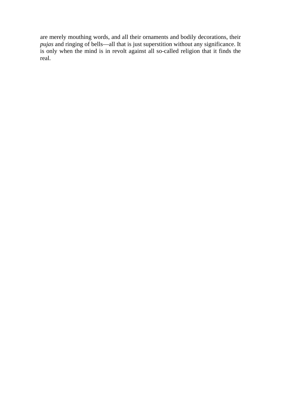are merely mouthing words, and all their ornaments and bodily decorations, their *pujas* and ringing of bells—all that is just superstition without any significance. It is only when the mind is in revolt against all so-called religion that it finds the real.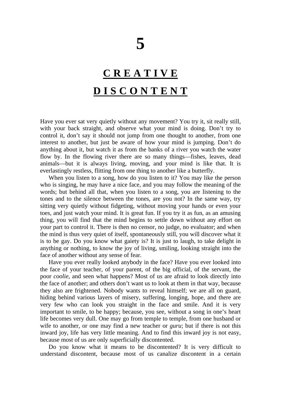## **CREATIVE DISCONTENT**

Have you ever sat very quietly without any movement? You try it, sit really still, with your back straight, and observe what your mind is doing. Don't try to control it, don't say it should not jump from one thought to another, from one interest to another, but just be aware of how your mind is jumping. Don't do anything about it, but watch it as from the banks of a river you watch the water flow by. In the flowing river there are so many things—fishes, leaves, dead animals—but it is always living, moving, and your mind is like that. It is everlastingly restless, flitting from one thing to another like a butterfly.

When you listen to a song, how do you listen to it? You may like the person who is singing, he may have a nice face, and you may follow the meaning of the words; but behind all that, when you listen to a song, you are listening to the tones and to the silence between the tones, are you not? In the same way, try sitting very quietly without fidgeting, without moving your hands or even your toes, and just watch your mind. It is great fun. If you try it as fun, as an amusing thing, you will find that the mind begins to settle down without any effort on your part to control it. There is then no censor, no judge, no evaluator; and when the mind is thus very quiet of itself, spontaneously still, you will discover what it is to be gay. Do you know what gaiety is? It is just to laugh, to take delight in anything or nothing, to know the joy of living, smiling, looking straight into the face of another without any sense of fear.

Have you ever really looked anybody in the face? Have you ever looked into the face of your teacher, of your parent, of the big official, of the servant, the poor *coolie*, and seen what happens? Most of us are afraid to look directly into the face of another; and others don't want us to look at them in that way, because they also are frightened. Nobody wants to reveal himself; we are all on guard, hiding behind various layers of misery, suffering, longing, hope, and there are very few who can look you straight in the face and smile. And it is very important to smile, to be happy; because, you see, without a song in one's heart life becomes very dull. One may go from temple to temple, from one husband or wife to another, or one may find a new teacher or *guru*; but if there is not this inward joy, life has very little meaning. And to find this inward joy is not easy, because most of us are only superficially discontented.

Do you know what it means to be discontented? It is very difficult to understand discontent, because most of us canalize discontent in a certain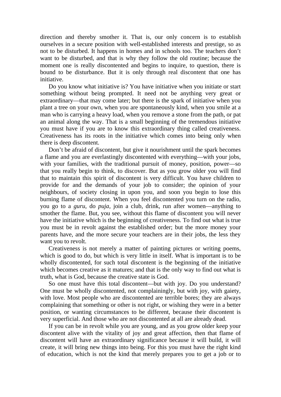direction and thereby smother it. That is, our only concern is to establish ourselves in a secure position with well-established interests and prestige, so as not to be disturbed. It happens in homes and in schools too. The teachers don't want to be disturbed, and that is why they follow the old routine; because the moment one is really discontented and begins to inquire, to question, there is bound to be disturbance. But it is only through real discontent that one has initiative.

Do you know what initiative is? You have initiative when you initiate or start something without being prompted. It need not be anything very great or extraordinary—that may come later; but there is the spark of initiative when you plant a tree on your own, when you are spontaneously kind, when you smile at a man who is carrying a heavy load, when you remove a stone from the path, or pat an animal along the way. That is a small beginning of the tremendous initiative you must have if you are to know this extraordinary thing called creativeness. Creativeness has its roots in the initiative which comes into being only when there is deep discontent.

Don't be afraid of discontent, but give it nourishment until the spark becomes a flame and you are everlastingly discontented with everything—with your jobs, with your families, with the traditional pursuit of money, position, power—so that you really begin to think, to discover. But as you grow older you will find that to maintain this spirit of discontent is very difficult. You have children to provide for and the demands of your job to consider; the opinion of your neighbours, of society closing in upon you, and soon you begin to lose this burning flame of discontent. When you feel discontented you turn on the radio, you go to a *guru*, do *puja*, join a club, drink, run after women—anything to smother the flame. But, you see, without this flame of discontent you will never have the initiative which is the beginning of creativeness. To find out what is true you must be in revolt against the established order; but the more money your parents have, and the more secure your teachers are in their jobs, the less they want you to revolt.

Creativeness is not merely a matter of painting pictures or writing poems, which is good to do, but which is very little in itself. What is important is to be wholly discontented, for such total discontent is the beginning of the initiative which becomes creative as it matures; and that is the only way to find out what is truth, what is God, because the creative state is God.

So one must have this total discontent—but with joy. Do you understand? One must be wholly discontented, not complainingly, but with joy, with gaiety, with love. Most people who are discontented are terrible bores; they are always complaining that something or other is not right, or wishing they were in a better position, or wanting circumstances to be different, because their discontent is very superficial. And those who are not discontented at all are already dead.

If you can be in revolt while you are young, and as you grow older keep your discontent alive with the vitality of joy and great affection, then that flame of discontent will have an extraordinary significance because it will build, it will create, it will bring new things into being. For this you must have the right kind of education, which is not the kind that merely prepares you to get a job or to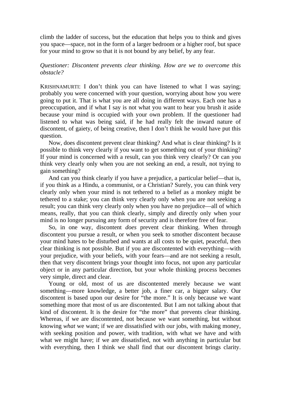climb the ladder of success, but the education that helps you to think and gives you space—space, not in the form of a larger bedroom or a higher roof, but space for your mind to grow so that it is not bound by any belief, by any fear.

#### *Questioner: Discontent prevents clear thinking. How are we to overcome this obstacle?*

KRISHNAMURTI: I don't think you can have listened to what I was saying; probably you were concerned with your question, worrying about how you were going to put it. That is what you are all doing in different ways. Each one has a preoccupation, and if what I say is not what you want to hear you brush it aside because your mind is occupied with your own problem. If the questioner had listened to what was being said, if he had really felt the inward nature of discontent, of gaiety, of being creative, then I don't think he would have put this question.

Now, does discontent prevent clear thinking? And what is clear thinking? Is it possible to think very clearly if you want to get something out of your thinking? If your mind is concerned with a result, can you think very clearly? Or can you think very clearly only when you are not seeking an end, a result, not trying to gain something?

And can you think clearly if you have a prejudice, a particular belief—that is, if you think as a Hindu, a communist, or a Christian? Surely, you can think very clearly only when your mind is not tethered to a belief as a monkey might be tethered to a stake; you can think very clearly only when you are not seeking a result; you can think very clearly only when you have no prejudice—all of which means, really, that you can think clearly, simply and directly only when your mind is no longer pursuing any form of security and is therefore free of fear.

So, in one way, discontent *does* prevent clear thinking. When through discontent you pursue a result, or when you seek to smother discontent because your mind hates to be disturbed and wants at all costs to be quiet, peaceful, then clear thinking is not possible. But if you are discontented with everything—with your prejudice, with your beliefs, with your fears—and are not seeking a result, then that very discontent brings your thought into focus, not upon any particular object or in any particular direction, but your whole thinking process becomes very simple, direct and clear.

Young or old, most of us are discontented merely because we want something—more knowledge, a better job, a finer car, a bigger salary. Our discontent is based upon our desire for "the more." It is only because we want something more that most of us are discontented. But I am not talking about that kind of discontent. It is the desire for "the more" that prevents clear thinking. Whereas, if we are discontented, not because we want something, but without knowing *what* we want; if we are dissatisfied with our jobs, with making money, with seeking position and power, with tradition, with what we have and with what we might have; if we are dissatisfied, not with anything in particular but with everything, then I think we shall find that our discontent brings clarity.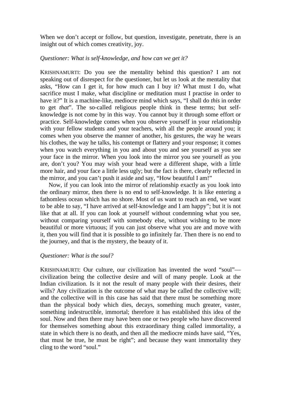When we don't accept or follow, but question, investigate, penetrate, there is an insight out of which comes creativity, joy.

#### *Questioner: What is self-knowledge, and how can we get it?*

KRISHNAMURTI: Do you see the mentality behind this question? I am not speaking out of disrespect for the questioner, but let us look at the mentality that asks, "How can I get it, for how much can I buy it? What must I do, what sacrifice must I make, what discipline or meditation must I practise in order to have it?" It is a machine-like, mediocre mind which says, "I shall do *this* in order to get *that*". The so-called religious people think in these terms; but selfknowledge is not come by in this way. You cannot buy it through some effort or practice. Self-knowledge comes when you observe yourself in your relationship with your fellow students and your teachers, with all the people around you; it comes when you observe the manner of another, his gestures, the way he wears his clothes, the way he talks, his contempt or flattery and your response; it comes when you watch everything in you and about you and see yourself as you see your face in the mirror. When you look into the mirror you see yourself as you are, don't you? You may wish your head were a different shape, with a little more hair, and your face a little less ugly; but the fact is there, clearly reflected in the mirror, and you can't push it aside and say, "How beautiful I am!"

Now, if you can look into the mirror of relationship exactly as you look into the ordinary mirror, then there is no end to self-knowledge. It is like entering a fathomless ocean which has no shore. Most of us want to reach an end, we want to be able to say, "I have arrived at self-knowledge and I am happy"; but it is not like that at all. If you can look at yourself without condemning what you see, without comparing yourself with somebody else, without wishing to be more beautiful or more virtuous; if you can just observe what you are and move with it, then you will find that it is possible to go infinitely far. Then there is no end to the journey, and that is the mystery, the beauty of it.

#### *Questioner: What is the soul?*

KRISHNAMURTI: Our culture, our civilization has invented the word "soul" civilization being the collective desire and will of many people. Look at the Indian civilization. Is it not the result of many people with their desires, their wills? Any civilization is the outcome of what may be called the collective will; and the collective will in this case has said that there must be something more than the physical body which dies, decays, something much greater, vaster, something indestructible, immortal; therefore it has established this idea of the soul. Now and then there may have been one or two people who have discovered for themselves something about this extraordinary thing called immortality, a state in which there is no death, and then all the mediocre minds have said, "Yes, that must be true, he must be right"; and because they want immortality they cling to the word "soul."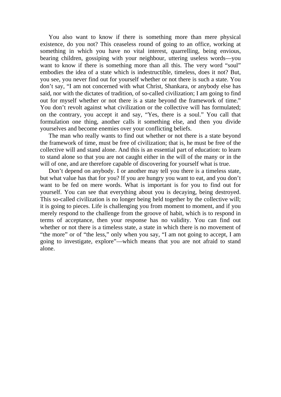You also want to know if there is something more than mere physical existence, do you not? This ceaseless round of going to an office, working at something in which you have no vital interest, quarrelling, being envious, bearing children, gossiping with your neighbour, uttering useless words—you want to know if there is something more than all this. The very word "soul" embodies the idea of a state which is indestructible, timeless, does it not? But, you see, you never find out for yourself whether or not there is such a state. You don't say, "I am not concerned with what Christ, Shankara, or anybody else has said, nor with the dictates of tradition, of so-called civilization; I am going to find out for myself whether or not there is a state beyond the framework of time." You don't revolt against what civilization or the collective will has formulated; on the contrary, you accept it and say, "Yes, there is a soul." You call that formulation one thing, another calls it something else, and then you divide yourselves and become enemies over your conflicting beliefs.

The man who really wants to find out whether or not there is a state beyond the framework of time, must be free of civilization; that is, he must be free of the collective will and stand alone. And this is an essential part of education: to learn to stand alone so that you are not caught either in the will of the many or in the will of one, and are therefore capable of discovering for yourself what is true.

Don't depend on anybody. I or another may tell you there is a timeless state, but what value has that for you? If you are hungry you want to eat, and you don't want to be fed on mere words. What is important is for you to find out for yourself. You can see that everything about you is decaying, being destroyed. This so-called civilization is no longer being held together by the collective will; it is going to pieces. Life is challenging you from moment to moment, and if you merely respond to the challenge from the groove of habit, which is to respond in terms of acceptance, then your response has no validity. You can find out whether or not there is a timeless state, a state in which there is no movement of "the more" or of "the less," only when you say, "I am not going to accept, I am going to investigate, explore"—which means that you are not afraid to stand alone.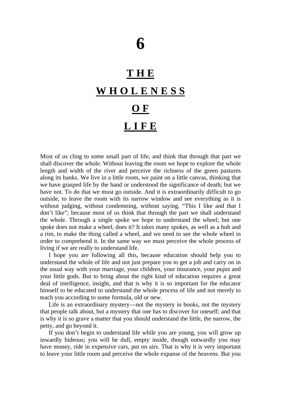## **THE WHOLENESS O F LIFE**

Most of us cling to some small part of life, and think that through that part we shall discover the whole. Without leaving the room we hope to explore the whole length and width of the river and perceive the richness of the green pastures along its banks. We live in a little room, we paint on a little canvas, thinking that we have grasped life by the hand or understood the significance of death; but we have not. To do that we must go outside. And it is extraordinarily difficult to go outside, to leave the room with its narrow window and see everything as it is without judging, without condemning, without saying, "This I like and that I don't like"; because most of us think that through the part we shall understand the whole. Through a single spoke we hope to understand the wheel; but one spoke does not make a wheel, does it? It takes many spokes, as well as a hub and a rim, to make the thing called a wheel, and we need to see the whole wheel in order to comprehend it. In the same way we must perceive the whole process of living if we are really to understand life.

I hope you are following all this, because education should help you to understand the whole of life and not just prepare you to get a job and carry on in the usual way with your marriage, your children, your insurance, your *pujas* and your little gods. But to bring about the right kind of education requires a great deal of intelligence, insight, and that is why it is so important for the educator himself to be educated to understand the whole process of life and not merely to teach you according to some formula, old or new.

Life is an extraordinary mystery—not the mystery in books, not the mystery that people talk about, but a mystery that one has to discover for oneself; and that is why it is so grave a matter that you should understand the little, the narrow, the petty, and go beyond it.

If you don't begin to understand life while you are young, you will grow up inwardly hideous; you will be dull, empty inside, though outwardly you may have money, ride in expensive cars, put on airs. That is why it is very important to leave your little room and perceive the whole expanse of the heavens. But you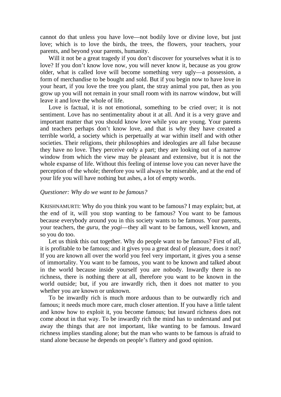cannot do that unless you have love—not bodily love or divine love, but just love; which is to love the birds, the trees, the flowers, your teachers, your parents, and beyond your parents, humanity.

Will it not be a great tragedy if you don't discover for yourselves what it is to love? If you don't know love now, you will never know it, because as you grow older, what is called love will become something very ugly—a possession, a form of merchandise to be bought and sold. But if you begin now to have love in your heart, if you love the tree you plant, the stray animal you pat, then as you grow up you will not remain in your small room with its narrow window, but will leave it and love the whole of life.

Love is factual, it is not emotional, something to be cried over; it is not sentiment. Love has no sentimentality about it at all. And it is a very grave and important matter that you should know love while you are young. Your parents and teachers perhaps don't know love, and that is why they have created a terrible world, a society which is perpetually at war within itself and with other societies. Their religions, their philosophies and ideologies are all false because they have no love. They perceive only a part; they are looking out of a narrow window from which the view may be pleasant and extensive, but it is not the whole expanse of life. Without this feeling of intense love you can never have the perception of the whole; therefore you will always be miserable, and at the end of your life you will have nothing but ashes, a lot of empty words.

#### *Questioner: Why do we want to be famous?*

KRISHNAMURTI: Why do you think you want to be famous? I may explain; but, at the end of it, will you stop wanting to be famous? You want to be famous because everybody around you in this society wants to be famous. Your parents, your teachers, the *guru*, the *yogi*—they all want to be famous, well known, and so you do too.

Let us think this out together. Why do people want to be famous? First of all, it is profitable to be famous; and it gives you a great deal of pleasure, does it not? If you are known all over the world you feel very important, it gives you a sense of immortality. You want to be famous, you want to be known and talked about in the world because inside yourself you are nobody. Inwardly there is no richness, there is nothing there at all, therefore you want to be known in the world outside; but, if you are inwardly rich, then it does not matter to you whether you are known or unknown.

To be inwardly rich is much more arduous than to be outwardly rich and famous; it needs much more care, much closer attention. If you have a little talent and know how to exploit it, you become famous; but inward richness does not come about in that way. To be inwardly rich the mind has to understand and put away the things that are not important, like wanting to be famous. Inward richness implies standing alone; but the man who wants to be famous is afraid to stand alone because he depends on people's flattery and good opinion.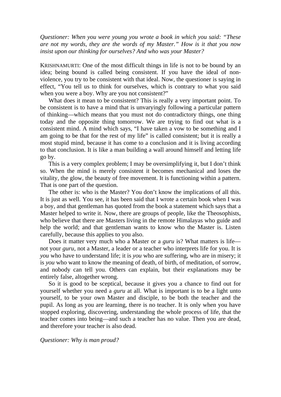*Questioner: When you were young you wrote a book in which you said: "These are not my words, they are the words of my Master." How is it that you now insist upon our thinking for ourselves? And who was your Master?* 

KRISHNAMURTI: One of the most difficult things in life is not to be bound by an idea; being bound is called being consistent. If you have the ideal of nonviolence, you try to be consistent with that ideal. Now, the questioner is saying in effect, "You tell us to think for ourselves, which is contrary to what you said when you were a boy. Why are you not consistent?"

What does it mean to be consistent? This is really a very important point. To be consistent is to have a mind that is unvaryingly following a particular pattern of thinking—which means that you must not do contradictory things, one thing today and the opposite thing tomorrow. We are trying to find out what is a consistent mind. A mind which says, "I have taken a vow to be something and I am going to be that for the rest of my life" is called consistent; but it is really a most stupid mind, because it has come to a conclusion and it is living according to that conclusion. It is like a man building a wall around himself and letting life go by.

This is a very complex problem; I may be oversimplifying it, but I don't think so. When the mind is merely consistent it becomes mechanical and loses the vitality, the glow, the beauty of free movement. It is functioning within a pattern. That is one part of the question.

The other is: who is the Master? You don't know the implications of all this. It is just as well. You see, it has been said that I wrote a certain book when I was a boy, and that gentleman has quoted from the book a statement which says that a Master helped to write it. Now, there are groups of people, like the Theosophists, who believe that there are Masters living in the remote Himalayas who guide and help the world; and that gentleman wants to know who the Master is. Listen carefully, because this applies to you also.

Does it matter very much who a Master or a *guru* is? What matters is life not your *guru*, not a Master, a leader or a teacher who interprets life for you. It is *you* who have to understand life; it is *you* who are suffering, who are in misery; it is *you* who want to know the meaning of death, of birth, of meditation, of sorrow, and nobody can tell you. Others can explain, but their explanations may be entirely false, altogether wrong.

So it is good to be sceptical, because it gives you a chance to find out for yourself whether you need a *guru* at all. What is important is to be a light unto yourself, to be your own Master and disciple, to be both the teacher and the pupil. As long as you are learning, there is no teacher. It is only when you have stopped exploring, discovering, understanding the whole process of life, that the teacher comes into being—and such a teacher has no value. Then you are dead, and therefore your teacher is also dead.

*Questioner: Why is man proud?*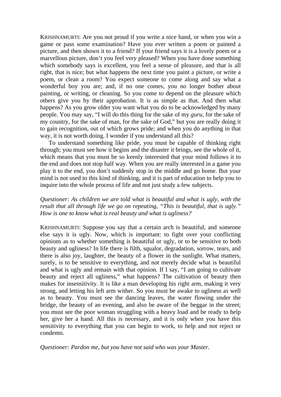KRISHNAMURTI: Are you not proud if you write a nice hand, or when you win a game or pass some examination? Have you ever written a poem or painted a picture, and then shown it to a friend? If your friend says it is a lovely poem or a marvellous picture, don't you feel very pleased? When you have done something which somebody says is excellent, you feel a sense of pleasure, and that is all right, that is nice; but what happens the next time you paint a picture, or write a poem, or clean a room? You expect someone to come along and say what a wonderful boy you are; and, if no one comes, you no longer bother about painting, or writing, or cleaning. So you come to depend on the pleasure which others give you by their approbation. It is as simple as that. And then what happens? As you grow older you want what you do to be acknowledged by many people. You may say, "I will do this thing for the sake of my *guru*, for the sake of my country, for the sake of man, for the sake of God," but you are really doing it to gain recognition, out of which grows pride; and when you do anything in that way, it is not worth doing. I wonder if you understand all this?

To understand something like pride, you must be capable of thinking right through; you must see how it begins and the disaster it brings, see the whole of it, which means that you must be so keenly interested that your mind follows it to the end and does not stop half way. When you are really interested in a game you play it to the end, you don't suddenly stop in the middle and go home. But your mind is not used to this kind of thinking, and it is part of education to help you to inquire into the whole process of life and not just study a few subjects.

#### *Questioner: As children we are told what is beautiful and what is ugly, with the result that all through life we go on repeating, "This is beautiful, that is ugly." How is one to know what is real beauty and what is ugliness?*

KRISHNAMURTI: Suppose you say that a certain arch is beautiful, and someone else says it is ugly. Now, which is important: to fight over your conflicting opinions as to whether something is beautiful or ugly, or to be sensitive to both beauty and ugliness? In life there is filth, squalor, degradation, sorrow, tears, and there is also joy, laughter, the beauty of a flower in the sunlight. What matters, surely, is to be sensitive to everything, and not merely decide what is beautiful and what is ugly and remain with that opinion. If I say, "I am going to cultivate beauty and reject all ugliness," what happens? The cultivation of beauty then makes for insensitivity. It is like a man developing his right arm, making it very strong, and letting his left arm wither. So you must be awake to ugliness as well as to beauty. You must see the dancing leaves, the water flowing under the bridge, the beauty of an evening, and also be aware of the beggar in the street; you must see the poor woman struggling with a heavy load and be ready to help her, give her a hand. All this is necessary, and it is only when you have this sensitivity to everything that you can begin to work, to help and not reject or condemn.

*Questioner: Pardon me, but you have not said who was your Master.*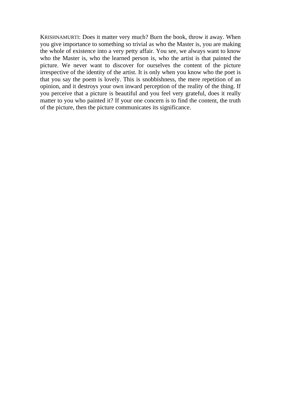KRISHNAMURTI: Does it matter very much? Burn the book, throw it away. When you give importance to something so trivial as who the Master is, you are making the whole of existence into a very petty affair. You see, we always want to know who the Master is, who the learned person is, who the artist is that painted the picture. We never want to discover for ourselves the content of the picture irrespective of the identity of the artist. It is only when you know who the poet is that you say the poem is lovely. This is snobbishness, the mere repetition of an opinion, and it destroys your own inward perception of the reality of the thing. If you perceive that a picture is beautiful and you feel very grateful, does it really matter to you who painted it? If your one concern is to find the content, the truth of the picture, then the picture communicates its significance.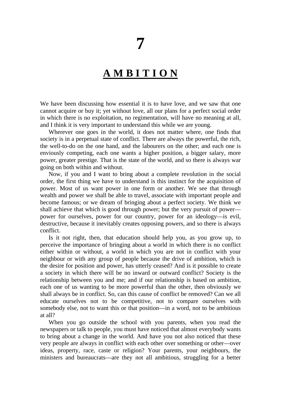### **AMBITION**

We have been discussing how essential it is to have love, and we saw that one cannot acquire or buy it; yet without love, all our plans for a perfect social order in which there is no exploitation, no regimentation, will have no meaning at all, and I think it is very important to understand this while we are young.

Wherever one goes in the world, it does not matter where, one finds that society is in a perpetual state of conflict. There are always the powerful, the rich, the well-to-do on the one hand, and the labourers on the other; and each one is enviously competing, each one wants a higher position, a bigger salary, more power, greater prestige. That is the state of the world, and so there is always war going on both within and without.

Now, if you and I want to bring about a complete revolution in the social order, the first thing we have to understand is this instinct for the acquisition of power. Most of us want power in one form or another. We see that through wealth and power we shall be able to travel, associate with important people and become famous; or we dream of bringing about a perfect society. We think we shall achieve that which is good through power; but the very pursuit of power power for ourselves, power for our country, power for an ideology—is evil, destructive, because it inevitably creates opposing powers, and so there is always conflict.

Is it not right, then, that education should help you, as you grow up, to perceive the importance of bringing about a world in which there is no conflict either within or without, a world in which you are not in conflict with your neighbour or with any group of people because the drive of ambition, which is the desire for position and power, has utterly ceased? And is it possible to create a society in which there will be no inward or outward conflict? Society is the relationship between you and me; and if our relationship is based on ambition, each one of us wanting to be more powerful than the other, then obviously we shall always be in conflict. So, can this cause of conflict be removed? Can we all educate ourselves not to be competitive, not to compare ourselves with somebody else, not to want this or that position—in a word, not to be ambitious at all?

When you go outside the school with you parents, when you read the newspapers or talk to people, you must have noticed that almost everybody wants to bring about a change in the world. And have you not also noticed that these very people are always in conflict with each other over something or other—over ideas, property, race, caste or religion? Your parents, your neighbours, the ministers and bureaucrats—are they not all ambitious, struggling for a better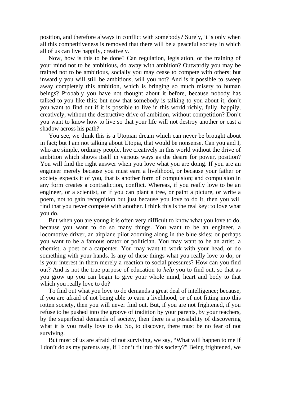position, and therefore always in conflict with somebody? Surely, it is only when all this competitiveness is removed that there will be a peaceful society in which all of us can live happily, creatively.

Now, how is this to be done? Can regulation, legislation, or the training of your mind not to be ambitious, do away with ambition? Outwardly you may be trained not to be ambitious, socially you may cease to compete with others; but inwardly you will still be ambitious, will you not? And is it possible to sweep away completely this ambition, which is bringing so much misery to human beings? Probably you have not thought about it before, because nobody has talked to you like this; but now that somebody is talking to you about it, don't you want to find out if it is possible to live in this world richly, fully, happily, creatively, without the destructive drive of ambition, without competition? Don't you want to know how to live so that your life will not destroy another or cast a shadow across his path?

You see, we think this is a Utopian dream which can never be brought about in fact; but I am not talking about Utopia, that would be nonsense. Can you and I, who are simple, ordinary people, live creatively in this world without the drive of ambition which shows itself in various ways as the desire for power, position? You will find the right answer when you love what you are doing. If you are an engineer merely because you must earn a livelihood, or because your father or society expects it of you, that is another form of compulsion; and compulsion in any form creates a contradiction, conflict. Whereas, if you really love to be an engineer, or a scientist, or if you can plant a tree, or paint a picture, or write a poem, not to gain recognition but just because you love to do it, then you will find that you never compete with another. I think this is the real key: to love what you do.

But when you are young it is often very difficult to know what you love to do, because you want to do so many things. You want to be an engineer, a locomotive driver, an airplane pilot zooming along in the blue skies; or perhaps you want to be a famous orator or politician. You may want to be an artist, a chemist, a poet or a carpenter. You may want to work with your head, or do something with your hands. Is any of these things what you really love to do, or is your interest in them merely a reaction to social pressures? How can you find out? And is not the true purpose of education to *help* you to find out, so that as you grow up you can begin to give your whole mind, heart and body to that which you really love to do?

To find out what you love to do demands a great deal of intelligence; because, if you are afraid of not being able to earn a livelihood, or of not fitting into this rotten society, then you will never find out. But, if you are not frightened, if you refuse to be pushed into the groove of tradition by your parents, by your teachers, by the superficial demands of society, then there is a possibility of discovering what it is you really love to do. So, to discover, there must be no fear of not surviving.

But most of us are afraid of not surviving, we say, "What will happen to me if I don't do as my parents say, if I don't fit into this society?" Being frightened, we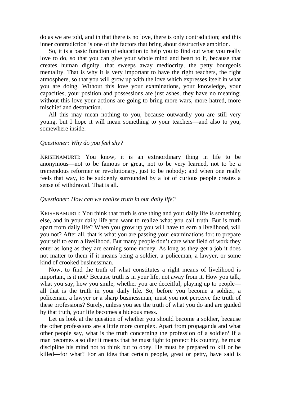do as we are told, and in that there is no love, there is only contradiction; and this inner contradiction is one of the factors that bring about destructive ambition.

So, it is a basic function of education to help you to find out what you really love to do, so that you can give your whole mind and heart to it, because that creates human dignity, that sweeps away mediocrity, the petty bourgeois mentality. That is why it is very important to have the right teachers, the right atmosphere, so that you will grow up with the love which expresses itself in what you are doing. Without this love your examinations, your knowledge, your capacities, your position and possessions are just ashes, they have no meaning; without this love your actions are going to bring more wars, more hatred, more mischief and destruction.

All this may mean nothing to you, because outwardly you are still very young, but I hope it will mean something to your teachers—and also to you, somewhere inside.

#### *Questioner: Why do you feel shy?*

KRISHNAMURTI: You know, it is an extraordinary thing in life to be anonymous—not to be famous or great, not to be very learned, not to be a tremendous reformer or revolutionary, just to be nobody; and when one really feels that way, to be suddenly surrounded by a lot of curious people creates a sense of withdrawal. That is all.

#### *Questioner: How can we realize truth in our daily life?*

KRISHNAMURTI: You think that truth is one thing and your daily life is something else, and in your daily life you want to realize what you call truth. But is truth apart from daily life? When you grow up you will have to earn a livelihood, will you not? After all, that is what you are passing your examinations for: to prepare yourself to earn a livelihood. But many people don't care what field of work they enter as long as they are earning some money. As long as they get a job it does not matter to them if it means being a soldier, a policeman, a lawyer, or some kind of crooked businessman.

Now, to find the truth of what constitutes a right means of livelihood is important, is it not? Because truth is in your life, not away from it. How you talk, what you say, how you smile, whether you are deceitful, playing up to people all that is the truth in your daily life. So, before you become a soldier, a policeman, a lawyer or a sharp businessman, must you not perceive the truth of these professions? Surely, unless you see the truth of what you do and are guided by that truth, your life becomes a hideous mess.

Let us look at the question of whether you should become a soldier, because the other professions are a little more complex. Apart from propaganda and what other people say, what is the truth concerning the profession of a soldier? If a man becomes a soldier it means that he must fight to protect his country, he must discipline his mind not to think but to obey. He must be prepared to kill or be killed—for what? For an idea that certain people, great or petty, have said is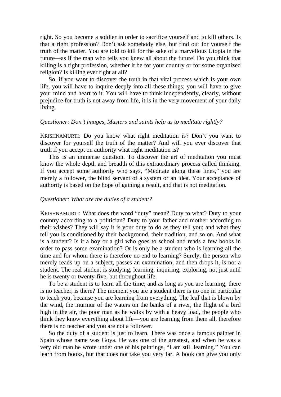right. So you become a soldier in order to sacrifice yourself and to kill others. Is that a right profession? Don't ask somebody else, but find out for yourself the truth of the matter. You are told to kill for the sake of a marvellous Utopia in the future—as if the man who tells you knew all about the future! Do you think that killing is a right profession, whether it be for your country or for some organized religion? Is killing ever right at all?

So, if you want to discover the truth in that vital process which is your own life, you will have to inquire deeply into all these things; you will have to give your mind and heart to it. You will have to think independently, clearly, without prejudice for truth is not away from life, it is in the very movement of your daily living.

#### *Questioner: Don't images, Masters and saints help us to meditate rightly?*

KRISHNAMURTI: Do you know what right meditation is? Don't you want to discover for yourself the truth of the matter? And will you ever discover that truth if you accept on authority what right meditation is?

This is an immense question. To discover the art of meditation you must know the whole depth and breadth of this extraordinary process called thinking. If you accept some authority who says, "Meditate along these lines," you are merely a follower, the blind servant of a system or an idea. Your acceptance of authority is based on the hope of gaining a result, and that is not meditation.

#### *Questioner: What are the duties of a student?*

KRISHNAMURTI: What does the word "duty" mean? Duty to what? Duty to your country according to a politician? Duty to your father and mother according to their wishes? They will say it is your duty to do as they tell you; and what they tell you is conditioned by their background, their tradition, and so on. And what is a student? Is it a boy or a girl who goes to school and reads a few books in order to pass some examination? Or is only he a student who is learning all the time and for whom there is therefore no end to learning? Surely, the person who merely reads up on a subject, passes an examination, and then drops it, is not a student. The real student is studying, learning, inquiring, exploring, not just until he is twenty or twenty-five, but throughout life.

To be a student is to learn all the time; and as long as you are learning, there is no teacher, is there? The moment you are a student there is no one in particular to teach you, because you are learning from everything. The leaf that is blown by the wind, the murmur of the waters on the banks of a river, the flight of a bird high in the air, the poor man as he walks by with a heavy load, the people who think they know everything about life—you are learning from them all, therefore there is no teacher and you are not a follower.

So the duty of a student is just to learn. There was once a famous painter in Spain whose name was Goya. He was one of the greatest, and when he was a very old man he wrote under one of his paintings, "I am still learning." You can learn from books, but that does not take you very far. A book can give you only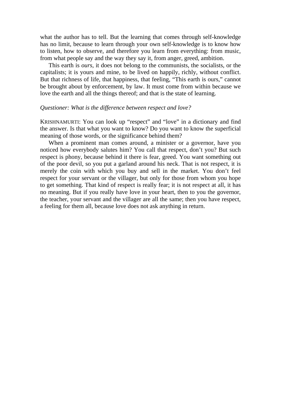what the author has to tell. But the learning that comes through self-knowledge has no limit, because to learn through your own self-knowledge is to know how to listen, how to observe, and therefore you learn from everything: from music, from what people say and the way they say it, from anger, greed, ambition.

This earth is *ours*, it does not belong to the communists, the socialists, or the capitalists; it is yours and mine, to be lived on happily, richly, without conflict. But that richness of life, that happiness, that feeling, "This earth is ours," cannot be brought about by enforcement, by law. It must come from within because we love the earth and all the things thereof; and that is the state of learning.

#### *Questioner: What is the difference between respect and love?*

KRISHNAMURTI: You can look up "respect" and "love" in a dictionary and find the answer. Is that what you want to know? Do you want to know the superficial meaning of those words, or the significance behind them?

When a prominent man comes around, a minister or a governor, have you noticed how everybody salutes him? You call that respect, don't you? But such respect is phony, because behind it there is fear, greed. You want something out of the poor devil, so you put a garland around his neck. That is not respect, it is merely the coin with which you buy and sell in the market. You don't feel respect for your servant or the villager, but only for those from whom you hope to get something. That kind of respect is really fear; it is not respect at all, it has no meaning. But if you really have love in your heart, then to you the governor, the teacher, your servant and the villager are all the same; then you have respect, a feeling for them all, because love does not ask anything in return.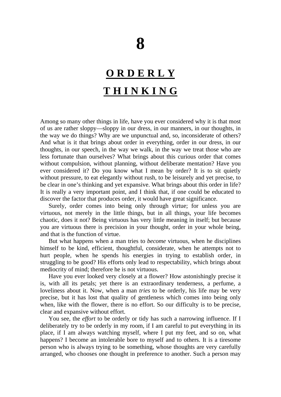### **ORDERLY THINKING**

Among so many other things in life, have you ever considered why it is that most of us are rather sloppy—sloppy in our dress, in our manners, in our thoughts, in the way we do things? Why are we unpunctual and, so, inconsiderate of others? And what is it that brings about order in everything, order in our dress, in our thoughts, in our speech, in the way we walk, in the way we treat those who are less fortunate than ourselves? What brings about this curious order that comes without compulsion, without planning, without deliberate mentation? Have you ever considered it? Do you know what I mean by order? It is to sit quietly without pressure, to eat elegantly without rush, to be leisurely and yet precise, to be clear in one's thinking and yet expansive. What brings about this order in life? It is really a very important point, and I think that, if one could be educated to discover the factor that produces order, it would have great significance.

Surely, order comes into being only through virtue; for unless you are virtuous, not merely in the little things, but in all things, your life becomes chaotic, does it not? Being virtuous has very little meaning in itself; but because you are virtuous there is precision in your thought, order in your whole being, and that is the function of virtue.

But what happens when a man tries to *become* virtuous, when he disciplines himself to be kind, efficient, thoughtful, considerate, when he attempts not to hurt people, when he spends his energies in trying to establish order, in struggling to be good? His efforts only lead to respectability, which brings about mediocrity of mind; therefore he is not virtuous.

Have you ever looked very closely at a flower? How astonishingly precise it is, with all its petals; yet there is an extraordinary tenderness, a perfume, a loveliness about it. Now, when a man *tries* to be orderly, his life may be very precise, but it has lost that quality of gentleness which comes into being only when, like with the flower, there is no effort. So our difficulty is to be precise, clear and expansive without effort.

You see, the *effort* to be orderly or tidy has such a narrowing influence. If I deliberately try to be orderly in my room, if I am careful to put everything in its place, if I am always watching myself, where I put my feet, and so on, what happens? I become an intolerable bore to myself and to others. It is a tiresome person who is always trying to be something, whose thoughts are very carefully arranged, who chooses one thought in preference to another. Such a person may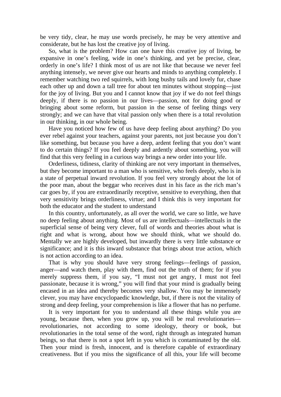be very tidy, clear, he may use words precisely, he may be very attentive and considerate, but he has lost the creative joy of living.

So, what is the problem? How can one have this creative joy of living, be expansive in one's feeling, wide in one's thinking, and yet be precise, clear, orderly in one's life? I think most of us are not like that because we never feel anything intensely, we never give our hearts and minds to anything completely. I remember watching two red squirrels, with long bushy tails and lovely fur, chase each other up and down a tall tree for about ten minutes without stopping—just for the joy of living. But you and I cannot know that joy if we do not feel things deeply, if there is no passion in our lives—passion, not for doing good or bringing about some reform, but passion in the sense of feeling things very strongly; and we can have that vital passion only when there is a total revolution in our thinking, in our whole being.

Have you noticed how few of us have deep feeling about anything? Do you ever rebel against your teachers, against your parents, not just because you don't like something, but because you have a deep, ardent feeling that you don't want to do certain things? If you feel deeply and ardently about something, you will find that this very feeling in a curious way brings a new order into your life.

Orderliness, tidiness, clarity of thinking are not very important in themselves, but they become important to a man who is sensitive, who feels deeply, who is in a state of perpetual inward revolution. If you feel very strongly about the lot of the poor man, about the beggar who receives dust in his face as the rich man's car goes by, if you are extraordinarily receptive, sensitive to everything, then that very sensitivity brings orderliness, virtue; and I think this is very important for both the educator and the student to understand

In this country, unfortunately, as all over the world, we care so little, we have no deep feeling about anything. Most of us are intellectuals—intellectuals in the superficial sense of being very clever, full of words and theories about what is right and what is wrong, about how we should think, what we should do. Mentally we are highly developed, but inwardly there is very little substance or significance; and it is this inward substance that brings about true action, which is not action according to an idea.

That is why you should have very strong feelings—feelings of passion, anger—and watch them, play with them, find out the truth of them; for if you merely suppress them, if you say, "I must not get angry, I must not feel passionate, because it is wrong," you will find that your mind is gradually being encased in an idea and thereby becomes very shallow. You may be immensely clever, you may have encyclopaedic knowledge, but, if there is not the vitality of strong and deep feeling, your comprehension is like a flower that has no perfume.

It is very important for you to understand all these things while you are young, because then, when you grow up, you will be real revolutionaries revolutionaries, not according to some ideology, theory or book, but revolutionaries in the total sense of the word, right through as integrated human beings, so that there is not a spot left in you which is contaminated by the old. Then your mind is fresh, innocent, and is therefore capable of extraordinary creativeness. But if you miss the significance of all this, your life will become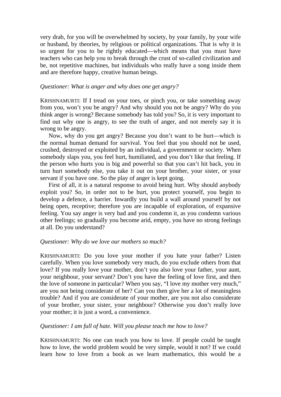very drab, for you will be overwhelmed by society, by your family, by your wife or husband, by theories, by religious or political organizations. That is why it is so urgent for you to be rightly educated—which means that you must have teachers who can help you to break through the crust of so-called civilization and be, not repetitive machines, but individuals who really have a song inside them and are therefore happy, creative human beings.

#### *Questioner: What is anger and why does one get angry?*

KRISHNAMURTI: If I tread on your toes, or pinch you, or take something away from you, won't you be angry? And why should you not be angry? Why do you think anger is wrong? Because somebody has told you? So, it is very important to find out why one is angry, to see the truth of anger, and not merely say it is wrong to be angry.

Now, why do you get angry? Because you don't want to be hurt—which is the normal human demand for survival. You feel that you should not be used, crushed, destroyed or exploited by an individual, a government or society. When somebody slaps you, you feel hurt, humiliated, and you don't like that feeling. If the person who hurts you is big and powerful so that you can't hit back, you in turn hurt somebody else, you take it out on your brother, your sister, or your servant if you have one. So the play of anger is kept going.

First of all, it is a natural response to avoid being hurt. Why should anybody exploit you? So, in order not to be hurt, you protect yourself, you begin to develop a defence, a barrier. Inwardly you build a wall around yourself by not being open, receptive; therefore you are incapable of exploration, of expansive feeling. You say anger is very bad and you condemn it, as you condemn various other feelings; so gradually you become arid, empty, you have no strong feelings at all. Do you understand?

#### *Questioner: Why do we love our mothers so much?*

KRISHNAMURTI: Do you love your mother if you hate your father? Listen carefully. When you love somebody very much, do you exclude others from that love? If you really love your mother, don't you also love your father, your aunt, your neighbour, your servant? Don't you have the feeling of love first, and then the love of someone in particular? When you say, "I love my mother very much," are you not being considerate of her? Can you then give her a lot of meaningless trouble? And if you are considerate of your mother, are you not also considerate of your brother, your sister, your neighbour? Otherwise you don't really love your mother; it is just a word, a convenience.

#### *Questioner: I am full of hate. Will you please teach me how to love?*

KRISHNAMURTI: No one can teach you how to love. If people could be taught how to love, the world problem would be very simple, would it not? If we could learn how to love from a book as we learn mathematics, this would be a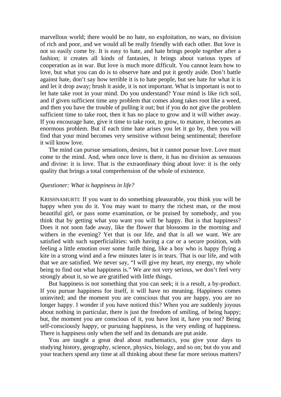marvellous world; there would be no hate, no exploitation, no wars, no division of rich and poor, and we would all be really friendly with each other. But love is not so easily come by. It is easy to hate, and hate brings people together after a fashion; it creates all kinds of fantasies, it brings about various types of cooperation as in war. But love is much more difficult. You cannot learn how to love, but what you can do is to observe hate and put it gently aside. Don't battle against hate, don't say how terrible it is to hate people, but see hate for what it is and let it drop away; brush it aside, it is not important. What is important is not to let hate take root in your mind. Do you understand? Your mind is like rich soil, and if given sufficient time any problem that comes along takes root like a weed, and then you have the trouble of pulling it out; but if you do not give the problem sufficient time to take root, then it has no place to grow and it will wither away. If you encourage hate, give it time to take root, to grow, to mature, it becomes an enormous problem. But if each time hate arises you let it go by, then you will find that your mind becomes very sensitive without being sentimental; therefore it will know love.

The mind can pursue sensations, desires, but it cannot pursue love. Love must come to the mind. And, when once love is there, it has no division as sensuous and divine: it is love. That is the extraordinary thing about love: it is the only quality that brings a total comprehension of the whole of existence.

#### *Questioner: What is happiness in life?*

KRISHNAMURTI: If you want to do something pleasurable, you think you will be happy when you do it. You may want to marry the richest man, or the most beautiful girl, or pass some examination, or be praised by somebody, and you think that by getting what you want you will be happy. But is that happiness? Does it not soon fade away, like the flower that blossoms in the morning and withers in the evening? Yet that is our life, and that is all we want. We are satisfied with such superficialities: with having a car or a secure position, with feeling a little emotion over some futile thing, like a boy who is happy flying a kite in a strong wind and a few minutes later is in tears. That is our life, and with that we are satisfied. We never say, "I will give my heart, my energy, my whole being to find out what happiness is." We are not very serious, we don't feel very strongly about it, so we are gratified with little things.

But happiness is not something that you can seek; it is a result, a by-product. If you pursue happiness for itself, it will have no meaning. Happiness comes uninvited; and the moment you are conscious that you are happy, you are no longer happy. I wonder if you have noticed this? When you are suddenly joyous about nothing in particular, there is just the freedom of smiling, of being happy; but, the moment you are conscious of it, you have lost it, have you not? Being self-consciously happy, or pursuing happiness, is the very ending of happiness. There is happiness only when the self and its demands are put aside.

You are taught a great deal about mathematics, you give your days to studying history, geography, science, physics, biology, and so on; but do you and your teachers spend any time at all thinking about these far more serious matters?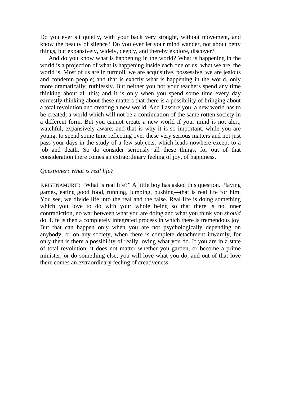Do you ever sit quietly, with your back very straight, without movement, and know the beauty of silence? Do you ever let your mind wander, not about petty things, but expansively, widely, deeply, and thereby explore, discover?

And do you know what is happening in the world? What is happening in the world is a projection of what is happening inside each one of us; what we are, the world is. Most of us are in turmoil, we are acquisitive, possessive, we are jealous and condemn people; and that is exactly what is happening in the world, only more dramatically, ruthlessly. But neither you nor your teachers spend any time thinking about all this; and it is only when you spend some time every day earnestly thinking about these matters that there is a possibility of bringing about a total revolution and creating a new world. And I assure you, a new world has to be created, a world which will not be a continuation of the same rotten society in a different form. But you cannot create a new world if your mind is not alert, watchful, expansively aware; and that is why it is so important, while you are young, to spend some time reflecting over these very serious matters and not just pass your days in the study of a few subjects, which leads nowhere except to a job and death. So do consider seriously all these things, for out of that consideration there comes an extraordinary feeling of joy, of happiness.

#### *Questioner: What is real life?*

KRISHNAMURTI: "What is real life?" A little boy has asked this question. Playing games, eating good food, running, jumping, pushing—that is real life for him. You see, we divide life into the real and the false. Real life is doing something which you love to do with your whole being so that there is no inner contradiction, no war between what you are doing and what you think you *should* do. Life is then a completely integrated process in which there is tremendous joy. But that can happen only when you are not psychologically depending on anybody, or on any society, when there is complete detachment inwardly, for only then is there a possibility of really loving what you do. If you are in a state of total revolution, it does not matter whether you garden, or become a prime minister, or do something else; you will love what you do, and out of that love there comes an extraordinary feeling of creativeness.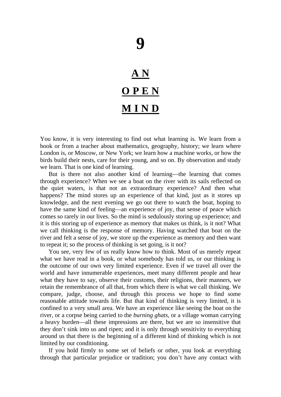# **9**

### **A N OPEN MIND**

You know, it is very interesting to find out what learning is. We learn from a book or from a teacher about mathematics, geography, history; we learn where London is, or Moscow, or New York; we learn how a machine works, or how the birds build their nests, care for their young, and so on. By observation and study we learn. That is one kind of learning.

But is there not also another kind of learning—the learning that comes through experience? When we see a boat on the river with its sails reflected on the quiet waters, is that not an extraordinary experience? And then what happens? The mind stores up an experience of that kind, just as it stores up knowledge, and the next evening we go out there to watch the boat, hoping to have the same kind of feeling—an experience of joy, that sense of peace which comes so rarely in our lives. So the mind is sedulously storing up experience; and it is this storing up of experience as memory that makes us think, is it not? What we call thinking is the response of memory. Having watched that boat on the river and felt a sense of joy, we store up the experience as memory and then want to repeat it; so the process of thinking is set going, is it not?

You see, very few of us really know how to think. Most of us merely repeat what we have read in a book, or what somebody has told us, or our thinking is the outcome of our own very limited experience. Even if we travel all over the world and have innumerable experiences, meet many different people and hear what they have to say, observe their customs, their religions, their manners, we retain the remembrance of all that, from which there is what we call thinking. We compare, judge, choose, and through this process we hope to find some reasonable attitude towards life. But that kind of thinking is very limited, it is confined to a very small area. We have an experience like seeing the boat on the river, or a corpse being carried to the *burning ghats*, or a village woman carrying a heavy burden—all these impressions are there, but we are so insensitive that they don't sink into us and ripen; and it is only through sensitivity to everything around us that there is the beginning of a different kind of thinking which is not limited by our conditioning.

If you hold firmly to some set of beliefs or other, you look at everything through that particular prejudice or tradition; you don't have any contact with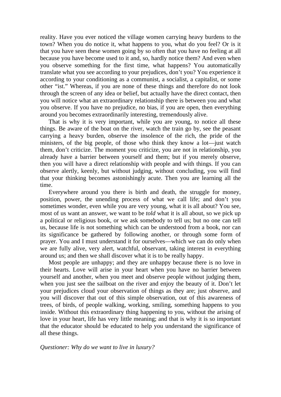reality. Have you ever noticed the village women carrying heavy burdens to the town? When you do notice it, what happens to you, what do you feel? Or is it that you have seen these women going by so often that you have no feeling at all because you have become used to it and, so, hardly notice them? And even when you observe something for the first time, what happens? You automatically translate what you see according to your prejudices, don't you? You experience it according to your conditioning as a communist, a socialist, a capitalist, or some other "ist." Whereas, if you are none of these things and therefore do not look through the screen of any idea or belief, but actually have the direct contact, then you will notice what an extraordinary relationship there is between you and what you observe. If you have no prejudice, no bias, if you are open, then everything around you becomes extraordinarily interesting, tremendously alive.

That is why it is very important, while you are young, to notice all these things. Be aware of the boat on the river, watch the train go by, see the peasant carrying a heavy burden, observe the insolence of the rich, the pride of the ministers, of the big people, of those who think they know a lot—just watch them, don't criticize. The moment you criticize, you are not in relationship, you already have a barrier between yourself and them; but if you merely observe, then you will have a direct relationship with people and with things. If you can observe alertly, keenly, but without judging, without concluding, you will find that your thinking becomes astonishingly acute. Then you are learning all the time.

Everywhere around you there is birth and death, the struggle for money, position, power, the unending process of what we call life; and don't you sometimes wonder, even while you are very young, what it is all about? You see, most of us want an answer, we want to be *told* what it is all about, so we pick up a political or religious book, or we ask somebody to tell us; but no one can tell us, because life is not something which can be understood from a book, nor can its significance be gathered by following another, or through some form of prayer. You and I must understand it for ourselves—which we can do only when we are fully alive, very alert, watchful, observant, taking interest in everything around us; and then we shall discover what it is to be really happy.

Most people are unhappy; and they are unhappy because there is no love in their hearts. Love will arise in your heart when you have no barrier between yourself and another, when you meet and observe people without judging them, when you just see the sailboat on the river and enjoy the beauty of it. Don't let your prejudices cloud your observation of things as they are; just observe, and you will discover that out of this simple observation, out of this awareness of trees, of birds, of people walking, working, smiling, something happens to you inside. Without this extraordinary thing happening to you, without the arising of love in your heart, life has very little meaning; and that is why it is so important that the educator should be educated to help you understand the significance of all these things.

*Questioner: Why do we want to live in luxury?*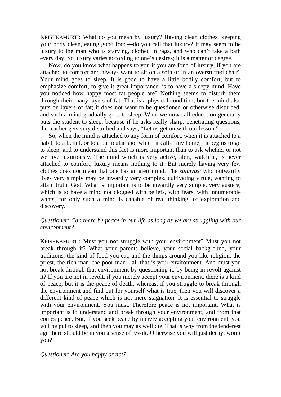KRISHNAMURTI: What do you mean by luxury? Having clean clothes, keeping your body clean, eating good food—do you call that luxury? It may seem to be luxury to the man who is starving, clothed in rags, and who can't take a bath every day. So luxury varies according to one's desires; it is a matter of degree.

Now, do you know what happens to you if you are fond of luxury, if you are attached to comfort and always want to sit on a sofa or in an overstuffed chair? Your mind goes to sleep. It is good to have a little bodily comfort; but to emphasize comfort, to give it great importance, is to have a sleepy mind. Have you noticed how happy most fat people are? Nothing seems to disturb them through their many layers of fat. That is a physical condition, but the mind also puts on layers of fat; it does not want to be questioned or otherwise disturbed, and such a mind gradually goes to sleep. What we now call education generally puts the student to sleep, because if he asks really sharp, penetrating questions, the teacher gets very disturbed and says, "Let us get on with our lesson."

So, when the mind is attached to any form of comfort, when it is attached to a habit, to a belief, or to a particular spot which it calls "my home," it begins to go to sleep; and to understand this fact is more important than to ask whether or not we live luxuriously. The mind which is very active, alert, watchful, is never attached to comfort; luxury means nothing to it. But merely having very few clothes does not mean that one has an alert mind. The *sannyasi* who outwardly lives very simply may be inwardly very complex, cultivating virtue, wanting to attain truth, God. What is important is to be inwardly very simple, very austere, which is to have a mind not clogged with beliefs, with fears, with innumerable wants, for only such a mind is capable of real thinking, of exploration and discovery.

#### *Questioner: Can there be peace in our life as long as we are struggling with our environment?*

KRISHNAMURTI: Must you not struggle with your environment? Must you not break through it? What your parents believe, your social background, your traditions, the kind of food you eat, and the things around you like religion, the priest, the rich man, the poor man—all that is your environment. And must you not break through that environment by questioning it, by being in revolt against it? If you are not in revolt, if you merely accept your environment, there is a kind of peace, but it is the peace of death; whereas, if you struggle to break through the environment and find out for yourself what is true, then you will discover a different kind of peace which is not mere stagnation. It is essential to struggle with your environment. You must. Therefore peace is not important. What is important is to understand and break through your environment; and from that comes peace. But, if you seek peace by merely accepting your environment, you will be put to sleep, and then you may as well die. That is why from the tenderest age there should be in you a sense of revolt. Otherwise you will just decay, won't you?

#### *Questioner: Are you happy or not?*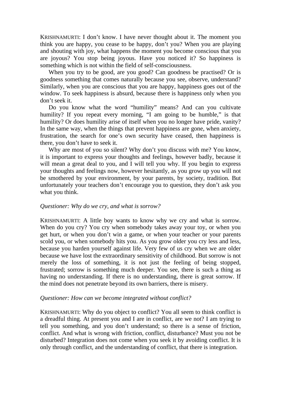KRISHNAMURTI: I don't know. I have never thought about it. The moment you think you are happy, you cease to be happy, don't you? When you are playing and shouting with joy, what happens the moment you become conscious that you are joyous? You stop being joyous. Have you noticed it? So happiness is something which is not within the field of self-consciousness.

When you try to be good, are you good? Can goodness be practised? Or is goodness something that comes naturally because you see, observe, understand? Similarly, when you are conscious that you are happy, happiness goes out of the window. To seek happiness is absurd, because there is happiness only when you don't seek it.

Do you know what the word "humility" means? And can you cultivate humility? If you repeat every morning, "I am going to be humble," is that humility? Or does humility arise of itself when you no longer have pride, vanity? In the same way, when the things that prevent happiness are gone, when anxiety, frustration, the search for one's own security have ceased, then happiness is there, you don't have to seek it.

Why are most of you so silent? Why don't you discuss with me? You know, it is important to express your thoughts and feelings, however badly, because it will mean a great deal to you, and I will tell you why. If you begin to express your thoughts and feelings now, however hesitantly, as you grow up you will not be smothered by your environment, by your parents, by society, tradition. But unfortunately your teachers don't encourage you to question, they don't ask you what you think.

#### *Questioner: Why do we cry, and what is sorrow?*

KRISHNAMURTI: A little boy wants to know why we cry and what is sorrow. When do you cry? You cry when somebody takes away your toy, or when you get hurt, or when you don't win a game, or when your teacher or your parents scold you, or when somebody hits you. As you grow older you cry less and less, because you harden yourself against life. Very few of us cry when we are older because we have lost the extraordinary sensitivity of childhood. But sorrow is not merely the loss of something, it is not just the feeling of being stopped, frustrated; sorrow is something much deeper. You see, there is such a thing as having no understanding. If there is no understanding, there is great sorrow. If the mind does not penetrate beyond its own barriers, there is misery.

#### *Questioner: How can we become integrated without conflict?*

KRISHNAMURTI: Why do you object to conflict? You all seem to think conflict is a dreadful thing. At present you and I are in conflict, are we not? I am trying to tell you something, and you don't understand; so there is a sense of friction, conflict. And what is wrong with friction, conflict, disturbance? Must you not be disturbed? Integration does not come when you seek it by avoiding conflict. It is only through conflict, and the understanding of conflict, that there is integration.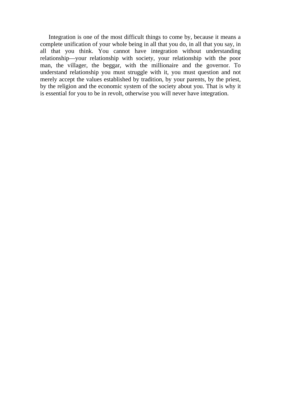Integration is one of the most difficult things to come by, because it means a complete unification of your whole being in all that you do, in all that you say, in all that you think. You cannot have integration without understanding relationship—your relationship with society, your relationship with the poor man, the villager, the beggar, with the millionaire and the governor. To understand relationship you must struggle with it, you must question and not merely accept the values established by tradition, by your parents, by the priest, by the religion and the economic system of the society about you. That is why it is essential for you to be in revolt, otherwise you will never have integration.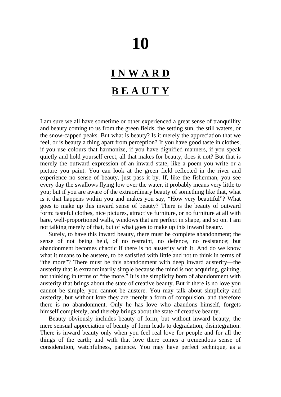# **10**

### **INWARD BEAUTY**

I am sure we all have sometime or other experienced a great sense of tranquillity and beauty coming to us from the green fields, the setting sun, the still waters, or the snow-capped peaks. But what is beauty? Is it merely the appreciation that we feel, or is beauty a thing apart from perception? If you have good taste in clothes, if you use colours that harmonize, if you have dignified manners, if you speak quietly and hold yourself erect, all that makes for beauty, does it not? But that is merely the outward expression of an inward state, like a poem you write or a picture you paint. You can look at the green field reflected in the river and experience no sense of beauty, just pass it by. If, like the fisherman, you see every day the swallows flying low over the water, it probably means very little to you; but if you are aware of the extraordinary beauty of something like that, what is it that happens within you and makes you say, "How very beautiful"? What goes to make up this inward sense of beauty? There is the beauty of outward form: tasteful clothes, nice pictures, attractive furniture, or no furniture at all with bare, well-proportioned walls, windows that are perfect in shape, and so on. I am not talking merely of that, but of what goes to make up this inward beauty.

Surely, to have this inward beauty, there must be complete abandonment; the sense of not being held, of no restraint, no defence, no resistance; but abandonment becomes chaotic if there is no austerity with it. And do we know what it means to be austere, to be satisfied with little and not to think in terms of "the more"? There must be this abandonment with deep inward austerity—the austerity that is extraordinarily simple because the mind is not acquiring, gaining, not thinking in terms of "the more." It is the simplicity born of abandonment with austerity that brings about the state of creative beauty. But if there is no love you cannot be simple, you cannot be austere. You may talk about simplicity and austerity, but without love they are merely a form of compulsion, and therefore there is no abandonment. Only he has love who abandons himself, forgets himself completely, and thereby brings about the state of creative beauty.

Beauty obviously includes beauty of form; but without inward beauty, the mere sensual appreciation of beauty of form leads to degradation, disintegration. There is inward beauty only when you feel real love for people and for all the things of the earth; and with that love there comes a tremendous sense of consideration, watchfulness, patience. You may have perfect technique, as a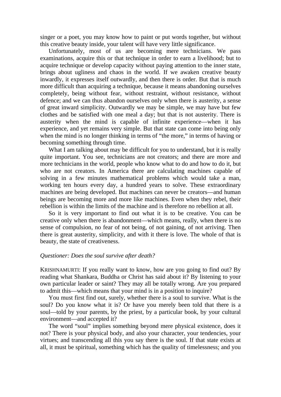singer or a poet, you may know how to paint or put words together, but without this creative beauty inside, your talent will have very little significance.

Unfortunately, most of us are becoming mere technicians. We pass examinations, acquire this or that technique in order to earn a livelihood; but to acquire technique or develop capacity without paying attention to the inner state, brings about ugliness and chaos in the world. If we awaken creative beauty inwardly, it expresses itself outwardly, and then there is order. But that is much more difficult than acquiring a technique, because it means abandoning ourselves completely, being without fear, without restraint, without resistance, without defence; and we can thus abandon ourselves only when there is austerity, a sense of great inward simplicity. Outwardly we may be simple, we may have but few clothes and be satisfied with one meal a day; but that is not austerity. There is austerity when the mind is capable of infinite experience—when it has experience, and yet remains very simple. But that state can come into being only when the mind is no longer thinking in terms of "the more," in terms of having or becoming something through time.

What I am talking about may be difficult for you to understand, but it is really quite important. You see, technicians are not creators; and there are more and more technicians in the world, people who know what to do and how to do it, but who are not creators. In America there are calculating machines capable of solving in a few minutes mathematical problems which would take a man, working ten hours every day, a hundred years to solve. These extraordinary machines are being developed. But machines can never be creators—and human beings are becoming more and more like machines. Even when they rebel, their rebellion is within the limits of the machine and is therefore no rebellion at all.

So it is very important to find out what it is to be creative. You can be creative only when there is abandonment—which means, really, when there is no sense of compulsion, no fear of not being, of not gaining, of not arriving. Then there is great austerity, simplicity, and with it there is love. The whole of that is beauty, the state of creativeness.

#### *Questioner: Does the soul survive after death?*

KRISHNAMURTI: If you really want to know, how are you going to find out? By reading what Shankara, Buddha or Christ has said about it? By listening to your own particular leader or saint? They may all be totally wrong. Are you prepared to admit this—which means that your mind is in a position to inquire?

You must first find out, surely, whether there is a soul to survive. What is the soul? Do you know what it is? Or have you merely been told that there is a soul—told by your parents, by the priest, by a particular book, by your cultural environment—and accepted it?

The word "soul" implies something beyond mere physical existence, does it not? There is your physical body, and also your character, your tendencies, your virtues; and transcending all this you say there is the soul. If that state exists at all, it must be spiritual, something which has the quality of timelessness; and you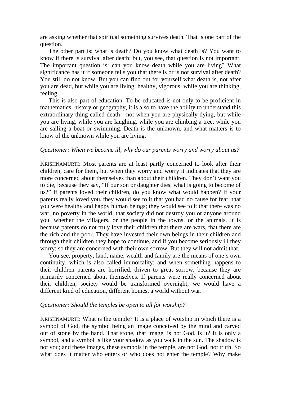are asking whether that spiritual something survives death. That is one part of the question.

The other part is: what is death? Do you know what death is? You want to know if there is survival after death; but, you see, that question is not important. The important question is: can you know death while you are living? What significance has it if someone tells you that there is or is not survival after death? You still do not know. But you can find out for yourself what death is, not after you are dead, but while you are living, healthy, vigorous, while you are thinking, feeling.

This is also part of education. To be educated is not only to be proficient in mathematics, history or geography, it is also to have the ability to understand this extraordinary thing called death—not when you are physically dying, but while you are living, while you are laughing, while you are climbing a tree, while you are sailing a boat or swimming. Death is the unknown, and what matters is to know of the unknown while you are living.

#### *Questioner: When we become ill, why do our parents worry and worry about us?*

KRISHNAMURTI: Most parents are at least partly concerned to look after their children, care for them, but when they worry and worry it indicates that they are more concerned about themselves than about their children. They don't want you to die, because they say, "If our son or daughter dies, what is going to become of us?" If parents loved their children, do you know what would happen? If your parents really loved you, they would see to it that you had no cause for fear, that you were healthy and happy human beings; they would see to it that there was no war, no poverty in the world, that society did not destroy you or anyone around you, whether the villagers, or the people in the towns, or the animals. It is because parents do not truly love their children that there are wars, that there are the rich and the poor. They have invested their own beings in their children and through their children they hope to continue, and if you become seriously ill they worry; so they are concerned with their own sorrow. But they will not admit that.

You see, property, land, name, wealth and family are the means of one's own continuity, which is also called immortality; and when something happens to their children parents are horrified, driven to great sorrow, because they are primarily concerned about themselves. If parents were really concerned about their children, society would be transformed overnight; we would have a different kind of education, different homes, a world without war.

#### *Questioner: Should the temples be open to all for worship?*

KRISHNAMURTI: What is the temple? It is a place of worship in which there is a symbol of God, the symbol being an image conceived by the mind and carved out of stone by the hand. That stone, that image, is not God, is it? It is only a symbol, and a symbol is like your shadow as you walk in the sun. The shadow is not you; and these images, these symbols in the temple, are not God, not truth. So what does it matter who enters or who does not enter the temple? Why make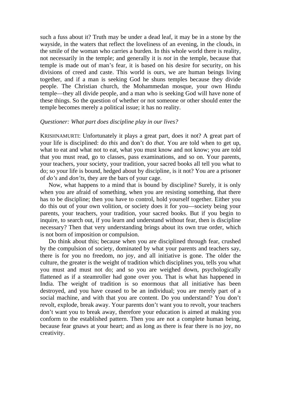such a fuss about it? Truth may be under a dead leaf, it may be in a stone by the wayside, in the waters that reflect the loveliness of an evening, in the clouds, in the smile of the woman who carries a burden. In this whole world there is reality, not necessarily in the temple; and generally it is *not* in the temple, because that temple is made out of man's fear, it is based on his desire for security, on his divisions of creed and caste. This world is ours, we are human beings living together, and if a man is seeking God he shuns temples because they divide people. The Christian church, the Mohammedan mosque, your own Hindu temple—they all divide people, and a man who is seeking God will have none of these things. So the question of whether or not someone or other should enter the temple becomes merely a political issue; it has no reality.

#### *Questioner: What part does discipline play in our lives?*

KRISHNAMURTI: Unfortunately it plays a great part, does it not? A great part of your life is disciplined: do *this* and don't do *that*. You are told when to get up, what to eat and what not to eat, what you must know and not know; you are told that you must read, go to classes, pass examinations, and so on. Your parents, your teachers, your society, your tradition, your sacred books all tell you what to do; so your life is bound, hedged about by discipline, is it not? You are a prisoner of *do's* and *don'ts*, they are the bars of your cage.

Now, what happens to a mind that is bound by discipline? Surely, it is only when you are afraid of something, when you are resisting something, that there has to be discipline; then you have to control, hold yourself together. Either you do this out of your own volition, or society does it for you—society being your parents, your teachers, your tradition, your sacred books. But if you begin to inquire, to search out, if you learn and understand without fear, then is discipline necessary? Then that very understanding brings about its own true order, which is not born of imposition or compulsion.

Do think about this; because when you are disciplined through fear, crushed by the compulsion of society, dominated by what your parents and teachers say, there is for you no freedom, no joy, and all initiative is gone. The older the culture, the greater is the weight of tradition which disciplines you, tells you what you must and must not do; and so you are weighed down, psychologically flattened as if a steamroller had gone over you. That is what has happened in India. The weight of tradition is so enormous that all initiative has been destroyed, and you have ceased to be an individual; you are merely part of a social machine, and with that you are content. Do you understand? You don't revolt, explode, break away. Your parents don't want you to revolt, your teachers don't want you to break away, therefore your education is aimed at making you conform to the established pattern. Then you are not a complete human being, because fear gnaws at your heart; and as long as there is fear there is no joy, no creativity.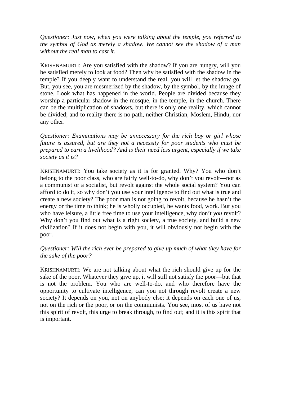*Questioner: Just now, when you were talking about the temple, you referred to the symbol of God as merely a shadow. We cannot see the shadow of a man without the real man to cast it.* 

KRISHNAMURTI: Are you satisfied with the shadow? If you are hungry, will you be satisfied merely to look at food? Then why be satisfied with the shadow in the temple? If you deeply want to understand the real, you will let the shadow go. But, you see, you are mesmerized by the shadow, by the symbol, by the image of stone. Look what has happened in the world. People are divided because they worship a particular shadow in the mosque, in the temple, in the church. There can be the multiplication of shadows, but there is only one reality, which cannot be divided; and to reality there is no path, neither Christian, Moslem, Hindu, nor any other.

*Questioner: Examinations may be unnecessary for the rich boy or girl whose future is assured, but are they not a necessity for poor students who must be prepared to earn a livelihood? And is their need less urgent, especially if we take society as it is?* 

KRISHNAMURTI: You take society as it is for granted. Why? You who don't belong to the poor class, who are fairly well-to-do, why don't you revolt—not as a communist or a socialist, but revolt against the whole social system? You can afford to do it, so why don't you use your intelligence to find out what is true and create a new society? The poor man is not going to revolt, because he hasn't the energy or the time to think; he is wholly occupied, he wants food, work. But you who have leisure, a little free time to use your intelligence, why don't *you* revolt? Why don't you find out what is a right society, a true society, and build a new civilization? If it does not begin with you, it will obviously not begin with the poor.

#### *Questioner: Will the rich ever be prepared to give up much of what they have for the sake of the poor?*

KRISHNAMURTI: We are not talking about what the rich should give up for the sake of the poor. Whatever they give up, it will still not satisfy the poor—but that is not the problem. You who are well-to-do, and who therefore have the opportunity to cultivate intelligence, can you not through revolt create a new society? It depends on you, not on anybody else; it depends on each one of us, not on the rich or the poor, or on the communists. You see, most of us have not this spirit of revolt, this urge to break through, to find out; and it is this spirit that is important.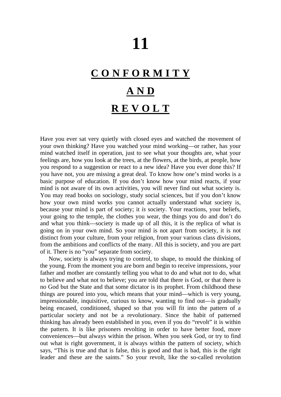# **11**

## **CONFORMITY AND REVOLT**

Have you ever sat very quietly with closed eyes and watched the movement of your own thinking? Have you watched your mind working—or rather, has your mind watched itself in operation, just to see what your thoughts are, what your feelings are, how you look at the trees, at the flowers, at the birds, at people, how you respond to a suggestion or react to a new idea? Have you ever done this? If you have not, you are missing a great deal. To know how one's mind works is a basic purpose of education. If you don't know how your mind reacts, if your mind is not aware of its own activities, you will never find out what society is. You may read books on sociology, study social sciences, but if you don't know how your own mind works you cannot actually understand what society is, because your mind is part of society; it *is* society. Your reactions, your beliefs, your going to the temple, the clothes you wear, the things you do and don't do and what you think—society is made up of all this, it is the replica of what is going on in your own mind. So your mind is not apart from society, it is not distinct from your culture, from your religion, from your various class divisions, from the ambitions and conflicts of the many. All this is society, and you are part of it. There is no "you" separate from society.

Now, society is always trying to control, to shape, to mould the thinking of the young. From the moment you are born and begin to receive impressions, your father and mother are constantly telling you what to do and what not to do, what to believe and what not to believe; you are told that there is God, or that there is no God but the State and that some dictator is its prophet. From childhood these things are poured into you, which means that your mind—which is very young, impressionable, inquisitive, curious to know, wanting to find out—is gradually being encased, conditioned, shaped so that you will fit into the pattern of a particular society and not be a revolutionary. Since the habit of patterned thinking has already been established in you, even if you do "revolt" it is within the pattern. It is like prisoners revolting in order to have better food, more conveniences—but always within the prison. When you seek God, or try to find out what is right government, it is always within the pattern of society, which says, "This is true and that is false, this is good and that is bad, this is the right leader and these are the saints." So your revolt, like the so-called revolution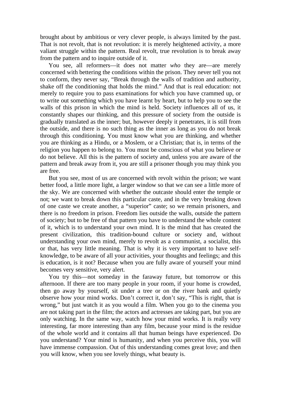brought about by ambitious or very clever people, is always limited by the past. That is not revolt, that is not revolution: it is merely heightened activity, a more valiant struggle within the pattern. Real revolt, true revolution is to break away from the pattern and to inquire outside of it.

You see, all reformers—it does not matter *who* they are—are merely concerned with bettering the conditions within the prison. They never tell you not to conform, they never say, "Break through the walls of tradition and authority, shake off the conditioning that holds the mind." And that is real education: not merely to require you to pass examinations for which you have crammed up, or to write out something which you have learnt by heart, but to help you to see the walls of this prison in which the mind is held. Society influences all of us, it constantly shapes our thinking, and this pressure of society from the outside is gradually translated as the inner; but, however deeply it penetrates, it is still from the outside, and there is no such thing as the inner as long as you do not break through this conditioning. You must know what you are thinking, and whether you are thinking as a Hindu, or a Moslem, or a Christian; that is, in terms of the religion you happen to belong to. You must be conscious of what you believe or do not believe. All this is the pattern of society and, unless you are aware of the pattern and break away from it, you are still a prisoner though you may think you are free.

But you see, most of us are concerned with revolt within the prison; we want better food, a little more light, a larger window so that we can see a little more of the sky. We are concerned with whether the outcaste should enter the temple or not; we want to break down this particular caste, and in the very breaking down of one caste we create another, a "superior" caste; so we remain prisoners, and there is no freedom in prison. Freedom lies outside the walls, outside the pattern of society; but to be free of that pattern you have to understand the whole content of it, which is to understand your own mind. It is the mind that has created the present civilization, this tradition-bound culture or society and, without understanding your own mind, merely to revolt as a communist, a socialist, this or that, has very little meaning. That is why it is very important to have selfknowledge, to be aware of all your activities, your thoughts and feelings; and this is education, is it not? Because when you are fully aware of yourself your mind becomes very sensitive, very alert.

You try this—not someday in the faraway future, but tomorrow or this afternoon. If there are too many people in your room, if your home is crowded, then go away by yourself, sit under a tree or on the river bank and quietly observe how your mind works. Don't correct it, don't say, "This is right, that is wrong," but just watch it as you would a film. When you go to the cinema you are not taking part in the film; the actors and actresses are taking part, but you are only watching. In the same way, watch how your mind works. It is really very interesting, far more interesting than any film, because your mind is the residue of the whole world and it contains all that human beings have experienced. Do you understand? Your mind is humanity, and when you perceive this, you will have immense compassion. Out of this understanding comes great love; and then you will know, when you see lovely things, what beauty is.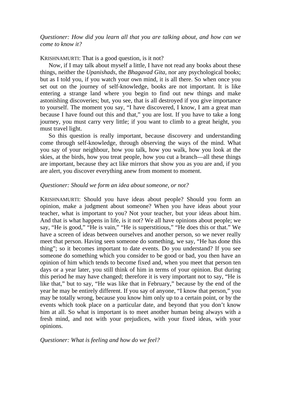*Questioner: How did you learn all that you are talking about, and how can we come to know it?* 

#### KRISHNAMURTI: That is a good question, is it not?

Now, if I may talk about myself a little, I have not read any books about these things, neither the *Upanishads*, the *Bhagavad Gita*, nor any psychological books; but as I told you, if you watch your own mind, it is all there. So when once you set out on the journey of self-knowledge, books are not important. It is like entering a strange land where you begin to find out new things and make astonishing discoveries; but, you see, that is all destroyed if you give importance to yourself. The moment you say, "I have discovered, I know, I am a great man because I have found out this and that," you are lost. If you have to take a long journey, you must carry very little; if you want to climb to a great height, you must travel light.

So this question is really important, because discovery and understanding come through self-knowledge, through observing the ways of the mind. What you say of your neighbour, how you talk, how you walk, how you look at the skies, at the birds, how you treat people, how you cut a branch—all these things are important, because they act like mirrors that show you as you are and, if you are alert, you discover everything anew from moment to moment.

#### *Questioner: Should we form an idea about someone, or not?*

KRISHNAMURTI: Should you have ideas about people? Should you form an opinion, make a judgment about someone? When you have ideas about your teacher, what is important to you? Not your teacher, but your ideas about him. And that is what happens in life, is it not? We all have opinions about people; we say, "He is good," "He is vain," "He is superstitious," "He does this or that." We have a screen of ideas between ourselves and another person, so we never really meet that person. Having seen someone do something, we say, "He has done this thing"; so it becomes important to date events. Do you understand? If you see someone do something which you consider to be good or bad, you then have an opinion of him which tends to become fixed and, when you meet that person ten days or a year later, you still think of him in terms of your opinion. But during this period he may have changed; therefore it is very important not to say, "He is like that," but to say, "He was like that in February," because by the end of the year he may be entirely different. If you say of anyone, "I know that person," you may be totally wrong, because you know him only up to a certain point, or by the events which took place on a particular date, and beyond that you don't know him at all. So what is important is to meet another human being always with a fresh mind, and not with your prejudices, with your fixed ideas, with your opinions.

#### *Questioner: What is feeling and how do we feel?*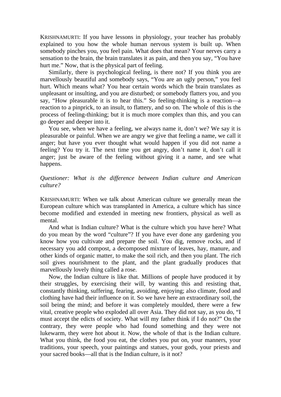KRISHNAMURTI: If you have lessons in physiology, your teacher has probably explained to you how the whole human nervous system is built up. When somebody pinches you, you feel pain. What does that mean? Your nerves carry a sensation to the brain, the brain translates it as pain, and then you say, "You have hurt me." Now, that is the physical part of feeling.

Similarly, there is psychological feeling, is there not? If you think you are marvellously beautiful and somebody says, "You are an ugly person," you feel hurt. Which means what? You hear certain words which the brain translates as unpleasant or insulting, and you are disturbed; or somebody flatters you, and you say, "How pleasurable it is to hear this." So feeling-thinking is a reaction—a reaction to a pinprick, to an insult, to flattery, and so on. The whole of this is the process of feeling-thinking; but it is much more complex than this, and you can go deeper and deeper into it.

You see, when we have a feeling, we always name it, don't we? We say it is pleasurable or painful. When we are angry we give that feeling a name, we call it anger; but have you ever thought what would happen if you did not name a feeling? You try it. The next time you get angry, don't name it, don't call it anger; just be aware of the feeling without giving it a name, and see what happens.

#### *Questioner: What is the difference between Indian culture and American culture?*

KRISHNAMURTI: When we talk about American culture we generally mean the European culture which was transplanted in America, a culture which has since become modified and extended in meeting new frontiers, physical as well as mental.

And what is Indian culture? What is the culture which you have here? What do you mean by the word "culture"? If you have ever done any gardening you know how you cultivate and prepare the soil. You dig, remove rocks, and if necessary you add compost, a decomposed mixture of leaves, hay, manure, and other kinds of organic matter, to make the soil rich, and then you plant. The rich soil gives nourishment to the plant, and the plant gradually produces that marvellously lovely thing called a rose.

Now, the Indian culture is like that. Millions of people have produced it by their struggles, by exercising their will, by wanting this and resisting that, constantly thinking, suffering, fearing, avoiding, enjoying; also climate, food and clothing have had their influence on it. So we have here an extraordinary soil, the soil being the mind; and before it was completely moulded, there were a few vital, creative people who exploded all over Asia. They did not say, as you do, "I must accept the edicts of society. What will my father think if I do not?" On the contrary, they were people who had found something and they were not lukewarm, they were hot about it. Now, the whole of that is the Indian culture. What you think, the food you eat, the clothes you put on, your manners, your traditions, your speech, your paintings and statues, your gods, your priests and your sacred books—all that is the Indian culture, is it not?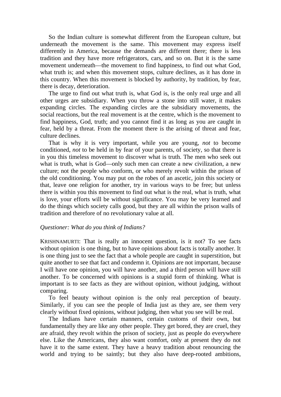So the Indian culture is somewhat different from the European culture, but underneath the movement is the same. This movement may express itself differently in America, because the demands are different there; there is less tradition and they have more refrigerators, cars, and so on. But it is the same movement underneath—the movement to find happiness, to find out what God, what truth is; and when this movement stops, culture declines, as it has done in this country. When this movement is blocked by authority, by tradition, by fear, there is decay, deterioration.

The urge to find out what truth is, what God is, is the only real urge and all other urges are subsidiary. When you throw a stone into still water, it makes expanding circles. The expanding circles are the subsidiary movements, the social reactions, but the real movement is at the centre, which is the movement to find happiness, God, truth; and you cannot find it as long as you are caught in fear, held by a threat. From the moment there is the arising of threat and fear, culture declines.

That is why it is very important, while you are young, *not* to become conditioned, *not* to be held in by fear of your parents, of society, so that there is in you this timeless movement to discover what is truth. The men who seek out what is truth, what is God—only such men can create a new civilization, a new culture; not the people who conform, or who merely revolt within the prison of the old conditioning. You may put on the robes of an ascetic, join this society or that, leave one religion for another, try in various ways to be free; but unless there is within you this movement to find out what is the real, what is truth, what is love, your efforts will be without significance. You may be very learned and do the things which society calls good, but they are all within the prison walls of tradition and therefore of no revolutionary value at all.

#### *Questioner: What do you think of Indians?*

KRISHNAMURTI: That is really an innocent question, is it not? To see facts without opinion is one thing, but to have opinions about facts is totally another. It is one thing just to see the fact that a whole people are caught in superstition, but quite another to see that fact and condemn it. Opinions are not important, because I will have one opinion, you will have another, and a third person will have still another. To be concerned with opinions is a stupid form of thinking. What is important is to see facts as they are without opinion, without judging, without comparing.

To feel beauty without opinion is the only real perception of beauty. Similarly, if you can see the people of India just as they are, see them very clearly without fixed opinions, without judging, then what you see will be real.

The Indians have certain manners, certain customs of their own, but fundamentally they are like any other people. They get bored, they are cruel, they are afraid, they revolt within the prison of society, just as people do everywhere else. Like the Americans, they also want comfort, only at present they do not have it to the same extent. They have a heavy tradition about renouncing the world and trying to be saintly; but they also have deep-rooted ambitions,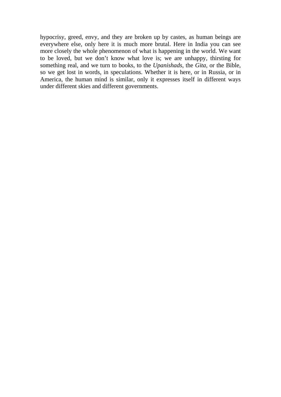hypocrisy, greed, envy, and they are broken up by castes, as human beings are everywhere else, only here it is much more brutal. Here in India you can see more closely the whole phenomenon of what is happening in the world. We want to be loved, but we don't know what love is; we are unhappy, thirsting for something real, and we turn to books, to the *Upanishads*, the *Gita*, or the Bible, so we get lost in words, in speculations. Whether it is here, or in Russia, or in America, the human mind is similar, only it expresses itself in different ways under different skies and different governments.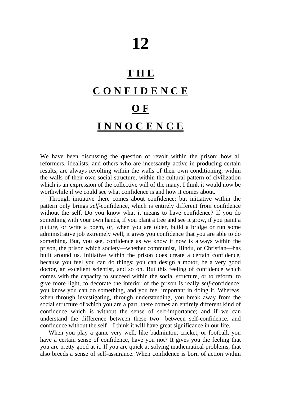# **12**

# **THE CONFIDENCE O F INNOCENCE**

We have been discussing the question of revolt within the prison: how all reformers, idealists, and others who are incessantly active in producing certain results, are always revolting within the walls of their own conditioning, within the walls of their own social structure, within the cultural pattern of civilization which is an expression of the collective will of the many. I think it would now be worthwhile if we could see what confidence is and how it comes about.

Through initiative there comes about confidence; but initiative within the pattern only brings *self*-confidence, which is entirely different from confidence without the self. Do you know what it means to have confidence? If you do something with your own hands, if you plant a tree and see it grow, if you paint a picture, or write a poem, or, when you are older, build a bridge or run some administrative job extremely well, it gives you confidence that you are able to do something. But, you see, confidence as we know it now is always within the prison, the prison which society—whether communist, Hindu, or Christian—has built around us. Initiative within the prison does create a certain confidence, because you feel you can do things: you can design a motor, be a very good doctor, an excellent scientist, and so on. But this feeling of confidence which comes with the capacity to succeed within the social structure, or to reform, to give more light, to decorate the interior of the prison is really *self*-confidence; you know you can do something, and you feel important in doing it. Whereas, when through investigating, through understanding, you break away from the social structure of which you are a part, there comes an entirely different kind of confidence which is without the sense of self-importance; and if we can understand the difference between these two—between self-confidence, and confidence without the self—I think it will have great significance in our life.

When you play a game very well, like badminton, cricket, or football, you have a certain sense of confidence, have you not? It gives you the feeling that you are pretty good at it. If you are quick at solving mathematical problems, that also breeds a sense of self-assurance. When confidence is born of action within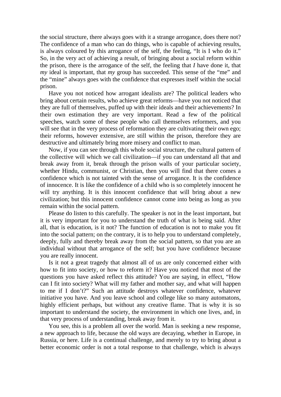the social structure, there always goes with it a strange arrogance, does there not? The confidence of a man who can do things, who is capable of achieving results, is always coloured by this arrogance of the self, the feeling, "It is I who do it." So, in the very act of achieving a result, of bringing about a social reform within the prison, there is the arrogance of the self, the feeling that *I* have done it, that *my* ideal is important, that *my* group has succeeded. This sense of the "me" and the "mine" always goes with the confidence that expresses itself within the social prison.

Have you not noticed how arrogant idealists are? The political leaders who bring about certain results, who achieve great reforms—have you not noticed that they are full of themselves, puffed up with their ideals and their achievements? In their own estimation they are very important. Read a few of the political speeches, watch some of these people who call themselves reformers, and you will see that in the very process of reformation they are cultivating their own ego; their reforms, however extensive, are still within the prison, therefore they are destructive and ultimately bring more misery and conflict to man.

Now, if you can see through this whole social structure, the cultural pattern of the collective will which we call civilization—if you can understand all that and break away from it, break through the prison walls of your particular society, whether Hindu, communist, or Christian, then you will find that there comes a confidence which is not tainted with the sense of arrogance. It is the confidence of innocence. It is like the confidence of a child who is so completely innocent he will try anything. It is this innocent confidence that will bring about a new civilization; but this innocent confidence cannot come into being as long as you remain within the social pattern.

Please do listen to this carefully. The speaker is not in the least important, but it is very important for you to understand the truth of what is being said. After all, that is education, is it not? The function of education is not to make you fit into the social pattern; on the contrary, it is to help you to understand completely, deeply, fully and thereby break away from the social pattern, so that you are an individual without that arrogance of the self; but you have confidence because you are really innocent.

Is it not a great tragedy that almost all of us are only concerned either with how to fit into society, or how to reform it? Have you noticed that most of the questions you have asked reflect this attitude? You are saying, in effect, "How can I fit into society? What will my father and mother say, and what will happen to me if I don't?" Such an attitude destroys whatever confidence, whatever initiative you have. And you leave school and college like so many automatons, highly efficient perhaps, but without any creative flame. That is why it is so important to understand the society, the environment in which one lives, and, in that very process of understanding, break away from it.

You see, this is a problem all over the world. Man is seeking a new response, a new approach to life, because the old ways are decaying, whether in Europe, in Russia, or here. Life is a continual challenge, and merely to try to bring about a better economic order is not a total response to that challenge, which is always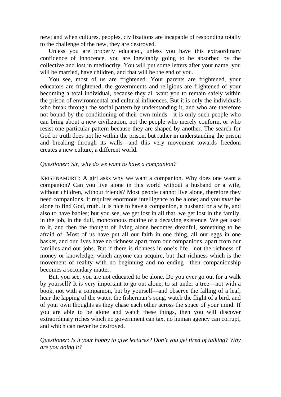new; and when cultures, peoples, civilizations are incapable of responding totally to the challenge of the new, they are destroyed.

Unless you are properly educated, unless you have this extraordinary confidence of innocence, you are inevitably going to be absorbed by the collective and lost in mediocrity. You will put some letters after your name, you will be married, have children, and that will be the end of you.

You see, most of us are frightened. Your parents are frightened, your educators are frightened, the governments and religions are frightened of your becoming a total individual, because they all want you to remain safely within the prison of environmental and cultural influences. But it is only the individuals who break through the social pattern by understanding it, and who are therefore not bound by the conditioning of their own minds—it is only such people who can bring about a new civilization, not the people who merely conform, or who resist one particular pattern because they are shaped by another. The search for God or truth does not lie within the prison, but rather in understanding the prison and breaking through its walls—and this very movement towards freedom creates a new culture, a different world.

#### *Questioner: Sir, why do we want to have a companion?*

KRISHNAMURTI: A girl asks why we want a companion. Why does one want a companion? Can you live alone in this world without a husband or a wife, without children, without friends? Most people cannot live alone, therefore they need companions. It requires enormous intelligence to be alone; and you *must* be alone to find God, truth. It is nice to have a companion, a husband or a wife, and also to have babies; but you see, we get lost in all that, we get lost in the family, in the job, in the dull, monotonous routine of a decaying existence. We get used to it, and then the thought of living alone becomes dreadful, something to be afraid of. Most of us have put all our faith in one thing, all our eggs in one basket, and our lives have no richness apart from our companions, apart from our families and our jobs. But if there is richness in one's life—not the richness of money or knowledge, which anyone can acquire, but that richness which is the movement of reality with no beginning and no ending—then companionship becomes a secondary matter.

But, you see, you are not educated to be alone. Do you ever go out for a walk by yourself? It is very important to go out alone, to sit under a tree—not with a book, not with a companion, but by yourself—and observe the falling of a leaf, hear the lapping of the water, the fisherman's song, watch the flight of a bird, and of your own thoughts as they chase each other across the space of your mind. If you are able to be alone and watch these things, then you will discover extraordinary riches which no government can tax, no human agency can corrupt, and which can never be destroyed.

*Questioner: Is it your hobby to give lectures? Don't you get tired of talking? Why are you doing it?*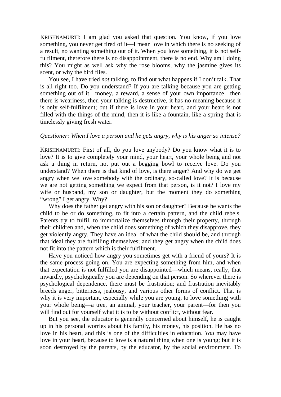KRISHNAMURTI: I am glad you asked that question. You know, if you love something, you never get tired of it—I mean love in which there is no seeking of a result, no wanting something out of it. When you love something, it is not selffulfilment, therefore there is no disappointment, there is no end. Why am I doing this? You might as well ask why the rose blooms, why the jasmine gives its scent, or why the bird flies.

You see, I have tried *not* talking, to find out what happens if I don't talk. That is all right too. Do you understand? If you are talking because you are getting something out of it—money, a reward, a sense of your own importance—then there is weariness, then your talking is destructive, it has no meaning because it is only self-fulfilment; but if there is love in your heart, and your heart is not filled with the things of the mind, then it is like a fountain, like a spring that is timelessly giving fresh water.

#### *Questioner: When I love a person and he gets angry, why is his anger so intense?*

KRISHNAMURTI: First of all, do you love anybody? Do you know what it is to love? It is to give completely your mind, your heart, your whole being and not ask a thing in return, not put out a begging bowl to receive love. Do you understand? When there is that kind of love, is there anger? And why do we get angry when we love somebody with the ordinary, so-called love? It is because we are not getting something we expect from that person, is it not? I love my wife or husband, my son or daughter, but the moment they do something "wrong" I get angry. Why?

Why does the father get angry with his son or daughter? Because he wants the child to be or do something, to fit into a certain pattern, and the child rebels. Parents try to fulfil, to immortalize themselves through their property, through their children and, when the child does something of which they disapprove, they get violently angry. They have an ideal of what the child should be, and through that ideal they are fulfilling themselves; and they get angry when the child does not fit into the pattern which is their fulfilment.

Have you noticed how angry you sometimes get with a friend of yours? It is the same process going on. You are expecting something from him, and when that expectation is not fulfilled you are disappointed—which means, really, that inwardly, psychologically you are depending on that person. So wherever there is psychological dependence, there must be frustration; and frustration inevitably breeds anger, bitterness, jealousy, and various other forms of conflict. That is why it is very important, especially while you are young, to love something with your whole being—a tree, an animal, your teacher, your parent—for then you will find out for yourself what it is to be without conflict, without fear.

But you see, the educator is generally concerned about himself, he is caught up in his personal worries about his family, his money, his position. He has no love in his heart, and this is one of the difficulties in education. *You* may have love in your heart, because to love is a natural thing when one is young; but it is soon destroyed by the parents, by the educator, by the social environment. To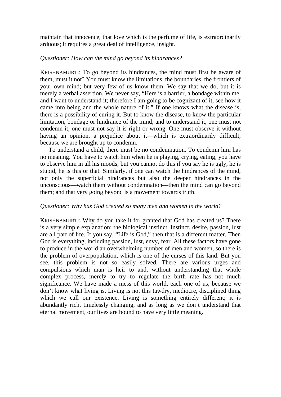maintain that innocence, that love which is the perfume of life, is extraordinarily arduous; it requires a great deal of intelligence, insight.

#### *Questioner: How can the mind go beyond its hindrances?*

KRISHNAMURTI: To go beyond its hindrances, the mind must first be aware of them, must it not? You must know the limitations, the boundaries, the frontiers of your own mind; but very few of us know them. We say that we do, but it is merely a verbal assertion. We never say, "Here is a barrier, a bondage within me, and I want to understand it; therefore I am going to be cognizant of it, see how it came into being and the whole nature of it." If one knows what the disease is, there is a possibility of curing it. But to know the disease, to know the particular limitation, bondage or hindrance of the mind, and to understand it, one must not condemn it, one must not say it is right or wrong. One must observe it without having an opinion, a prejudice about it—which is extraordinarily difficult, because we are brought up to condemn.

To understand a child, there must be no condemnation. To condemn him has no meaning. You have to watch him when he is playing, crying, eating, you have to observe him in all his moods; but you cannot do this if you say he is ugly, he is stupid, he is this or that. Similarly, if one can watch the hindrances of the mind, not only the superficial hindrances but also the deeper hindrances in the unconscious—watch them without condemnation—then the mind can go beyond them; and that very going beyond is a movement towards truth.

#### *Questioner: Why has God created so many men and women in the world?*

KRISHNAMURTI: Why do you take it for granted that God has created us? There is a very simple explanation: the biological instinct. Instinct, desire, passion, lust are all part of life. If you say, "Life is God," then that is a different matter. Then God is everything, including passion, lust, envy, fear. All these factors have gone to produce in the world an overwhelming number of men and women, so there is the problem of overpopulation, which is one of the curses of this land. But you see, this problem is not so easily solved. There are various urges and compulsions which man is heir to and, without understanding that whole complex process, merely to try to regulate the birth rate has not much significance. We have made a mess of this world, each one of us, because we don't know what living is. Living is not this tawdry, mediocre, disciplined thing which we call our existence. Living is something entirely different; it is abundantly rich, timelessly changing, and as long as we don't understand that eternal movement, our lives are bound to have very little meaning.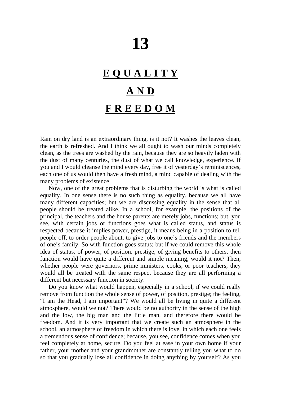# **13**

### **EQUALITY AND FREEDOM**

Rain on dry land is an extraordinary thing, is it not? It washes the leaves clean, the earth is refreshed. And I think we all ought to wash our minds completely clean, as the trees are washed by the rain, because they are so heavily laden with the dust of many centuries, the dust of what we call knowledge, experience. If you and I would cleanse the mind every day, free it of yesterday's reminiscences, each one of us would then have a fresh mind, a mind capable of dealing with the many problems of existence.

Now, one of the great problems that is disturbing the world is what is called equality. In one sense there is no such thing as equality, because we all have many different capacities; but we are discussing equality in the sense that all people should be treated alike. In a school, for example, the positions of the principal, the teachers and the house parents are merely jobs, functions; but, you see, with certain jobs or functions goes what is called status, and status is respected because it implies power, prestige, it means being in a position to tell people off, to order people about, to give jobs to one's friends and the members of one's family. So with function goes status; but if we could remove this whole idea of status, of power, of position, prestige, of giving benefits to others, then function would have quite a different and simple meaning, would it not? Then, whether people were governors, prime ministers, cooks, or poor teachers, they would all be treated with the same respect because they are all performing a different but necessary function in society.

Do you know what would happen, especially in a school, if we could really remove from function the whole sense of power, of position, prestige; the feeling, "I am the Head, I am important"? We would all be living in quite a different atmosphere, would we not? There would be no authority in the sense of the high and the low, the big man and the little man, and therefore there would be freedom. And it is very important that we create such an atmosphere in the school, an atmosphere of freedom in which there is love, in which each one feels a tremendous sense of confidence; because, you see, confidence comes when you feel completely at home, secure. Do you feel at ease in your own home if your father, your mother and your grandmother are constantly telling you what to do so that you gradually lose all confidence in doing anything by yourself? As you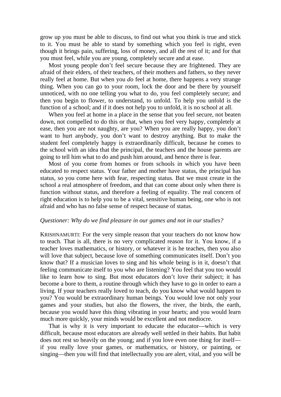grow up you must be able to discuss, to find out what you think is true and stick to it. You must be able to stand by something which you feel is right, even though it brings pain, suffering, loss of money, and all the rest of it; and for that you must feel, while you are young, completely secure and at ease.

Most young people don't feel secure because they are frightened. They are afraid of their elders, of their teachers, of their mothers and fathers, so they never really feel at home. But when you *do* feel at home, there happens a very strange thing. When you can go to your room, lock the door and be there by yourself unnoticed, with no one telling you what to do, you feel completely secure; and then you begin to flower, to understand, to unfold. To help you unfold is the function of a school; and if it does not help you to unfold, it is no school at all.

When you feel at home in a place in the sense that you feel secure, not beaten down, not compelled to do this or that, when you feel very happy, completely at ease, then you are not naughty, are you? When you are really happy, you don't want to hurt anybody, you don't want to destroy anything. But to make the student feel completely happy is extraordinarily difficult, because he comes to the school with an idea that the principal, the teachers and the house parents are going to tell him what to do and push him around, and hence there is fear.

Most of you come from homes or from schools in which you have been educated to respect status. Your father and mother have status, the principal has status, so you come here with fear, respecting status. But we must create in the school a real atmosphere of freedom, and that can come about only when there is function without status, and therefore a feeling of equality. The real concern of right education is to help you to be a vital, sensitive human being, one who is not afraid and who has no false sense of respect because of status.

#### *Questioner: Why do we find pleasure in our games and not in our studies?*

KRISHNAMURTI: For the very simple reason that your teachers do not know how to teach. That is all, there is no very complicated reason for it. You know, if a teacher loves mathematics, or history, or whatever it is he teaches, then you also will love that subject, because love of something communicates itself. Don't you know that? If a musician loves to sing and his whole being is in it, doesn't that feeling communicate itself to you who are listening? You feel that you too would like to learn how to sing. But most educators don't love their subject; it has become a bore to them, a routine through which they have to go in order to earn a living. If your teachers really loved to teach, do you know what would happen to you? You would be extraordinary human beings. You would love not only your games and your studies, but also the flowers, the river, the birds, the earth, because you would have this thing vibrating in your hearts; and you would learn much more quickly, your minds would be excellent and not mediocre.

That is why it is very important to educate the educator—which is very difficult, because most educators are already well settled in their habits. But habit does not rest so heavily on the young; and if you love even one thing for itself if you really love your games, or mathematics, or history, or painting, or singing—then you will find that intellectually you are alert, vital, and you will be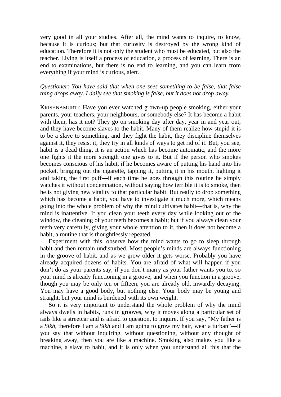very good in all your studies. After all, the mind wants to inquire, to know, because it is curious; but that curiosity is destroyed by the wrong kind of education. Therefore it is not only the student who must be educated, but also the teacher. Living is itself a process of education, a process of learning. There is an end to examinations, but there is no end to learning, and you can learn from everything if your mind is curious, alert.

#### *Questioner: You have said that when one sees something to be false, that false thing drops away. I daily see that smoking is false, but it does not drop away.*

KRISHNAMURTI: Have you ever watched grown-up people smoking, either your parents, your teachers, your neighbours, or somebody else? It has become a habit with them, has it not? They go on smoking day after day, year in and year out, and they have become slaves to the habit. Many of them realize how stupid it is to be a slave to something, and they fight the habit, they discipline themselves against it, they resist it, they try in all kinds of ways to get rid of it. But, you see, habit is a dead thing, it is an action which has become automatic, and the more one fights it the more strength one gives to it. But if the person who smokes becomes conscious of his habit, if he becomes aware of putting his hand into his pocket, bringing out the cigarette, tapping it, putting it in his mouth, lighting it and taking the first puff—if each time he goes through this routine he simply watches it without condemnation, without saying how terrible it is to smoke, then he is not giving new vitality to that particular habit. But really to drop something which has become a habit, you have to investigate it much more, which means going into the whole problem of why the mind cultivates habit—that is, why the mind is inattentive. If you clean your teeth every day while looking out of the window, the cleaning of your teeth becomes a habit; but if you always clean your teeth very carefully, giving your whole attention to it, then it does not become a habit, a routine that is thoughtlessly repeated.

Experiment with this, observe how the mind wants to go to sleep through habit and then remain undisturbed. Most people's minds are always functioning in the groove of habit, and as we grow older it gets worse. Probably you have already acquired dozens of habits. You are afraid of what will happen if you don't do as your parents say, if you don't marry as your father wants you to, so your mind is already functioning in a groove; and when you function in a groove, though you may be only ten or fifteen, you are already old, inwardly decaying. You may have a good body, but nothing else. Your body may be young and straight, but your mind is burdened with its own weight.

So it is very important to understand the whole problem of why the mind always dwells in habits, runs in grooves, why it moves along a particular set of rails like a streetcar and is afraid to question, to inquire. If you say, "My father is a *Sikh*, therefore I am a *Sikh* and I am going to grow my hair, wear a turban"—if you say that without inquiring, without questioning, without any thought of breaking away, then you are like a machine. Smoking also makes you like a machine, a slave to habit, and it is only when you understand all this that the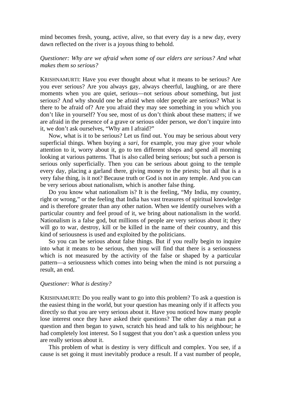mind becomes fresh, young, active, alive, so that every day is a new day, every dawn reflected on the river is a joyous thing to behold.

*Questioner: Why are we afraid when some of our elders are serious? And what makes them so serious?* 

KRISHNAMURTI: Have you ever thought about what it means to be serious? Are you ever serious? Are you always gay, always cheerful, laughing, or are there moments when you are quiet, serious—not serious *about* something, but just serious? And why should one be afraid when older people are serious? What is there to be afraid of? Are you afraid they may see something in you which you don't like in yourself? You see, most of us don't think about these matters; if we are afraid in the presence of a grave or serious older person, we don't inquire into it, we don't ask ourselves, "Why am I afraid?"

Now, what is it to be serious? Let us find out. You may be serious about very superficial things. When buying a *sari*, for example, you may give your whole attention to it, worry about it, go to ten different shops and spend all morning looking at various patterns. That is also called being serious; but such a person is serious only superficially. Then you can be serious about going to the temple every day, placing a garland there, giving money to the priests; but all that is a very false thing, is it not? Because truth or God is not in any temple. And you can be very serious about nationalism, which is another false thing.

Do you know what nationalism is? It is the feeling, "My India, my country, right or wrong," or the feeling that India has vast treasures of spiritual knowledge and is therefore greater than any other nation. When we identify ourselves with a particular country and feel proud of it, we bring about nationalism in the world. Nationalism is a false god, but millions of people are very serious about it; they will go to war, destroy, kill or be killed in the name of their country, and this kind of seriousness is used and exploited by the politicians.

So you can be serious about false things. But if you really begin to inquire into what it means to be serious, then you will find that there is a seriousness which is not measured by the activity of the false or shaped by a particular pattern—a seriousness which comes into being when the mind is not pursuing a result, an end.

#### *Questioner: What is destiny?*

KRISHNAMURTI: Do you really want to go into this problem? To ask a question is the easiest thing in the world, but your question has meaning only if it affects you directly so that you are very serious about it. Have you noticed how many people lose interest once they have asked their questions? The other day a man put a question and then began to yawn, scratch his head and talk to his neighbour; he had completely lost interest. So I suggest that you don't ask a question unless you are really serious about it.

This problem of what is destiny is very difficult and complex. You see, if a cause is set going it must inevitably produce a result. If a vast number of people,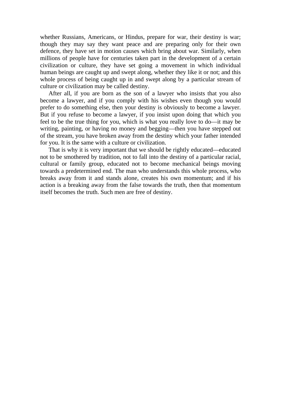whether Russians, Americans, or Hindus, prepare for war, their destiny is war; though they may say they want peace and are preparing only for their own defence, they have set in motion causes which bring about war. Similarly, when millions of people have for centuries taken part in the development of a certain civilization or culture, they have set going a movement in which individual human beings are caught up and swept along, whether they like it or not; and this whole process of being caught up in and swept along by a particular stream of culture or civilization may be called destiny.

After all, if you are born as the son of a lawyer who insists that you also become a lawyer, and if you comply with his wishes even though you would prefer to do something else, then your destiny is obviously to become a lawyer. But if you refuse to become a lawyer, if you insist upon doing that which you feel to be the true thing for you, which is what you really love to do—it may be writing, painting, or having no money and begging—then you have stepped out of the stream, you have broken away from the destiny which your father intended for you. It is the same with a culture or civilization.

That is why it is very important that we should be rightly educated—educated not to be smothered by tradition, not to fall into the destiny of a particular racial, cultural or family group, educated not to become mechanical beings moving towards a predetermined end. The man who understands this whole process, who breaks away from it and stands alone, creates his own momentum; and if his action is a breaking away from the false towards the truth, then that momentum itself becomes the truth. Such men are free of destiny.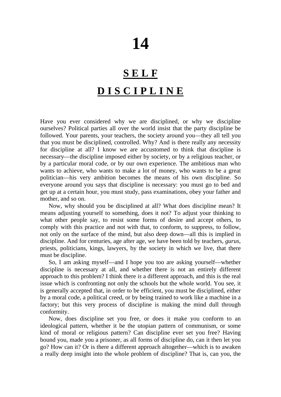# **14**

### **SELF DISCIPLINE**

Have you ever considered why we are disciplined, or why we discipline ourselves? Political parties all over the world insist that the party discipline be followed. Your parents, your teachers, the society around you—they all tell you that you must be disciplined, controlled. Why? And is there really any necessity for discipline at all? I know we are accustomed to think that discipline is necessary—the discipline imposed either by society, or by a religious teacher, or by a particular moral code, or by our own experience. The ambitious man who wants to achieve, who wants to make a lot of money, who wants to be a great politician—his very ambition becomes the means of his own discipline. So everyone around you says that discipline is necessary: you must go to bed and get up at a certain hour, you must study, pass examinations, obey your father and mother, and so on.

Now, why should you be disciplined at all? What does discipline mean? It means adjusting yourself to something, does it not? To adjust your thinking to what other people say, to resist some forms of desire and accept others, to comply with this practice and not with that, to conform, to suppress, to follow, not only on the surface of the mind, but also deep down—all this is implied in discipline. And for centuries, age after age, we have been told by teachers, *gurus*, priests, politicians, kings, lawyers, by the society in which we live, that there must be discipline.

So, I am asking myself—and I hope you too are asking yourself—whether discipline is necessary at all, and whether there is not an entirely different approach to this problem? I think there *is* a different approach, and this is the real issue which is confronting not only the schools but the whole world. You see, it is generally accepted that, in order to be efficient, you must be disciplined, either by a moral code, a political creed, or by being trained to work like a machine in a factory; but this very process of discipline is making the mind dull through conformity.

Now, does discipline set you free, or does it make you conform to an ideological pattern, whether it be the utopian pattern of communism, or some kind of moral or religious pattern? Can discipline ever set you free? Having bound you, made you a prisoner, as all forms of discipline do, can it then let you go? How can it? Or is there a different approach altogether—which is to awaken a really deep insight into the whole problem of discipline? That is, can you, the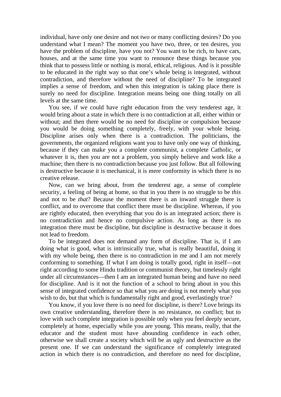individual, have only one desire and not two or many conflicting desires? Do you understand what I mean? The moment you have two, three, or ten desires, you have the problem of discipline, have you not? You want to be rich, to have cars, houses, and at the same time you want to renounce these things because you think that to possess little or nothing is moral, ethical, religious. And is it possible to be educated in the right way so that one's whole being is integrated, without contradiction, and therefore without the need of discipline? To be integrated implies a sense of freedom, and when this integration is taking place there is surely no need for discipline. Integration means being one thing totally on all levels at the same time.

You see, if we could have right education from the very tenderest age, it would bring about a state in which there is no contradiction at all, either within or without; and then there would be no need for discipline or compulsion because you would be doing something completely, freely, with your whole being. Discipline arises only when there is a contradiction. The politicians, the governments, the organized religions want you to have only one way of thinking, because if they can make you a complete communist, a complete Catholic, or whatever it is, then you are not a problem, you simply believe and work like a machine; then there is no contradiction because you just follow. But all following is destructive because it is mechanical, it is mere conformity in which there is no creative release.

Now, can we bring about, from the tenderest age, a sense of complete security, a feeling of being at home, so that in you there is no struggle to be *this* and not to be *that*? Because the moment there is an inward struggle there is conflict, and to overcome that conflict there must be discipline. Whereas, if you are rightly educated, then everything that you do is an integrated action; there is no contradiction and hence no compulsive action. As long as there is no integration there must be discipline, but discipline is destructive because it does not lead to freedom.

To be integrated does not demand any form of discipline. That is, if I am doing what is good, what is intrinsically true, what is really beautiful, doing it with my whole being, then there is no contradiction in me and I am not merely conforming to something. If what I am doing is totally good, right in itself—not right according to some Hindu tradition or communist theory, but timelessly right under all circumstances—then I am an integrated human being and have no need for discipline. And is it not the function of a school to bring about in you this sense of integrated confidence so that what you are doing is not merely what you wish to do, but that which is fundamentally right and good, everlastingly true?

You know, if you love there is no need for discipline, is there? Love brings its own creative understanding, therefore there is no resistance, no conflict; but to love with such complete integration is possible only when you feel deeply secure, completely at home, especially while you are young. This means, really, that the educator and the student must have abounding confidence in each other, otherwise we shall create a society which will be as ugly and destructive as the present one. If we can understand the significance of completely integrated action in which there is no contradiction, and therefore no need for discipline,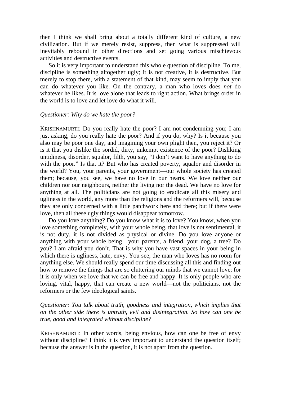then I think we shall bring about a totally different kind of culture, a new civilization. But if we merely resist, suppress, then what is suppressed will inevitably rebound in other directions and set going various mischievous activities and destructive events.

So it is very important to understand this whole question of discipline. To me, discipline is something altogether ugly; it is not creative, it is destructive. But merely to stop there, with a statement of that kind, may seem to imply that you can do whatever you like. On the contrary, a man who loves does *not* do whatever he likes. It is love alone that leads to right action. What brings order in the world is to love and let love do what it will.

#### *Questioner: Why do we hate the poor?*

KRISHNAMURTI: Do you really hate the poor? I am not condemning you; I am just asking, do you really hate the poor? And if you do, why? Is it because you also may be poor one day, and imagining your own plight then, you reject it? Or is it that you dislike the sordid, dirty, unkempt existence of the poor? Disliking untidiness, disorder, squalor, filth, you say, "I don't want to have anything to do with the poor." Is that it? But who has created poverty, squalor and disorder in the world? You, your parents, your government—our whole society has created them; because, you see, we have no love in our hearts. We love neither our children nor our neighbours, neither the living nor the dead. We have no love for anything at all. The politicians are not going to eradicate all this misery and ugliness in the world, any more than the religions and the reformers will, because they are only concerned with a little patchwork here and there; but if there were love, then all these ugly things would disappear tomorrow.

Do you love anything? Do you know what it is to love? You know, when you love something completely, with your whole being, that love is not sentimental, it is not duty, it is not divided as physical or divine. Do you love anyone or anything with your whole being—your parents, a friend, your dog, a tree? Do you? I am afraid you don't. That is why you have vast spaces in your being in which there is ugliness, hate, envy. You see, the man who loves has no room for anything else. We should really spend our time discussing all this and finding out how to remove the things that are so cluttering our minds that we cannot love; for it is only when we love that we can be free and happy. It is only people who are loving, vital, happy, that can create a new world—not the politicians, not the reformers or the few ideological saints.

#### *Questioner: You talk about truth, goodness and integration, which implies that on the other side there is untruth, evil and disintegration. So how can one be true, good and integrated without discipline?*

KRISHNAMURTI: In other words, being envious, how can one be free of envy without discipline? I think it is very important to understand the question itself; because the answer is in the question, it is not apart from the question.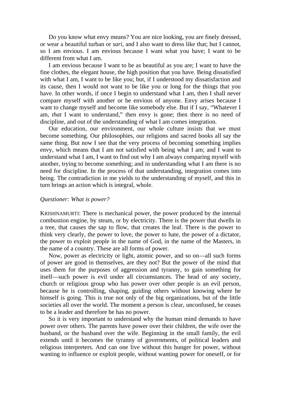Do you know what envy means? You are nice looking, you are finely dressed, or wear a beautiful turban or *sari*, and I also want to dress like that; but I cannot, so I am envious. I am envious because I want what you have; I want to be different from what I am.

I am envious because I want to be as beautiful as you are; I want to have the fine clothes, the elegant house, the high position that you have. Being dissatisfied with what I am, I want to be like you; but, if I understood my dissatisfaction and its cause, then I would not want to be like you or long for the things that you have. In other words, if once I begin to understand what I am, then I shall never compare myself with another or be envious of anyone. Envy arises because I want to change myself and become like somebody else. But if I say, "Whatever I am, *that* I want to understand," then envy is gone; then there is no need of discipline, and out of the understanding of what I am comes integration.

Our education, our environment, our whole culture insists that we must become something. Our philosophies, our religions and sacred books all say the same thing. But now I see that the very process of becoming something implies envy, which means that I am not satisfied with being what I am; and I want to understand what I am, I want to find out why I am always comparing myself with another, trying to become something; and in understanding what I am there is no need for discipline. In the process of that understanding, integration comes into being. The contradiction in me yields to the understanding of myself, and this in turn brings an action which is integral, whole.

#### *Questioner: What is power?*

KRISHNAMURTI: There is mechanical power, the power produced by the internal combustion engine, by steam, or by electricity. There is the power that dwells in a tree, that causes the sap to flow, that creates the leaf. There is the power to think very clearly, the power to love, the power to hate, the power of a dictator, the power to exploit people in the name of God, in the name of the Masters, in the name of a country. These are all forms of power.

Now, power as electricity or light, atomic power, and so on—all such forms of power are good in themselves, are they not? But the power of the mind that uses them for the purposes of aggression and tyranny, to gain something for itself—such power is evil under all circumstances. The head of any society, church or religious group who has power over other people is an evil person, because he is controlling, shaping, guiding others without knowing where he himself is going. This is true not only of the big organizations, but of the little societies all over the world. The moment a person is clear, unconfused, he ceases to be a leader and therefore he has no power.

So it is very important to understand why the human mind demands to have power over others. The parents have power over their children, the wife over the husband, or the husband over the wife. Beginning in the small family, the evil extends until it becomes the tyranny of governments, of political leaders and religious interpreters. And can one live without this hunger for power, without wanting to influence or exploit people, without wanting power for oneself, or for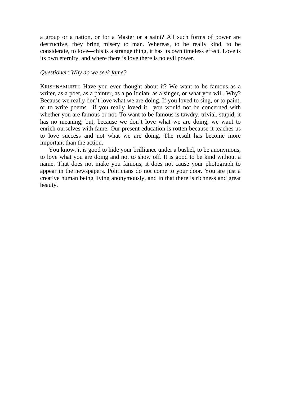a group or a nation, or for a Master or a saint? All such forms of power are destructive, they bring misery to man. Whereas, to be really kind, to be considerate, to love—this is a strange thing, it has its own timeless effect. Love is its own eternity, and where there is love there is no evil power.

#### *Questioner: Why do we seek fame?*

KRISHNAMURTI: Have you ever thought about it? We want to be famous as a writer, as a poet, as a painter, as a politician, as a singer, or what you will. Why? Because we really don't love what we are doing. If you loved to sing, or to paint, or to write poems—if you really loved it—you would not be concerned with whether you are famous or not. To want to be famous is tawdry, trivial, stupid, it has no meaning; but, because we don't love what we are doing, we want to enrich ourselves with fame. Our present education is rotten because it teaches us to love success and not what we are doing. The result has become more important than the action.

You know, it is good to hide your brilliance under a bushel, to be anonymous, to love what you are doing and not to show off. It is good to be kind without a name. That does not make you famous, it does not cause your photograph to appear in the newspapers. Politicians do not come to your door. You are just a creative human being living anonymously, and in that there is richness and great beauty.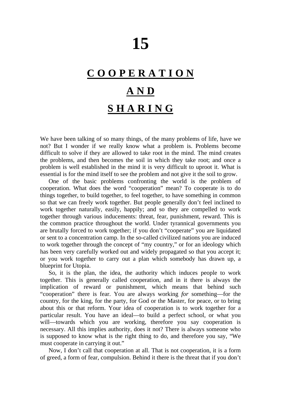# **COOPERATION AND SHARING**

We have been talking of so many things, of the many problems of life, have we not? But I wonder if we really know what a problem is. Problems become difficult to solve if they are allowed to take root in the mind. The mind creates the problems, and then becomes the soil in which they take root; and once a problem is well established in the mind it is very difficult to uproot it. What is essential is for the mind itself to see the problem and not give it the soil to grow.

One of the basic problems confronting the world is the problem of cooperation. What does the word "cooperation" mean? To cooperate is to do things together, to build together, to feel together, to have something in common so that we can freely work together. But people generally don't feel inclined to work together naturally, easily, happily; and so they are compelled to work together through various inducements: threat, fear, punishment, reward. This is the common practice throughout the world. Under tyrannical governments you are brutally forced to work together; if you don't "cooperate" you are liquidated or sent to a concentration camp. In the so-called civilized nations you are induced to work together through the concept of "my country," or for an ideology which has been very carefully worked out and widely propagated so that you accept it; or you work together to carry out a plan which somebody has drawn up, a blueprint for Utopia.

So, it is the plan, the idea, the authority which induces people to work together. This is generally called cooperation, and in it there is always the implication of reward or punishment, which means that behind such "cooperation" there is fear. You are always working *for* something—for the country, for the king, for the party, for God or the Master, for peace, or to bring about this or that reform. Your idea of cooperation is to work together for a particular result. You have an ideal—to build a perfect school, or what you will—towards which you are working, therefore you say cooperation is necessary. All this implies authority, does it not? There is always someone who is supposed to know what is the right thing to do, and therefore you say, "We must cooperate in carrying it out."

Now, I don't call that cooperation at all. That is not cooperation, it is a form of greed, a form of fear, compulsion. Behind it there is the threat that if you don't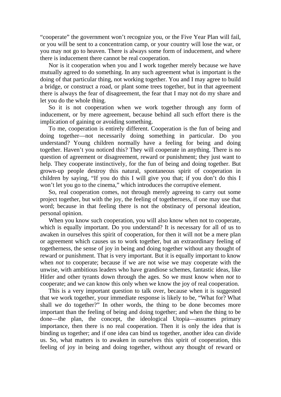"cooperate" the government won't recognize you, or the Five Year Plan will fail, or you will be sent to a concentration camp, or your country will lose the war, or you may not go to heaven. There is always some form of inducement, and where there is inducement there cannot be real cooperation.

Nor is it cooperation when you and I work together merely because we have mutually agreed to do something. In any such agreement what is important is the doing of that particular thing, not working together. You and I may agree to build a bridge, or construct a road, or plant some trees together, but in that agreement there is always the fear of disagreement, the fear that I may not do my share and let you do the whole thing.

So it is not cooperation when we work together through any form of inducement, or by mere agreement, because behind all such effort there is the implication of gaining or avoiding something.

To me, cooperation is entirely different. Cooperation is the fun of being and doing together—not necessarily doing something in particular. Do you understand? Young children normally have a feeling for being and doing together. Haven't you noticed this? They will cooperate in anything. There is no question of agreement or disagreement, reward or punishment; they just want to help. They cooperate instinctively, for the fun of being and doing together. But grown-up people destroy this natural, spontaneous spirit of cooperation in children by saying, "If you do this I will give you that; if you don't do this I won't let you go to the cinema," which introduces the corruptive element.

So, real cooperation comes, not through merely agreeing to carry out some project together, but with the joy, the feeling of togetherness, if one may use that word; because in that feeling there is not the obstinacy of personal ideation, personal opinion.

When you know such cooperation, you will also know when not to cooperate, which is equally important. Do you understand? It is necessary for all of us to awaken in ourselves this spirit of cooperation, for then it will not be a mere plan or agreement which causes us to work together, but an extraordinary feeling of togetherness, the sense of joy in being and doing together without any thought of reward or punishment. That is very important. But it is equally important to know when *not* to cooperate; because if we are not wise we may cooperate with the unwise, with ambitious leaders who have grandiose schemes, fantastic ideas, like Hitler and other tyrants down through the ages. So we must know when *not* to cooperate; and we can know this only when we know the joy of real cooperation.

This is a very important question to talk over, because when it is suggested that we work together, your immediate response is likely to be, "What for? What shall we do together?" In other words, the thing to be done becomes more important than the feeling of being and doing together; and when the thing to be done—the plan, the concept, the ideological Utopia—assumes primary importance, then there is no real cooperation. Then it is only the idea that is binding us together; and if one idea can bind us together, another idea can divide us. So, what matters is to awaken in ourselves this spirit of cooperation, this feeling of joy in being and doing together, without any thought of reward or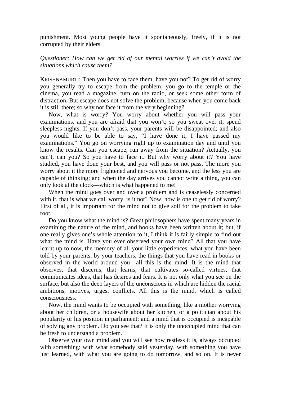punishment. Most young people have it spontaneously, freely, if it is not corrupted by their elders.

*Questioner: How can we get rid of our mental worries if we can't avoid the situations which cause them?* 

KRISHNAMURTI: Then you have to face them, have you not? To get rid of worry you generally try to escape from the problem; you go to the temple or the cinema, you read a magazine, turn on the radio, or seek some other form of distraction. But escape does not solve the problem, because when you come back it is still there; so why not face it from the very beginning?

Now, what is worry? You worry about whether you will pass your examinations, and you are afraid that you won't; so you sweat over it, spend sleepless nights. If you don't pass, your parents will be disappointed; and also you would like to be able to say, "I have done it, I have passed my examinations." You go on worrying right up to examination day and until you know the results. Can you escape, run away from the situation? Actually, you can't, can you? So you have to face it. But why worry about it? You have studied, you have done your best, and you will pass or not pass. The more you worry about it the more frightened and nervous you become, and the less you are capable of thinking; and when the day arrives you cannot write a thing, you can only look at the clock—which is what happened to me!

When the mind goes over and over a problem and is ceaselessly concerned with it, that is what we call worry, is it not? Now, how is one to get rid of worry? First of all, it is important for the mind not to give soil for the problem to take root.

Do you know what the mind is? Great philosophers have spent many years in examining the nature of the mind, and books have been written about it; but, if one really gives one's whole attention to it, I think it is fairly simple to find out what the mind is. Have you ever observed your own mind? All that you have learnt up to now, the memory of all your little experiences, what you have been told by your parents, by your teachers, the things that you have read in books or observed in the world around you—all this is the mind. It is the mind that observes, that discerns, that learns, that cultivates so-called virtues, that communicates ideas, that has desires and fears. It is not only what you see on the surface, but also the deep layers of the unconscious in which are hidden the racial ambitions, motives, urges, conflicts. All this is the mind, which is called consciousness.

Now, the mind wants to be occupied with something, like a mother worrying about her children, or a housewife about her kitchen, or a politician about his popularity or his position in parliament; and a mind that is occupied is incapable of solving any problem. Do you see that? It is only the unoccupied mind that can be fresh to understand a problem.

Observe your own mind and you will see how restless it is, always occupied with something: with what somebody said yesterday, with something you have just learned, with what you are going to do tomorrow, and so on. It is never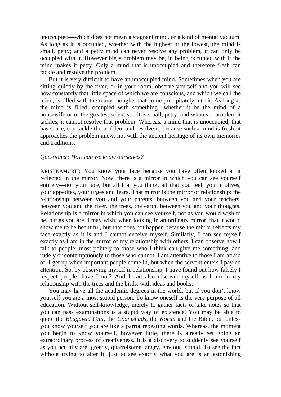unoccupied—which does not mean a stagnant mind, or a kind of mental vacuum. As long as it is occupied, whether with the highest or the lowest, the mind is small, petty; and a petty mind can never resolve any problem, it can only be occupied with it. However big a problem may be, in being occupied with it the mind makes it petty. Only a mind that is unoccupied and therefore fresh can tackle and resolve the problem.

But it is very difficult to have an unoccupied mind. Sometimes when you are sitting quietly by the river, or in your room, observe yourself and you will see how constantly that little space of which we are conscious, and which we call the mind, is filled with the many thoughts that come precipitately into it. As long as the mind is filled, occupied with something—whether it be the mind of a housewife or of the greatest scientist—it is small, petty, and whatever problem it tackles, it cannot resolve that problem. Whereas, a mind that is unoccupied, that has space, can tackle the problem and resolve it, because such a mind is fresh, it approaches the problem anew, not with the ancient heritage of its own memories and traditions.

#### *Questioner: How can we know ourselves?*

KRISHNAMURTI: You know your face because you have often looked at it reflected in the mirror. Now, there is a mirror in which you can see yourself entirely—not your face, but all that you think, all that you feel, your motives, your appetites, your urges and fears. That mirror is the mirror of relationship: the relationship between you and your parents, between you and your teachers, between you and the river, the trees, the earth, between you and your thoughts. Relationship is a mirror in which you can see yourself, not as you would wish to be, but as you are. I may wish, when looking in an ordinary mirror, that it would show me to be beautiful, but that does not happen because the mirror reflects my face exactly as it is and I cannot deceive myself. Similarly, I can see myself exactly as I am in the mirror of my relationship with others. I can observe how I talk to people: most politely to those who I think can give me something, and rudely or contemptuously to those who cannot. I am attentive to those I am afraid of. I get up when important people come in, but when the servant enters I pay no attention. So, by observing myself in relationship, I have found out how falsely I respect people, have I not? And I can also discover myself as I am in my relationship with the trees and the birds, with ideas and books.

You may have all the academic degrees in the world, but if you don't know yourself you are a most stupid person. To know oneself is the very purpose of all education. Without self-knowledge, merely to gather facts or take notes so that you can pass examinations is a stupid way of existence. You may be able to quote the *Bhagavad Gita*, the *Upanishads*, the *Koran* and the Bible, but unless you know yourself you are like a parrot repeating words. Whereas, the moment you begin to know yourself, however little, there is already set going an extraordinary process of creativeness. It is a discovery to suddenly see yourself as you actually are: greedy, quarrelsome, angry, envious, stupid. To see the fact without trying to alter it, just to see exactly what you are is an astonishing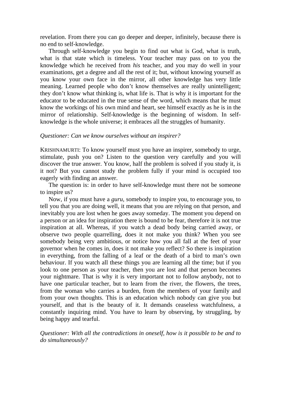revelation. From there you can go deeper and deeper, infinitely, because there is no end to self-knowledge.

Through self-knowledge you begin to find out what is God, what is truth, what is that state which is timeless. Your teacher may pass on to you the knowledge which he received from *his* teacher, and you may do well in your examinations, get a degree and all the rest of it; but, without knowing yourself as you know your own face in the mirror, all other knowledge has very little meaning. Learned people who don't know themselves are really unintelligent; they don't know what thinking is, what life is. That is why it is important for the educator to be educated in the true sense of the word, which means that he must know the workings of his own mind and heart, see himself exactly as he is in the mirror of relationship. Self-knowledge is the beginning of wisdom. In selfknowledge is the whole universe; it embraces all the struggles of humanity.

#### *Questioner: Can we know ourselves without an inspirer?*

KRISHNAMURTI: To know yourself must you have an inspirer, somebody to urge, stimulate, push you on? Listen to the question very carefully and you will discover the true answer. You know, half the problem is solved if you study it, is it not? But you cannot study the problem fully if your mind is occupied too eagerly with finding an answer.

The question is: in order to have self-knowledge must there not be someone to inspire us?

Now, if you must have a *guru*, somebody to inspire you, to encourage you, to tell you that you are doing well, it means that you are relying on that person, and inevitably you are lost when he goes away someday. The moment you depend on a person or an idea for inspiration there is bound to be fear, therefore it is not true inspiration at all. Whereas, if you watch a dead body being carried away, or observe two people quarrelling, does it not make you think? When you see somebody being very ambitious, or notice how you all fall at the feet of your governor when he comes in, does it not make you reflect? So there is inspiration in everything, from the falling of a leaf or the death of a bird to man's own behaviour. If you watch all these things you are learning all the time; but if you look to one person as your teacher, then you are lost and that person becomes your nightmare. That is why it is very important not to follow anybody, not to have one particular teacher, but to learn from the river, the flowers, the trees, from the woman who carries a burden, from the members of your family and from your own thoughts. This is an education which nobody can give you but yourself, and that is the beauty of it. It demands ceaseless watchfulness, a constantly inquiring mind. You have to learn by observing, by struggling, by being happy and tearful.

*Questioner: With all the contradictions in oneself, how is it possible to be and to do simultaneously?*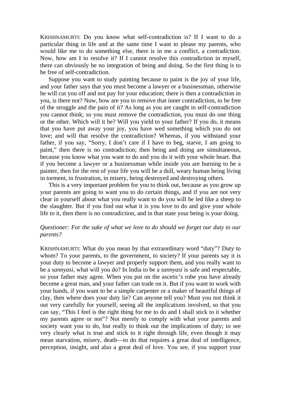KRISHNAMURTI: Do you know what self-contradiction is? If I want to do a particular thing in life and at the same time I want to please my parents, who would like me to do something else, there is in me a conflict, a contradiction. Now, how am I to resolve it? If I cannot resolve this contradiction in myself, there can obviously be no integration of being and doing. So the first thing is to be free of self-contradiction.

Suppose you want to study painting because to paint is the joy of your life, and your father says that you must become a lawyer or a businessman, otherwise he will cut you off and not pay for your education; there is then a contradiction in you, is there not? Now, how are you to remove that inner contradiction, to be free of the struggle and the pain of it? As long as you are caught in self-contradiction you cannot think; so you must remove the contradiction, you must do one thing or the other. Which will it be? Will you yield to your father? If you do, it means that you have put away your joy, you have wed something which you do not love; and will that resolve the contradiction? Whereas, if you withstand your father, if you say, "Sorry, I don't care if I have to beg, starve, I am going to paint," then there is no contradiction; then being and doing are simultaneous, because you know what you want to do and you do it with your whole heart. But if you become a lawyer or a businessman while inside you are burning to be a painter, then for the rest of your life you will be a dull, weary human being living in torment, in frustration, in misery, being destroyed and destroying others.

This is a very important problem for you to think out, because as you grow up your parents are going to want you to do certain things, and if you are not very clear in yourself about what you really want to do you will be led like a sheep to the slaughter. But if you find out what it is you love to do and give your whole life to it, then there is no contradiction, and in that state your being is your doing.

#### *Questioner: For the sake of what we love to do should we forget our duty to our parents?*

KRISHNAMURTI: What do you mean by that extraordinary word "duty"? Duty to whom? To your parents, to the government, to society? If your parents say it is your duty to become a lawyer and properly support them, and you really want to be a *sannyasi*, what will you do? In India to be a *sannyasi* is safe and respectable, so your father may agree. When you put on the ascetic's robe you have already become a great man, and your father can trade on it. But if you want to work with your hands, if you want to be a simple carpenter or a maker of beautiful things of clay, then where does your duty lie? Can anyone tell you? Must you not think it out very carefully for yourself, seeing all the implications involved, so that you can say, "This I feel is the right thing for me to do and I shall stick to it whether my parents agree or not"? Not merely to comply with what your parents and society want you to do, but really to think out the implications of duty; to see very clearly what is true and stick to it right through life, even though it may mean starvation, misery, death—to do that requires a great deal of intelligence, perception, insight, and also a great deal of love. You see, if you support your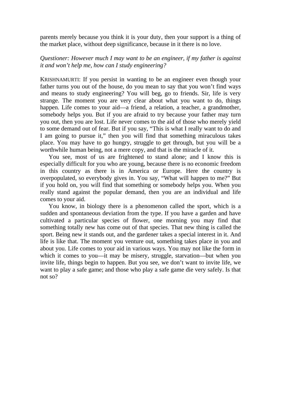parents merely because you think it is your duty, then your support is a thing of the market place, without deep significance, because in it there is no love.

#### *Questioner: However much I may want to be an engineer, if my father is against it and won't help me, how can I study engineering?*

KRISHNAMURTI: If you persist in wanting to be an engineer even though your father turns you out of the house, do you mean to say that you won't find ways and means to study engineering? You will beg, go to friends. Sir, life is very strange. The moment you are very clear about what you want to do, things happen. Life comes to your aid—a friend, a relation, a teacher, a grandmother, somebody helps you. But if you are afraid to try because your father may turn you out, then you are lost. Life never comes to the aid of those who merely yield to some demand out of fear. But if you say, "This is what I really want to do and I am going to pursue it," then you will find that something miraculous takes place. You may have to go hungry, struggle to get through, but you will be a worthwhile human being, not a mere copy, and that is the miracle of it.

You see, most of us are frightened to stand alone; and I know this is especially difficult for you who are young, because there is no economic freedom in this country as there is in America or Europe. Here the country is overpopulated, so everybody gives in. You say, "What will happen to me?" But if you hold on, you will find that something or somebody helps you. When you really stand against the popular demand, then you are an individual and life comes to your aid.

You know, in biology there is a phenomenon called the sport, which is a sudden and spontaneous deviation from the type. If you have a garden and have cultivated a particular species of flower, one morning you may find that something totally new has come out of that species. That new thing is called the sport. Being new it stands out, and the gardener takes a special interest in it. And life is like that. The moment you venture out, something takes place in you and about you. Life comes to your aid in various ways. You may not like the form in which it comes to you—it may be misery, struggle, starvation—but when you invite life, things begin to happen. But you see, we don't want to invite life, we want to play a safe game; and those who play a safe game die very safely. Is that not so?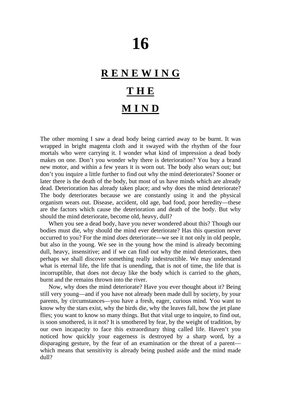# **16**

### **RENEWING THE MIND**

The other morning I saw a dead body being carried away to be burnt. It was wrapped in bright magenta cloth and it swayed with the rhythm of the four mortals who were carrying it. I wonder what kind of impression a dead body makes on one. Don't you wonder why there is deterioration? You buy a brand new motor, and within a few years it is worn out. The body also wears out; but don't you inquire a little further to find out why the mind deteriorates? Sooner or later there is the death of the body, but most of us have minds which are already dead. Deterioration has already taken place; and why does the mind deteriorate? The body deteriorates because we are constantly using it and the physical organism wears out. Disease, accident, old age, bad food, poor heredity—these are the factors which cause the deterioration and death of the body. But why should the mind deteriorate, become old, heavy, dull?

When you see a dead body, have you never wondered about this? Though our bodies must die, why should the mind ever deteriorate? Has this question never occurred to you? For the mind *does* deteriorate—we see it not only in old people, but also in the young. We see in the young how the mind is already becoming dull, heavy, insensitive; and if we can find out why the mind deteriorates, then perhaps we shall discover something really indestructible. We may understand what is eternal life, the life that is unending, that is not of time, the life that is incorruptible, that does not decay like the body which is carried to the *ghats*, burnt and the remains thrown into the river.

Now, why does the mind deteriorate? Have you ever thought about it? Being still very young—and if you have not already been made dull by society, by your parents, by circumstances—you have a fresh, eager, curious mind. You want to know why the stars exist, why the birds die, why the leaves fall, how the jet plane flies; you want to know so many things. But that vital urge to inquire, to find out, is soon smothered, is it not? It is smothered by fear, by the weight of tradition, by our own incapacity to face this extraordinary thing called life. Haven't you noticed how quickly your eagerness is destroyed by a sharp word, by a disparaging gesture, by the fear of an examination or the threat of a parent which means that sensitivity is already being pushed aside and the mind made dull?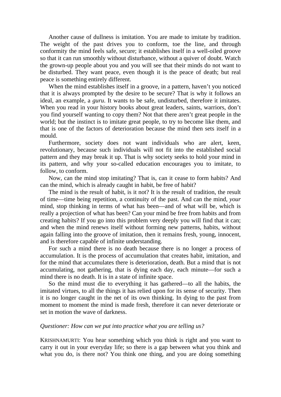Another cause of dullness is imitation. You are made to imitate by tradition. The weight of the past drives you to conform, toe the line, and through conformity the mind feels safe, secure; it establishes itself in a well-oiled groove so that it can run smoothly without disturbance, without a quiver of doubt. Watch the grown-up people about you and you will see that their minds do not want to be disturbed. They want peace, even though it is the peace of death; but real peace is something entirely different.

When the mind establishes itself in a groove, in a pattern, haven't you noticed that it is always prompted by the desire to be secure? That is why it follows an ideal, an example, a *guru*. It wants to be safe, undisturbed, therefore it imitates. When you read in your history books about great leaders, saints, warriors, don't you find yourself wanting to copy them? Not that there aren't great people in the world; but the instinct is to imitate great people, to try to become like them, and that is one of the factors of deterioration because the mind then sets itself in a mould.

Furthermore, society does not want individuals who are alert, keen, revolutionary, because such individuals will not fit into the established social pattern and they may break it up. That is why society seeks to hold your mind in its pattern, and why your so-called education encourages you to imitate, to follow, to conform.

Now, can the mind stop imitating? That is, can it cease to form habits? And can the mind, which is already caught in habit, be free of habit?

The mind is the result of habit, is it not? It is the result of tradition, the result of time—time being repetition, a continuity of the past. And can the mind, *your* mind, stop thinking in terms of what has been—and of what will be, which is really a projection of what has been? Can your mind be free from habits and from creating habits? If you go into this problem very deeply you will find that it can; and when the mind renews itself without forming new patterns, habits, without again falling into the groove of imitation, then it remains fresh, young, innocent, and is therefore capable of infinite understanding.

For such a mind there is no death because there is no longer a process of accumulation. It is the process of accumulation that creates habit, imitation, and for the mind that accumulates there is deterioration, death. But a mind that is not accumulating, not gathering, that is dying each day, each minute—for such a mind there is no death. It is in a state of infinite space.

So the mind must die to everything it has gathered—to all the habits, the imitated virtues, to all the things it has relied upon for its sense of security. Then it is no longer caught in the net of its own thinking. In dying to the past from moment to moment the mind is made fresh, therefore it can never deteriorate or set in motion the wave of darkness.

#### *Questioner: How can we put into practice what you are telling us?*

KRISHNAMURTI: You hear something which you think is right and you want to carry it out in your everyday life; so there is a gap between what you think and what you do, is there not? You think one thing, and you are doing something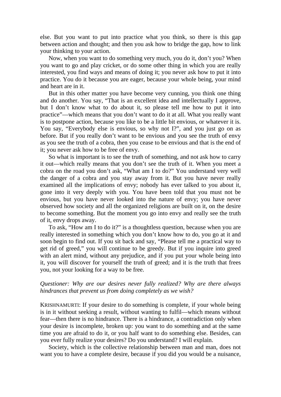else. But you want to put into practice what you think, so there is this gap between action and thought; and then you ask how to bridge the gap, how to link your thinking to your action.

Now, when you want to do something very much, you do it, don't you? When you want to go and play cricket, or do some other thing in which you are really interested, you find ways and means of doing it; you never ask how to put it into practice. You do it because you are eager, because your whole being, your mind and heart are in it.

But in this other matter you have become very cunning, you think one thing and do another. You say, "That is an excellent idea and intellectually I approve, but I don't know what to do about it, so please tell me how to put it into practice"—which means that you don't want to do it at all. What you really want is to postpone action, because you like to be a little bit envious, or whatever it is. You say, "Everybody else is envious, so why not I?", and you just go on as before. But if you really don't want to be envious and you see the truth of envy as you see the truth of a cobra, then you cease to be envious and that is the end of it; you never ask how to be free of envy.

So what is important is to see the truth of something, and not ask how to carry it out—which really means that you don't see the truth of it. When you meet a cobra on the road you don't ask, "What am I to do?" You understand very well the danger of a cobra and you stay away from it. But you have never really examined all the implications of envy; nobody has ever talked to you about it, gone into it very deeply with you. You have been told that you must not be envious, but you have never looked into the nature of envy; you have never observed how society and all the organized religions are built on it, on the desire to become something. But the moment you go into envy and really see the truth of it, envy drops away.

To ask, "How am I to do it?" is a thoughtless question, because when you are really interested in something which you don't know how to do, you go at it and soon begin to find out. If you sit back and say, "Please tell me a practical way to get rid of greed," you will continue to be greedy. But if you inquire into greed with an alert mind, without any prejudice, and if you put your whole being into it, you will discover for yourself the truth of greed; and it is the truth that frees you, not your looking for a way to be free.

#### *Questioner: Why are our desires never fully realized? Why are there always hindrances that prevent us from doing completely as we wish?*

KRISHNAMURTI: If your desire to do something is complete, if your whole being is in it without seeking a result, without wanting to fulfil—which means without fear—then there is no hindrance. There is a hindrance, a contradiction only when your desire is incomplete, broken up: you want to do something and at the same time you are afraid to do it, or you half want to do something else. Besides, can you ever fully realize your desires? Do you understand? I will explain.

Society, which is the collective relationship between man and man, does not want you to have a complete desire, because if you did you would be a nuisance,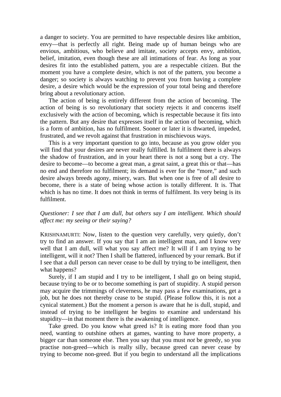a danger to society. You are permitted to have respectable desires like ambition, envy—that is perfectly all right. Being made up of human beings who are envious, ambitious, who believe and imitate, society accepts envy, ambition, belief, imitation, even though these are all intimations of fear. As long as your desires fit into the established pattern, you are a respectable citizen. But the moment you have a complete desire, which is not of the pattern, you become a danger; so society is always watching to prevent you from having a complete desire, a desire which would be the expression of your total being and therefore bring about a revolutionary action.

The action of being is entirely different from the action of becoming. The action of being is so revolutionary that society rejects it and concerns itself exclusively with the action of becoming, which is respectable because it fits into the pattern. But any desire that expresses itself in the action of becoming, which is a form of ambition, has no fulfilment. Sooner or later it is thwarted, impeded, frustrated, and we revolt against that frustration in mischievous ways.

This is a very important question to go into, because as you grow older you will find that your desires are never really fulfilled. In fulfilment there is always the shadow of frustration, and in your heart there is not a song but a cry. The desire to become—to become a great man, a great saint, a great this or that—has no end and therefore no fulfilment; its demand is ever for the "more," and such desire always breeds agony, misery, wars. But when one is free of all desire to become, there is a state of being whose action is totally different. It is. That which is has no time. It does not think in terms of fulfilment. Its very being is its fulfilment.

#### *Questioner: I see that I am dull, but others say I am intelligent. Which should affect me: my seeing or their saying?*

KRISHNAMURTI: Now, listen to the question very carefully, very quietly, don't try to find an answer. If you say that I am an intelligent man, and I know very well that I am dull, will what you say affect me? It will if I am trying to be intelligent, will it not? Then I shall be flattered, influenced by your remark. But if I see that a dull person can never cease to be dull by trying to be intelligent, then what happens?

Surely, if I am stupid and I try to be intelligent, I shall go on being stupid, because trying to be or to become something is part of stupidity. A stupid person may acquire the trimmings of cleverness, he may pass a few examinations, get a job, but he does not thereby cease to be stupid. (Please follow this, it is not a cynical statement.) But the moment a person is aware that he is dull, stupid, and instead of trying to be intelligent he begins to examine and understand his stupidity—in that moment there is the awakening of intelligence.

Take greed. Do you know what greed is? It is eating more food than you need, wanting to outshine others at games, wanting to have more property, a bigger car than someone else. Then you say that you must *not* be greedy, so you practise non-greed—which is really silly, because greed can never cease by trying to become non-greed. But if you begin to understand all the implications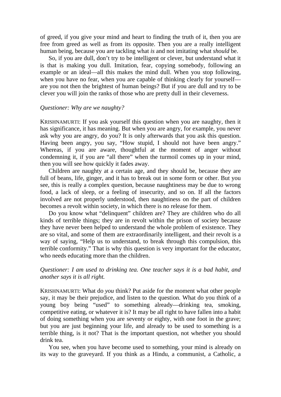of greed, if you give your mind and heart to finding the truth of it, then you are free from greed as well as from its opposite. Then you are a really intelligent human being, because you are tackling what *is* and not imitating what *should* be.

So, if you are dull, don't try to be intelligent or clever, but understand what it is that is making you dull. Imitation, fear, copying somebody, following an example or an ideal—all this makes the mind dull. When you stop following, when you have no fear, when you are capable of thinking clearly for yourself are you not then the brightest of human beings? But if you are dull and try to be clever you will join the ranks of those who are pretty dull in their cleverness.

#### *Questioner: Why are we naughty?*

KRISHNAMURTI: If you ask yourself this question when you are naughty, then it has significance, it has meaning. But when you are angry, for example, you never ask why you are angry, do you? It is only afterwards that you ask this question. Having been angry, you say, "How stupid, I should not have been angry." Whereas, if you are aware, thoughtful at the moment of anger without condemning it, if you are "all there" when the turmoil comes up in your mind, then you will see how quickly it fades away.

Children are naughty at a certain age, and they should be, because they are full of beans, life, ginger, and it has to break out in some form or other. But you see, this is really a complex question, because naughtiness may be due to wrong food, a lack of sleep, or a feeling of insecurity, and so on. If all the factors involved are not properly understood, then naughtiness on the part of children becomes a revolt within society, in which there is no release for them.

Do you know what "delinquent" children are? They are children who do all kinds of terrible things; they are in revolt within the prison of society because they have never been helped to understand the whole problem of existence. They are so vital, and some of them are extraordinarily intelligent, and their revolt is a way of saying, "Help us to understand, to break through this compulsion, this terrible conformity." That is why this question is very important for the educator, who needs educating more than the children.

*Questioner: I am used to drinking tea. One teacher says it is a bad habit, and another says it is all right.* 

KRISHNAMURTI: What do *you* think? Put aside for the moment what other people say, it may be their prejudice, and listen to the question. What do you think of a young boy being "used" to something already—drinking tea, smoking, competitive eating, or whatever it is? It may be all right to have fallen into a habit of doing something when you are seventy or eighty, with one foot in the grave; but you are just beginning your life, and already to be used to something is a terrible thing, is it not? That is the important question, not whether you should drink tea.

You see, when you have become used to something, your mind is already on its way to the graveyard. If you think as a Hindu, a communist, a Catholic, a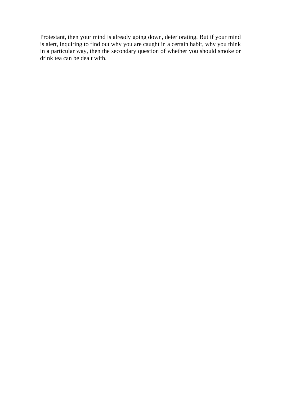Protestant, then your mind is already going down, deteriorating. But if your mind is alert, inquiring to find out why you are caught in a certain habit, why you think in a particular way, then the secondary question of whether you should smoke or drink tea can be dealt with.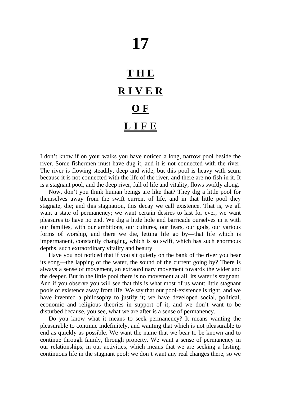# **17**

# **THE RIVER O F LIFE**

I don't know if on your walks you have noticed a long, narrow pool beside the river. Some fishermen must have dug it, and it is not connected with the river. The river is flowing steadily, deep and wide, but this pool is heavy with scum because it is not connected with the life of the river, and there are no fish in it. It is a stagnant pool, and the deep river, full of life and vitality, flows swiftly along.

Now, don't you think human beings are like that? They dig a little pool for themselves away from the swift current of life, and in that little pool they stagnate, die; and this stagnation, this decay we call existence. That is, we all want a state of permanency; we want certain desires to last for ever, we want pleasures to have no end. We dig a little hole and barricade ourselves in it with our families, with our ambitions, our cultures, our fears, our gods, our various forms of worship, and there we die, letting life go by—that life which is impermanent, constantly changing, which is so swift, which has such enormous depths, such extraordinary vitality and beauty.

Have you not noticed that if you sit quietly on the bank of the river you hear its song—the lapping of the water, the sound of the current going by? There is always a sense of movement, an extraordinary movement towards the wider and the deeper. But in the little pool there is no movement at all, its water is stagnant. And if you observe you will see that this is what most of us want: little stagnant pools of existence away from life. We say that our pool-existence is right, and we have invented a philosophy to justify it; we have developed social, political, economic and religious theories in support of it, and we don't want to be disturbed because, you see, what we are after is a sense of permanency.

Do you know what it means to seek permanency? It means wanting the pleasurable to continue indefinitely, and wanting that which is not pleasurable to end as quickly as possible. We want the name that we bear to be known and to continue through family, through property. We want a sense of permanency in our relationships, in our activities, which means that we are seeking a lasting, continuous life in the stagnant pool; we don't want any real changes there, so we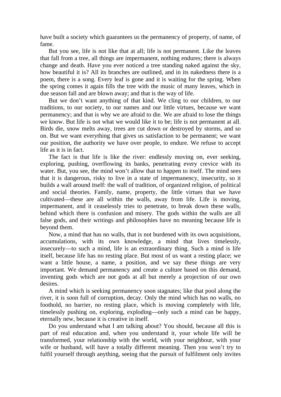have built a society which guarantees us the permanency of property, of name, of fame.

But you see, life is not like that at all; life is not permanent. Like the leaves that fall from a tree, all things are impermanent, nothing endures; there is always change and death. Have you ever noticed a tree standing naked against the sky, how beautiful it is? All its branches are outlined, and in its nakedness there is a poem, there is a song. Every leaf is gone and it is waiting for the spring. When the spring comes it again fills the tree with the music of many leaves, which in due season fall and are blown away; and that is the way of life.

But we don't want anything of that kind. We cling to our children, to our traditions, to our society, to our names and our little virtues, because we want permanency; and that is why we are afraid to die. We are afraid to lose the things we know. But life is not what we would like it to be; life is not permanent at all. Birds die, snow melts away, trees are cut down or destroyed by storms, and so on. But we want everything that gives us satisfaction to be permanent; we want our position, the authority we have over people, to endure. We refuse to accept life as it is in fact.

The fact is that life is like the river: endlessly moving on, ever seeking, exploring, pushing, overflowing its banks, penetrating every crevice with its water. But, you see, the mind won't allow that to happen to itself. The mind sees that it is dangerous, risky to live in a state of impermanency, insecurity, so it builds a wall around itself: the wall of tradition, of organized religion, of political and social theories. Family, name, property, the little virtues that we have cultivated—these are all within the walls, away from life. Life is moving, impermanent, and it ceaselessly tries to penetrate, to break down these walls, behind which there is confusion and misery. The gods within the walls are all false gods, and their writings and philosophies have no meaning because life is beyond them.

Now, a mind that has no walls, that is not burdened with its own acquisitions, accumulations, with its own knowledge, a mind that lives timelessly, insecurely—to such a mind, life is an extraordinary thing. Such a mind is life itself, because life has no resting place. But most of us want a resting place; we want a little house, a name, a position, and we say these things are very important. We demand permanency and create a culture based on this demand, inventing gods which are not gods at all but merely a projection of our own desires.

A mind which is seeking permanency soon stagnates; like that pool along the river, it is soon full of corruption, decay. Only the mind which has no walls, no foothold, no barrier, no resting place, which is moving completely with life, timelessly pushing on, exploring, exploding—only such a mind can be happy, eternally new, because it is creative in itself.

Do you understand what I am talking about? You should, because all this is part of real education and, when you understand it, your whole life will be transformed, your relationship with the world, with your neighbour, with your wife or husband, will have a totally different meaning. Then you won't try to fulfil yourself through anything, seeing that the pursuit of fulfilment only invites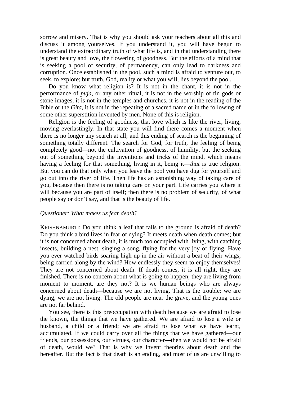sorrow and misery. That is why you should ask your teachers about all this and discuss it among yourselves. If you understand it, you will have begun to understand the extraordinary truth of what life is, and in that understanding there is great beauty and love, the flowering of goodness. But the efforts of a mind that is seeking a pool of security, of permanency, can only lead to darkness and corruption. Once established in the pool, such a mind is afraid to venture out, to seek, to explore; but truth, God, reality or what you will, lies beyond the pool.

Do you know what religion is? It is not in the chant, it is not in the performance of *puja*, or any other ritual, it is not in the worship of tin gods or stone images, it is not in the temples and churches, it is not in the reading of the Bible or the *Gita*, it is not in the repeating of a sacred name or in the following of some other superstition invented by men. None of this is religion.

Religion is the feeling of goodness, that love which is like the river, living, moving everlastingly. In that state you will find there comes a moment when there is no longer any search at all; and this ending of search is the beginning of something totally different. The search for God, for truth, the feeling of being completely good—not the cultivation of goodness, of humility, but the seeking out of something beyond the inventions and tricks of the mind, which means having a feeling for that something, living in it, being it—*that* is true religion. But you can do that only when you leave the pool you have dug for yourself and go out into the river of life. Then life has an astonishing way of taking care of you, because then there is no taking care on your part. Life carries you where it will because you are part of itself; then there is no problem of security, of what people say or don't say, and that is the beauty of life.

#### *Questioner: What makes us fear death?*

KRISHNAMURTI: Do you think a leaf that falls to the ground is afraid of death? Do you think a bird lives in fear of dying? It meets death when death comes; but it is not concerned about death, it is much too occupied with living, with catching insects, building a nest, singing a song, flying for the very joy of flying. Have you ever watched birds soaring high up in the air without a beat of their wings, being carried along by the wind? How endlessly they seem to enjoy themselves! They are not concerned about death. If death comes, it is all right, they are finished. There is no concern about what is going to happen; they are living from moment to moment, are they not? It is we human beings who are always concerned about death—because we are not living. That is the trouble: we are dying, we are not living. The old people are near the grave, and the young ones are not far behind.

You see, there is this preoccupation with death because we are afraid to lose the known, the things that we have gathered. We are afraid to lose a wife or husband, a child or a friend; we are afraid to lose what we have learnt, accumulated. If we could carry over all the things that we have gathered—our friends, our possessions, our virtues, our character—then we would not be afraid of death, would we? That is why we invent theories about death and the hereafter. But the fact is that death is an ending, and most of us are unwilling to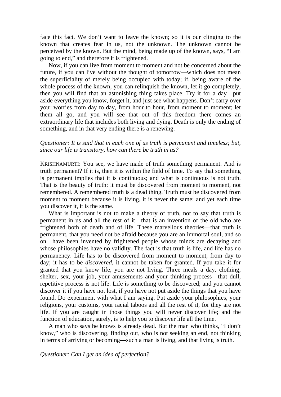face this fact. We don't want to leave the known; so it is our clinging to the known that creates fear in us, not the unknown. The unknown cannot be perceived by the known. But the mind, being made up of the known, says, "I am going to end," and therefore it is frightened.

Now, if you can live from moment to moment and not be concerned about the future, if you can live without the thought of tomorrow—which does not mean the superficiality of merely being occupied with today; if, being aware of the whole process of the known, you can relinquish the known, let it go completely, then you will find that an astonishing thing takes place. Try it for a day—put aside everything you know, forget it, and just see what happens. Don't carry over your worries from day to day, from hour to hour, from moment to moment; let them all go, and you will see that out of this freedom there comes an extraordinary life that includes both living and dying. Death is only the ending of something, and in that very ending there is a renewing.

#### *Questioner: It is said that in each one of us truth is permanent and timeless; but, since our life is transitory, how can there be truth in us?*

KRISHNAMURTI: You see, we have made of truth something permanent. And is truth permanent? If it is, then it is within the field of time. To say that something is permanent implies that it is continuous; and what is continuous is not truth. That is the beauty of truth: it must be discovered from moment to moment, not remembered. A remembered truth is a dead thing. Truth must be discovered from moment to moment because it is living, it is never the same; and yet each time you discover it, it is the same.

What is important is not to make a theory of truth, not to say that truth is permanent in us and all the rest of it—that is an invention of the old who are frightened both of death and of life. These marvellous theories—that truth is permanent, that you need not be afraid because you are an immortal soul, and so on—have been invented by frightened people whose minds are decaying and whose philosophies have no validity. The fact is that truth is life, and life has no permanency. Life has to be discovered from moment to moment, from day to day; it has to be *discovered*, it cannot be taken for granted. If you take it for granted that you know life, you are not living. Three meals a day, clothing, shelter, sex, your job, your amusements and your thinking process—that dull, repetitive process is not life. Life is something to be discovered; and you cannot discover it if you have not lost, if you have not put aside the things that you have found. Do experiment with what I am saying. Put aside your philosophies, your religions, your customs, your racial taboos and all the rest of it, for they are not life. If you are caught in those things you will never discover life; and the function of education, surely, is to help you to discover life all the time.

A man who says he knows is already dead. But the man who thinks, "I don't know," who is discovering, finding out, who is not seeking an end, not thinking in terms of arriving or becoming—such a man is living, and that living is truth.

*Questioner: Can I get an idea of perfection?*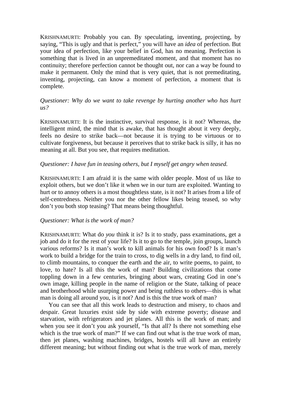KRISHNAMURTI: Probably you can. By speculating, inventing, projecting, by saying, "This is ugly and that is perfect," you will have an *idea* of perfection. But your idea of perfection, like your belief in God, has no meaning. Perfection is something that is lived in an unpremeditated moment, and that moment has no continuity; therefore perfection cannot be thought out, nor can a way be found to make it permanent. Only the mind that is very quiet, that is not premeditating, inventing, projecting, can know a moment of perfection, a moment that is complete.

#### *Questioner: Why do we want to take revenge by hurting another who has hurt us?*

KRISHNAMURTI: It is the instinctive, survival response, is it not? Whereas, the intelligent mind, the mind that is awake, that has thought about it very deeply, feels no desire to strike back—not because it is trying to be virtuous or to cultivate forgiveness, but because it perceives that to strike back is silly, it has no meaning at all. But you see, that requires meditation.

#### *Questioner: I have fun in teasing others, but I myself get angry when teased.*

KRISHNAMURTI: I am afraid it is the same with older people. Most of us like to exploit others, but we don't like it when we in our turn are exploited. Wanting to hurt or to annoy others is a most thoughtless state, is it not? It arises from a life of self-centredness. Neither you nor the other fellow likes being teased, so why don't you both stop teasing? That means being thoughtful.

#### *Questioner: What is the work of man?*

KRISHNAMURTI: What do *you* think it is? Is it to study, pass examinations, get a job and do it for the rest of your life? Is it to go to the temple, join groups, launch various reforms? Is it man's work to kill animals for his own food? Is it man's work to build a bridge for the train to cross, to dig wells in a dry land, to find oil, to climb mountains, to conquer the earth and the air, to write poems, to paint, to love, to hate? Is all this the work of man? Building civilizations that come toppling down in a few centuries, bringing about wars, creating God in one's own image, killing people in the name of religion or the State, talking of peace and brotherhood while usurping power and being ruthless to others—this is what man is doing all around you, is it not? And is this the true work of man?

You can see that all this work leads to destruction and misery, to chaos and despair. Great luxuries exist side by side with extreme poverty; disease and starvation, with refrigerators and jet planes. All this is the work of man; and when you see it don't you ask yourself, "Is that all? Is there not something else which is the true work of man?" If we can find out what is the true work of man, then jet planes, washing machines, bridges, hostels will all have an entirely different meaning; but without finding out what is the true work of man, merely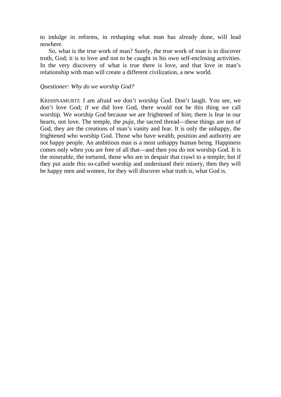to indulge in reforms, in reshaping what man has already done, will lead nowhere.

So, what is the true work of man? Surely, the true work of man is to discover truth, God; it is to love and not to be caught in his own self-enclosing activities. In the very discovery of what is true there is love, and that love in man's relationship with man will create a different civilization, a new world.

#### *Questioner: Why do we worship God?*

KRISHNAMURTI: I am afraid we don't worship God. Don't laugh. You see, we don't love God; if we did love God, there would not be this thing we call worship. We worship God because we are frightened of him; there is fear in our hearts, not love. The temple, the *puja*, the sacred thread—these things are not of God, they are the creations of man's vanity and fear. It is only the unhappy, the frightened who worship God. Those who have wealth, position and authority are not happy people. An ambitious man is a most unhappy human being. Happiness comes only when you are free of all that—and then you do not worship God. It is the miserable, the tortured, those who are in despair that crawl to a temple; but if they put aside this so-called worship and understand their misery, then they will be happy men and women, for they will discover what truth is, what God is.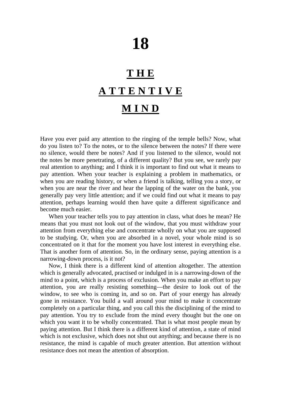# **18**

### **THE ATTENTIVE MIND**

Have you ever paid any attention to the ringing of the temple bells? Now, what do you listen to? To the notes, or to the silence between the notes? If there were no silence, would there be notes? And if you listened to the silence, would not the notes be more penetrating, of a different quality? But you see, we rarely pay real attention to anything; and I think it is important to find out what it means to pay attention. When your teacher is explaining a problem in mathematics, or when you are reading history, or when a friend is talking, telling you a story, or when you are near the river and hear the lapping of the water on the bank, you generally pay very little attention; and if we could find out what it means to pay attention, perhaps learning would then have quite a different significance and become much easier.

When your teacher tells you to pay attention in class, what does he mean? He means that you must not look out of the window, that you must withdraw your attention from everything else and concentrate wholly on what you are supposed to be studying. Or, when you are absorbed in a novel, your whole mind is so concentrated on it that for the moment you have lost interest in everything else. That is another form of attention. So, in the ordinary sense, paying attention is a narrowing-down process, is it not?

Now, I think there is a different kind of attention altogether. The attention which is generally advocated, practised or indulged in is a narrowing-down of the mind to a point, which is a process of exclusion. When you make an effort to pay attention, you are really resisting something—the desire to look out of the window, to see who is coming in, and so on. Part of your energy has already gone in resistance. You build a wall around your mind to make it concentrate completely on a particular thing, and you call this the disciplining of the mind to pay attention. You try to exclude from the mind every thought but the one on which you want it to be wholly concentrated. That is what most people mean by paying attention. But I think there is a different kind of attention, a state of mind which is not exclusive, which does not shut out anything; and because there is no resistance, the mind is capable of much greater attention. But attention without resistance does not mean the attention of absorption.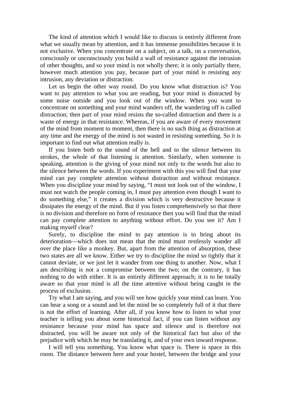The kind of attention which I would like to discuss is entirely different from what we usually mean by attention, and it has immense possibilities because it is not exclusive. When you concentrate on a subject, on a talk, on a conversation, consciously or unconsciously you build a wall of resistance against the intrusion of other thoughts, and so your mind is not wholly there; it is only partially there, however much attention you pay, because part of your mind is resisting any intrusion, any deviation or distraction.

Let us begin the other way round. Do you know what distraction is? You want to pay attention to what you are reading, but your mind is distracted by some noise outside and you look out of the window. When you want to concentrate on something and your mind wanders off, the wandering off is called distraction; then part of your mind resists the so-called distraction and there is a waste of energy in that resistance. Whereas, if you are aware of every movement of the mind from moment to moment, then there is no such thing as distraction at any time and the energy of the mind is not wasted in resisting something. So it is important to find out what attention really is.

If you listen both to the sound of the bell and to the silence between its strokes, the whole of that listening is attention. Similarly, when someone is speaking, attention is the giving of your mind not only to the words but also to the silence between the words. If you experiment with this you will find that your mind can pay complete attention without distraction and without resistance. When you discipline your mind by saying, "I must not look out of the window, I must not watch the people coming in, I must pay attention even though I want to do something else," it creates a division which is very destructive because it dissipates the energy of the mind. But if you listen comprehensively so that there is no division and therefore no form of resistance then you will find that the mind can pay complete attention to anything without effort. Do you see it? Am I making myself clear?

Surely, to discipline the mind to pay attention is to bring about its deterioration—which does not mean that the mind must restlessly wander all over the place like a monkey. But, apart from the attention of absorption, these two states are all we know. Either we try to discipline the mind so tightly that it cannot deviate, or we just let it wander from one thing to another. Now, what I am describing is not a compromise between the two; on the contrary, it has nothing to do with either. It is an entirely different approach; it is to be totally aware so that your mind is all the time attentive without being caught in the process of exclusion.

Try what I am saying, and you will see how quickly your mind can learn. You can hear a song or a sound and let the mind be so completely full of it that there is not the effort of learning. After all, if you know how to listen to what your teacher is telling you about some historical fact, if you can listen without any resistance because your mind has space and silence and is therefore not distracted, you will be aware not only of the historical fact but also of the prejudice with which he may be translating it, and of your own inward response.

I will tell you something. You know what space is. There is space in this room. The distance between here and your hostel, between the bridge and your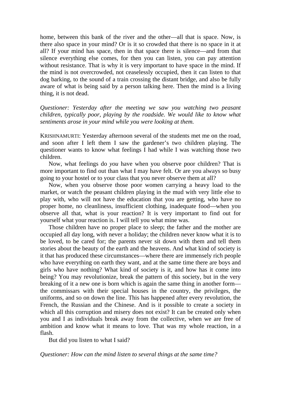home, between this bank of the river and the other—all that is space. Now, is there also space in your mind? Or is it so crowded that there is no space in it at all? If your mind has space, then in that space there is silence—and from that silence everything else comes, for then you can listen, you can pay attention without resistance. That is why it is very important to have space in the mind. If the mind is not overcrowded, not ceaselessly occupied, then it can listen to that dog barking, to the sound of a train crossing the distant bridge, and also be fully aware of what is being said by a person talking here. Then the mind is a living thing, it is not dead.

*Questioner: Yesterday after the meeting we saw you watching two peasant children, typically poor, playing by the roadside. We would like to know what sentiments arose in your mind while you were looking at them.* 

KRISHNAMURTI: Yesterday afternoon several of the students met me on the road, and soon after I left them I saw the gardener's two children playing. The questioner wants to know what feelings I had while I was watching those two children.

Now, what feelings do *you* have when you observe poor children? That is more important to find out than what I may have felt. Or are you always so busy going to your hostel or to your class that you never observe them at all?

Now, when you observe those poor women carrying a heavy load to the market, or watch the peasant children playing in the mud with very little else to play with, who will not have the education that you are getting, who have no proper home, no cleanliness, insufficient clothing, inadequate food—when you observe all that, what is your reaction? It is very important to find out for yourself what your reaction is. I will tell you what mine was.

Those children have no proper place to sleep; the father and the mother are occupied all day long, with never a holiday; the children never know what it is to be loved, to be cared for; the parents never sit down with them and tell them stories about the beauty of the earth and the heavens. And what kind of society is it that has produced these circumstances—where there are immensely rich people who have everything on earth they want, and at the same time there are boys and girls who have nothing? What kind of society is it, and how has it come into being? You may revolutionize, break the pattern of this society, but in the very breaking of it a new one is born which is again the same thing in another form the commissars with their special houses in the country, the privileges, the uniforms, and so on down the line. This has happened after every revolution, the French, the Russian and the Chinese. And is it possible to create a society in which all this corruption and misery does not exist? It can be created only when you and I as individuals break away from the collective, when we are free of ambition and know what it means to love. That was my whole reaction, in a flash.

But did you listen to what I said?

*Questioner: How can the mind listen to several things at the same time?*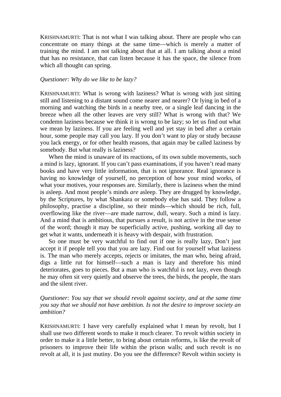KRISHNAMURTI: That is not what I was talking about. There are people who can concentrate on many things at the same time—which is merely a matter of training the mind. I am not talking about that at all. I am talking about a mind that has no resistance, that can listen because it has the space, the silence from which all thought can spring.

#### *Questioner: Why do we like to be lazy?*

KRISHNAMURTI: What is wrong with laziness? What is wrong with just sitting still and listening to a distant sound come nearer and nearer? Or lying in bed of a morning and watching the birds in a nearby tree, or a single leaf dancing in the breeze when all the other leaves are very still? What is wrong with that? We condemn laziness because we think it is wrong to be lazy; so let us find out what we mean by laziness. If you are feeling well and yet stay in bed after a certain hour, some people may call you lazy. If you don't want to play or study because you lack energy, or for other health reasons, that again may be called laziness by somebody. But what really is laziness?

When the mind is unaware of its reactions, of its own subtle movements, such a mind is lazy, ignorant. If you can't pass examinations, if you haven't read many books and have very little information, that is not ignorance. Real ignorance is having no knowledge of yourself, no perception of how your mind works, of what your motives, your responses are. Similarly, there is laziness when the mind is asleep. And most people's minds *are* asleep. They are drugged by knowledge, by the Scriptures, by what Shankara or somebody else has said. They follow a philosophy, practise a discipline, so their minds—which should be rich, full, overflowing like the river—are made narrow, dull, weary. Such a mind is lazy. And a mind that is ambitious, that pursues a result, is not active in the true sense of the word; though it may be superficially active, pushing, working all day to get what it wants, underneath it is heavy with despair, with frustration.

So one must be very watchful to find out if one is really lazy, Don't just accept it if people tell you that you are lazy. Find out for yourself what laziness is. The man who merely accepts, rejects or imitates, the man who, being afraid, digs a little rut for himself—such a man is lazy and therefore his mind deteriorates, goes to pieces. But a man who is watchful is not lazy, even though he may often sit very quietly and observe the trees, the birds, the people, the stars and the silent river.

#### *Questioner: You say that we should revolt against society, and at the same time you say that we should not have ambition. Is not the desire to improve society an ambition?*

KRISHNAMURTI: I have very carefully explained what I mean by revolt, but I shall use two different words to make it much clearer. To revolt within society in order to make it a little better, to bring about certain reforms, is like the revolt of prisoners to improve their life within the prison walls; and such revolt is no revolt at all, it is just mutiny. Do you see the difference? Revolt within society is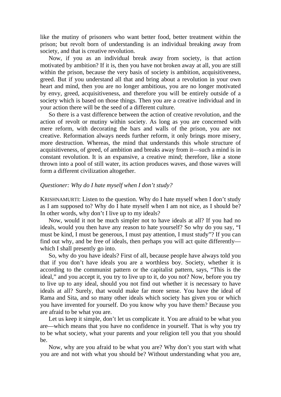like the mutiny of prisoners who want better food, better treatment within the prison; but revolt born of understanding is an individual breaking away from society, and that is creative revolution.

Now, if you as an individual break away from society, is that action motivated by ambition? If it is, then you have not broken away at all, you are still within the prison, because the very basis of society is ambition, acquisitiveness, greed. But if you understand all that and bring about a revolution in your own heart and mind, then you are no longer ambitious, you are no longer motivated by envy, greed, acquisitiveness, and therefore you will be entirely outside of a society which is based on those things. Then you are a creative individual and in your action there will be the seed of a different culture.

So there is a vast difference between the action of creative revolution, and the action of revolt or mutiny within society. As long as you are concerned with mere reform, with decorating the bars and walls of the prison, you are not creative. Reformation always needs further reform, it only brings more misery, more destruction. Whereas, the mind that understands this whole structure of acquisitiveness, of greed, of ambition and breaks away from it—such a mind is in constant revolution. It is an expansive, a creative mind; therefore, like a stone thrown into a pool of still water, its action produces waves, and those waves will form a different civilization altogether.

#### *Questioner: Why do I hate myself when I don't study?*

KRISHNAMURTI: Listen to the question. Why do I hate myself when I don't study as I am supposed to? Why do I hate myself when I am not nice, as I should be? In other words, why don't I live up to my ideals?

Now, would it not be much simpler not to have ideals at all? If you had no ideals, would you then have any reason to hate yourself? So why do you say, "I must be kind, I must be generous, I must pay attention, I must study"? If you can find out why, and be free of ideals, then perhaps you will act quite differently which I shall presently go into.

So, why do you have ideals? First of all, because people have always told you that if you don't have ideals you are a worthless boy. Society, whether it is according to the communist pattern or the capitalist pattern, says, "This is the ideal," and you accept it, you try to live up to it, do you not? Now, before you try to live up to any ideal, should you not find out whether it is necessary to have ideals at all? Surely, that would make far more sense. You have the ideal of Rama and Sita, and so many other ideals which society has given you or which you have invented for yourself. Do you know why you have them? Because you are afraid to be what you are.

Let us keep it simple, don't let us complicate it. You are afraid to be what you are—which means that you have no confidence in yourself. That is why you try to be what society, what your parents and your religion tell you that you should be.

Now, why are you afraid to be what you are? Why don't you start with what you are and not with what you should be? Without understanding what you are,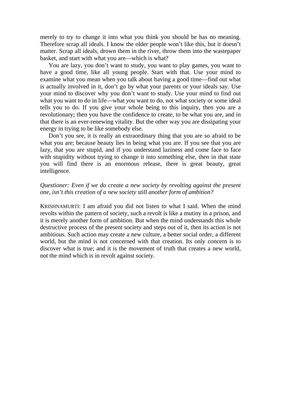merely to try to change it into what you think you should be has no meaning. Therefore scrap all ideals. I know the older people won't like this, but it doesn't matter. Scrap all ideals, drown them in the river, throw them into the wastepaper basket, and start with what you are—which is what?

You are lazy, you don't want to study, you want to play games, you want to have a good time, like all young people. Start with that. Use your mind to examine what you mean when you talk about having a good time—find out what is actually involved in it, don't go by what your parents or your ideals say. Use your mind to discover why you don't want to study. Use your mind to find out what you want to do in life—what *you* want to do, not what society or some ideal tells you to do. If you give your whole being to this inquiry, then you are a revolutionary; then you have the confidence to create, to be what you are, and in that there is an ever-renewing vitality. But the other way you are dissipating your energy in trying to be like somebody else.

Don't you see, it is really an extraordinary thing that you are so afraid to be what you are; because beauty lies in being what you are. If you see that you are lazy, that you are stupid, and if you understand laziness and come face to face with stupidity without trying to change it into something else, then in that state you will find there is an enormous release, there is great beauty, great intelligence.

#### *Questioner: Even if we do create a new society by revolting against the present one, isn't this creation of a new society still another form of ambition?*

KRISHNAMURTI: I am afraid you did not listen to what I said. When the mind revolts within the pattern of society, such a revolt is like a mutiny in a prison, and it is merely another form of ambition. But when the mind understands this whole destructive process of the present society and steps out of it, then its action is not ambitious. Such action may create a new culture, a better social order, a different world, but the mind is not concerned with that creation. Its only concern is to discover what is true; and it is the movement of truth that creates a new world, not the mind which is in revolt against society.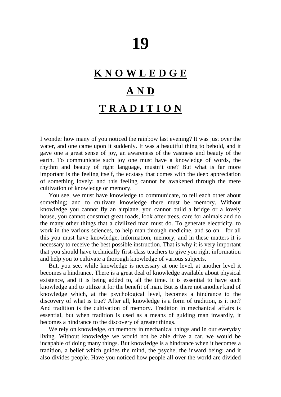# **KNOWLEDGE AND TRADITION**

I wonder how many of you noticed the rainbow last evening? It was just over the water, and one came upon it suddenly. It was a beautiful thing to behold, and it gave one a great sense of joy, an awareness of the vastness and beauty of the earth. To communicate such joy one must have a knowledge of words, the rhythm and beauty of right language, mustn't one? But what is far more important is the feeling itself, the ecstasy that comes with the deep appreciation of something lovely; and this feeling cannot be awakened through the mere cultivation of knowledge or memory.

You see, we must have knowledge to communicate, to tell each other about something; and to cultivate knowledge there must be memory. Without knowledge you cannot fly an airplane, you cannot build a bridge or a lovely house, you cannot construct great roads, look after trees, care for animals and do the many other things that a civilized man must do. To generate electricity, to work in the various sciences, to help man through medicine, and so on—for all this you must have knowledge, information, memory, and in these matters it is necessary to receive the best possible instruction. That is why it is very important that you should have technically first-class teachers to give you right information and help you to cultivate a thorough knowledge of various subjects.

But, you see, while knowledge is necessary at one level, at another level it becomes a hindrance. There is a great deal of knowledge available about physical existence, and it is being added to, all the time. It is essential to have such knowledge and to utilize it for the benefit of man. But is there not another kind of knowledge which, at the psychological level, becomes a hindrance to the discovery of what is true? After all, knowledge is a form of tradition, is it not? And tradition is the cultivation of memory. Tradition in mechanical affairs is essential, but when tradition is used as a means of guiding man inwardly, it becomes a hindrance to the discovery of greater things.

We rely on knowledge, on memory in mechanical things and in our everyday living. Without knowledge we would not be able drive a car, we would be incapable of doing many things. But knowledge is a hindrance when it becomes a tradition, a belief which guides the mind, the psyche, the inward being; and it also divides people. Have you noticed how people all over the world are divided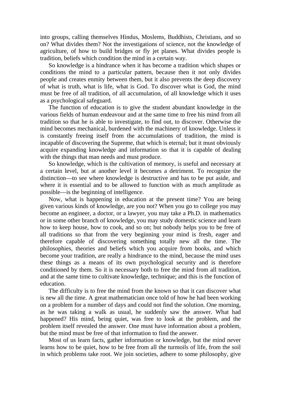into groups, calling themselves Hindus, Moslems, Buddhists, Christians, and so on? What divides them? Not the investigations of science, not the knowledge of agriculture, of how to build bridges or fly jet planes. What divides people is tradition, beliefs which condition the mind in a certain way.

So knowledge is a hindrance when it has become a tradition which shapes or conditions the mind to a particular pattern, because then it not only divides people and creates enmity between them, but it also prevents the deep discovery of what is truth, what is life, what is God. To discover what is God, the mind must be free of all tradition, of all accumulation, of all knowledge which it uses as a psychological safeguard.

The function of education is to give the student abundant knowledge in the various fields of human endeavour and at the same time to free his mind from all tradition so that he is able to investigate, to find out, to discover. Otherwise the mind becomes mechanical, burdened with the machinery of knowledge. Unless it is constantly freeing itself from the accumulations of tradition, the mind is incapable of discovering the Supreme, that which is eternal; but it must obviously acquire expanding knowledge and information so that it is capable of dealing with the things that man needs and must produce.

So knowledge, which is the cultivation of memory, is useful and necessary at a certain level, but at another level it becomes a detriment. To recognize the distinction—to see where knowledge is destructive and has to be put aside, and where it is essential and to be allowed to function with as much amplitude as possible—is the beginning of intelligence.

Now, what is happening in education at the present time? You are being given various kinds of knowledge, are you not? When you go to college you may become an engineer, a doctor, or a lawyer, you may take a Ph.D. in mathematics or in some other branch of knowledge, you may study domestic science and learn how to keep house, how to cook, and so on; but nobody helps you to be free of all traditions so that from the very beginning your mind is fresh, eager and therefore capable of discovering something totally new all the time. The philosophies, theories and beliefs which you acquire from books, and which become your tradition, are really a hindrance to the mind, because the mind uses these things as a means of its own psychological security and is therefore conditioned by them. So it is necessary both to free the mind from all tradition, and at the same time to cultivate knowledge, technique; and this is the function of education.

The difficulty is to free the mind from the known so that it can discover what is new all the time. A great mathematician once told of how he had been working on a problem for a number of days and could not find the solution. One morning, as he was taking a walk as usual, he suddenly saw the answer. What had happened? His mind, being quiet, was free to look at the problem, and the problem itself revealed the answer. One must have information about a problem, but the mind must be free of that information to find the answer.

Most of us learn facts, gather information or knowledge, but the mind never learns how to be quiet, how to be free from all the turmoils of life, from the soil in which problems take root. We join societies, adhere to some philosophy, give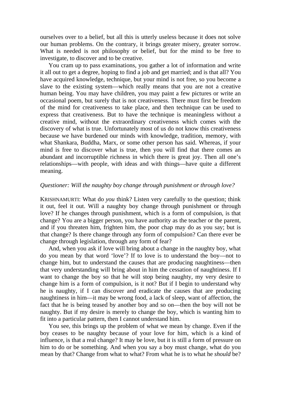ourselves over to a belief, but all this is utterly useless because it does not solve our human problems. On the contrary, it brings greater misery, greater sorrow. What is needed is not philosophy or belief, but for the mind to be free to investigate, to discover and to be creative.

You cram up to pass examinations, you gather a lot of information and write it all out to get a degree, hoping to find a job and get married; and is that all? You have acquired knowledge, technique, but your mind is not free, so you become a slave to the existing system—which really means that you are not a creative human being. You may have children, you may paint a few pictures or write an occasional poem, but surely that is not creativeness. There must first be freedom of the mind for creativeness to take place, and then technique can be used to express that creativeness. But to have the technique is meaningless without a creative mind, without the extraordinary creativeness which comes with the discovery of what is true. Unfortunately most of us do not know this creativeness because we have burdened our minds with knowledge, tradition, memory, with what Shankara, Buddha, Marx, or some other person has said. Whereas, if your mind is free to discover what is true, then you will find that there comes an abundant and incorruptible richness in which there is great joy. Then all one's relationships—with people, with ideas and with things—have quite a different meaning.

#### *Questioner: Will the naughty boy change through punishment or through love?*

KRISHNAMURTI: What do *you* think? Listen very carefully to the question; think it out, feel it out. Will a naughty boy change through punishment or through love? If he changes through punishment, which is a form of compulsion, is that change? You are a bigger person, you have authority as the teacher or the parent, and if you threaten him, frighten him, the poor chap may do as you say; but is that change? Is there change through any form of compulsion? Can there ever be change through legislation, through any form of fear?

And, when you ask if love will bring about a change in the naughty boy, what do you mean by that word 'love'? If to love is to understand the boy—not to change him, but to understand the causes that are producing naughtiness—then that very understanding will bring about in him the cessation of naughtiness. If I want to change the boy so that he will stop being naughty, my very desire to change him is a form of compulsion, is it not? But if I begin to understand why he is naughty, if I can discover and eradicate the causes that are producing naughtiness in him—it may be wrong food, a lack of sleep, want of affection, the fact that he is being teased by another boy and so on—then the boy will not be naughty. But if my desire is merely to change the boy, which is wanting him to fit into a particular pattern, then I cannot understand him.

You see, this brings up the problem of what we mean by change. Even if the boy ceases to be naughty because of your love for him, which is a kind of influence, is that a real change? It may be love, but it is still a form of pressure on him to do or be something. And when you say a boy must change, what do you mean by that? Change from what to what? From what he is to what he *should* be?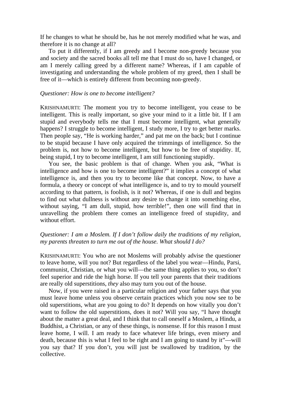If he changes to what he should be, has he not merely modified what he was, and therefore it is no change at all?

To put it differently, if I am greedy and I become non-greedy because you and society and the sacred books all tell me that I must do so, have I changed, or am I merely calling greed by a different name? Whereas, if I am capable of investigating and understanding the whole problem of my greed, then I shall be free of it—which is entirely different from becoming non-greedy.

#### *Questioner: How is one to become intelligent?*

KRISHNAMURTI: The moment you try to become intelligent, you cease to be intelligent. This is really important, so give your mind to it a little bit. If I am stupid and everybody tells me that I must become intelligent, what generally happens? I struggle to become intelligent, I study more, I try to get better marks. Then people say, "He is working harder," and pat me on the back; but I continue to be stupid because I have only acquired the trimmings of intelligence. So the problem is, not how to become intelligent, but how to be free of stupidity. If, being stupid, I try to become intelligent, I am still functioning stupidly.

You see, the basic problem is that of change. When you ask, "What is intelligence and how is one to become intelligent?" it implies a concept of what intelligence is, and then you try to become like that concept. Now, to have a formula, a theory or concept of what intelligence is, and to try to mould yourself according to that pattern, is foolish, is it not? Whereas, if one is dull and begins to find out what dullness is without any desire to change it into something else, without saying, "I am dull, stupid, how terrible!", then one will find that in unravelling the problem there comes an intelligence freed of stupidity, and without effort.

#### *Questioner: I am a Moslem. If I don't follow daily the traditions of my religion, my parents threaten to turn me out of the house. What should I do?*

KRISHNAMURTI: You who are not Moslems will probably advise the questioner to leave home, will you not? But regardless of the label you wear—Hindu, Parsi, communist, Christian, or what you will—the same thing applies to you, so don't feel superior and ride the high horse. If you tell your parents that their traditions are really old superstitions, *they* also may turn you out of the house.

Now, if you were raised in a particular religion and your father says that you must leave home unless you observe certain practices which you now see to be old superstitions, what are you going to do? It depends on how vitally you don't want to follow the old superstitions, does it not? Will you say, "I have thought about the matter a great deal, and I think that to call oneself a Moslem, a Hindu, a Buddhist, a Christian, or any of these things, is nonsense. If for this reason I must leave home, I will. I am ready to face whatever life brings, even misery and death, because this is what I feel to be right and I am going to stand by it"—will you say that? If you don't, you will just be swallowed by tradition, by the collective.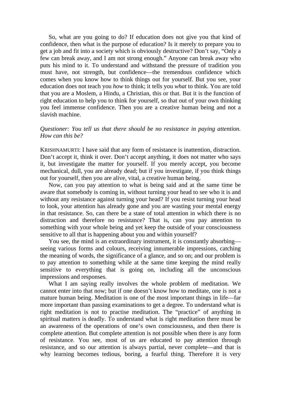So, what are you going to do? If education does not give you that kind of confidence, then what is the purpose of education? Is it merely to prepare you to get a job and fit into a society which is obviously destructive? Don't say, "Only a few can break away, and I am not strong enough." Anyone can break away who puts his mind to it. To understand and withstand the pressure of tradition you must have, not strength, but confidence—the tremendous confidence which comes when you know how to think things out for yourself. But you see, your education does not teach you *how* to think; it tells you *what* to think. You are told that you are a Moslem, a Hindu, a Christian, this or that. But it is the function of right education to help you to think for yourself, so that out of your own thinking you feel immense confidence. Then you are a creative human being and not a slavish machine.

#### *Questioner: You tell us that there should be no resistance in paying attention. How can this be?*

KRISHNAMURTI: I have said that any form of resistance is inattention, distraction. Don't accept it, think it over. Don't accept anything, it does not matter who says it, but investigate the matter for yourself. If you merely accept, you become mechanical, dull, you are already dead; but if you investigate, if you think things out for yourself, then you are alive, vital, a creative human being.

Now, can you pay attention to what is being said and at the same time be aware that somebody is coming in, without turning your head to see who it is and without any resistance against turning your head? If you resist turning your head to look, your attention has already gone and you are wasting your mental energy in that resistance. So, can there be a state of total attention in which there is no distraction and therefore no resistance? That is, can you pay attention to something with your whole being and yet keep the outside of your consciousness sensitive to all that is happening about you and within yourself?

You see, the mind is an extraordinary instrument, it is constantly absorbing seeing various forms and colours, receiving innumerable impressions, catching the meaning of words, the significance of a glance, and so on; and our problem is to pay attention to something while at the same time keeping the mind really sensitive to everything that is going on, including all the unconscious impressions and responses.

What I am saying really involves the whole problem of meditation. We cannot enter into that now; but if one doesn't know how to meditate, one is not a mature human being. Meditation is one of the most important things in life—far more important than passing examinations to get a degree. To understand what is right meditation is not to practise meditation. The "practice" of anything in spiritual matters is deadly. To understand what is right meditation there must be an awareness of the operations of one's own consciousness, and then there is complete attention. But complete attention is not possible when there is any form of resistance. You see, most of us are educated to pay attention through resistance, and so our attention is always partial, never complete—and that is why learning becomes tedious, boring, a fearful thing. Therefore it is very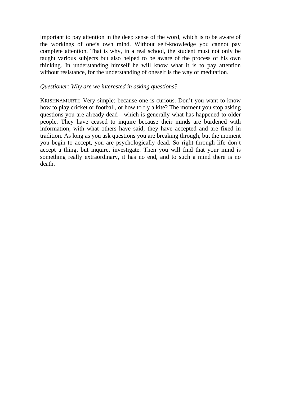important to pay attention in the deep sense of the word, which is to be aware of the workings of one's own mind. Without self-knowledge you cannot pay complete attention. That is why, in a real school, the student must not only be taught various subjects but also helped to be aware of the process of his own thinking. In understanding himself he will know what it is to pay attention without resistance, for the understanding of oneself is the way of meditation.

#### *Questioner: Why are we interested in asking questions?*

KRISHNAMURTI: Very simple: because one is curious. Don't you want to know how to play cricket or football, or how to fly a kite? The moment you stop asking questions you are already dead—which is generally what has happened to older people. They have ceased to inquire because their minds are burdened with information, with what others have said; they have accepted and are fixed in tradition. As long as you ask questions you are breaking through, but the moment you begin to accept, you are psychologically dead. So right through life don't accept a thing, but inquire, investigate. Then you will find that your mind is something really extraordinary, it has no end, and to such a mind there is no death.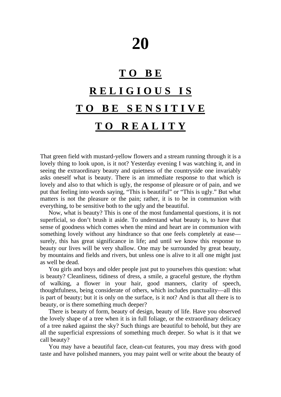# **20**

## **TO BE RELIGIOUS IS TO BE SENSITIVE TO REALITY**

That green field with mustard-yellow flowers and a stream running through it is a lovely thing to look upon, is it not? Yesterday evening I was watching it, and in seeing the extraordinary beauty and quietness of the countryside one invariably asks oneself what is beauty. There is an immediate response to that which is lovely and also to that which is ugly, the response of pleasure or of pain, and we put that feeling into words saying, "This is beautiful" or "This is ugly." But what matters is not the pleasure or the pain; rather, it is to be in communion with everything, to be sensitive both to the ugly and the beautiful.

Now, what is beauty? This is one of the most fundamental questions, it is not superficial, so don't brush it aside. To understand what beauty is, to have that sense of goodness which comes when the mind and heart are in communion with something lovely without any hindrance so that one feels completely at ease surely, this has great significance in life; and until we know this response to beauty our lives will be very shallow. One may be surrounded by great beauty, by mountains and fields and rivers, but unless one is alive to it all one might just as well be dead.

You girls and boys and older people just put to yourselves this question: what is beauty? Cleanliness, tidiness of dress, a smile, a graceful gesture, the rhythm of walking, a flower in your hair, good manners, clarity of speech, thoughtfulness, being considerate of others, which includes punctuality—all this is part of beauty; but it is only on the surface, is it not? And is that all there is to beauty, or is there something much deeper?

There is beauty of form, beauty of design, beauty of life. Have you observed the lovely shape of a tree when it is in full foliage, or the extraordinary delicacy of a tree naked against the sky? Such things are beautiful to behold, but they are all the superficial expressions of something much deeper. So what is it that we call beauty?

You may have a beautiful face, clean-cut features, you may dress with good taste and have polished manners, you may paint well or write about the beauty of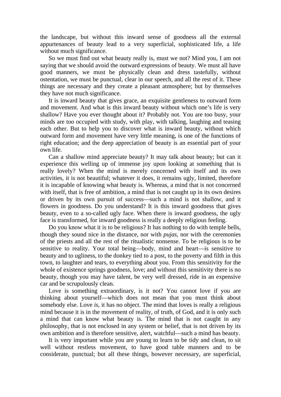the landscape, but without this inward sense of goodness all the external appurtenances of beauty lead to a very superficial, sophisticated life, a life without much significance.

So we must find out what beauty really is, must we not? Mind you, I am not saying that we should avoid the outward expressions of beauty. We must all have good manners, we must be physically clean and dress tastefully, without ostentation, we must be punctual, clear in our speech, and all the rest of it. These things are necessary and they create a pleasant atmosphere; but by themselves they have not much significance.

It is inward beauty that gives grace, an exquisite gentleness to outward form and movement. And what is this inward beauty without which one's life is very shallow? Have you ever thought about it? Probably not. You are too busy, your minds are too occupied with study, with play, with talking, laughing and teasing each other. But to help you to discover what is inward beauty, without which outward form and movement have very little meaning, is one of the functions of right education; and the deep appreciation of beauty is an essential part of your own life.

Can a shallow mind appreciate beauty? It may talk about beauty; but can it experience this welling up of immense joy upon looking at something that is really lovely? When the mind is merely concerned with itself and its own activities, it is not beautiful; whatever it does, it remains ugly, limited, therefore it is incapable of knowing what beauty is. Whereas, a mind that is not concerned with itself, that is free of ambition, a mind that is not caught up in its own desires or driven by its own pursuit of success—such a mind is not shallow, and it flowers in goodness. Do you understand? It is this inward goodness that gives beauty, even to a so-called ugly face. When there is inward goodness, the ugly face is transformed, for inward goodness is really a deeply religious feeling.

Do you know what it is to be religious? It has nothing to do with temple bells, though they sound nice in the distance, nor with *pujas*, nor with the ceremonies of the priests and all the rest of the ritualistic nonsense. To be religious is to be sensitive to reality. Your total being—body, mind and heart—is sensitive to beauty and to ugliness, to the donkey tied to a post, to the poverty and filth in this town, to laughter and tears, to everything about you. From this sensitivity for the whole of existence springs goodness, love; and without this sensitivity there is no beauty, though you may have talent, be very well dressed, ride in an expensive car and be scrupulously clean.

Love is something extraordinary, is it not? You cannot love if you are thinking about yourself—which does not mean that you must think about somebody else. Love *is*, it has no object. The mind that loves is really a religious mind because it is in the movement of reality, of truth, of God, and it is only such a mind that can know what beauty is. The mind that is not caught in any philosophy, that is not enclosed in any system or belief, that is not driven by its own ambition and is therefore sensitive, alert, watchful—such a mind has beauty.

It is very important while you are young to learn to be tidy and clean, to sit well without restless movement, to have good table manners and to be considerate, punctual; but all these things, however necessary, are superficial,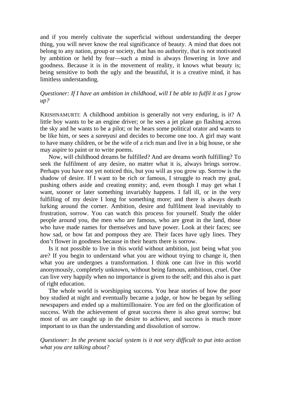and if you merely cultivate the superficial without understanding the deeper thing, you will never know the real significance of beauty. A mind that does not belong to any nation, group or society, that has no authority, that is not motivated by ambition or held by fear—such a mind is always flowering in love and goodness. Because it is in the movement of reality, it knows what beauty is; being sensitive to both the ugly and the beautiful, it is a creative mind, it has limitless understanding.

### *Questioner: If I have an ambition in childhood, will I be able to fulfil it as I grow up?*

KRISHNAMURTI: A childhood ambition is generally not very enduring, is it? A little boy wants to be an engine driver; or he sees a jet plane go flashing across the sky and he wants to be a pilot; or he hears some political orator and wants to be like him, or sees a *sannyasi* and decides to become one too. A girl may want to have many children, or be the wife of a rich man and live in a big house, or she may aspire to paint or to write poems.

Now, will childhood dreams be fulfilled? And are dreams worth fulfilling? To seek the fulfilment of any desire, no matter what it is, always brings sorrow. Perhaps you have not yet noticed this, but you will as you grow up. Sorrow is the shadow of desire. If I want to be rich or famous, I struggle to reach my goal, pushing others aside and creating enmity; and, even though I may get what I want, sooner or later something invariably happens. I fall ill, or in the very fulfilling of my desire I long for something more; and there is always death lurking around the corner. Ambition, desire and fulfilment lead inevitably to frustration, sorrow. You can watch this process for yourself. Study the older people around you, the men who are famous, who are great in the land, those who have made names for themselves and have power. Look at their faces; see how sad, or how fat and pompous they are. Their faces have ugly lines. They don't flower in goodness because in their hearts there is sorrow.

Is it not possible to live in this world without ambition, just being what you are? If you begin to understand what you are without trying to change it, then what you are undergoes a transformation. I think one can live in this world anonymously, completely unknown, without being famous, ambitious, cruel. One can live very happily when no importance is given to the self; and this also is part of right education.

The whole world is worshipping success. You hear stories of how the poor boy studied at night and eventually became a judge, or how he began by selling newspapers and ended up a multimillionaire. You are fed on the glorification of success. With the achievement of great success there is also great sorrow; but most of us are caught up in the desire to achieve, and success is much more important to us than the understanding and dissolution of sorrow.

*Questioner: In the present social system is it not very difficult to put into action what you are talking about?*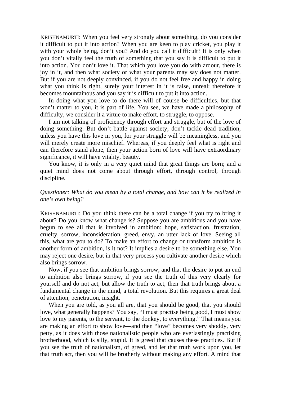KRISHNAMURTI: When you feel very strongly about something, do you consider it difficult to put it into action? When you are keen to play cricket, you play it with your whole being, don't you? And do you call it difficult? It is only when you don't vitally feel the truth of something that you say it is difficult to put it into action. You don't love it. That which you love you do with ardour, there is joy in it, and then what society or what your parents may say does not matter. But if you are not deeply convinced, if you do not feel free and happy in doing what you think is right, surely your interest in it is false, unreal; therefore it becomes mountainous and you say it is difficult to put it into action.

In doing what you love to do there will of course be difficulties, but that won't matter to you, it is part of life. You see, we have made a philosophy of difficulty, we consider it a virtue to make effort, to struggle, to oppose.

I am not talking of proficiency through effort and struggle, but of the love of doing something. But don't battle against society, don't tackle dead tradition, unless you have this love in you, for your struggle will be meaningless, and you will merely create more mischief. Whereas, if you deeply feel what is right and can therefore stand alone, then your action born of love will have extraordinary significance, it will have vitality, beauty.

You know, it is only in a very quiet mind that great things are born; and a quiet mind does not come about through effort, through control, through discipline.

### *Questioner: What do you mean by a total change, and how can it be realized in one's own being?*

KRISHNAMURTI: Do you think there can be a total change if you try to bring it about? Do you know what change is? Suppose you are ambitious and you have begun to see all that is involved in ambition: hope, satisfaction, frustration, cruelty, sorrow, inconsideration, greed, envy, an utter lack of love. Seeing all this, what are you to do? To make an effort to change or transform ambition is another form of ambition, is it not? It implies a desire to be something else. You may reject one desire, but in that very process you cultivate another desire which also brings sorrow.

Now, if you see that ambition brings sorrow, and that the desire to put an end to ambition also brings sorrow, if you see the truth of this very clearly for yourself and do not act, but allow the truth to act, then that truth brings about a fundamental change in the mind, a total revolution. But this requires a great deal of attention, penetration, insight.

When you are told, as you all are, that you should be good, that you should love, what generally happens? You say, "I must practise being good, I must show love to my parents, to the servant, to the donkey, to everything." That means you are making an effort to show love—and then "love" becomes very shoddy, very petty, as it does with those nationalistic people who are everlastingly practising brotherhood, which is silly, stupid. It is greed that causes these practices. But if you see the truth of nationalism, of greed, and let that truth work upon you, let that truth act, then you will be brotherly without making any effort. A mind that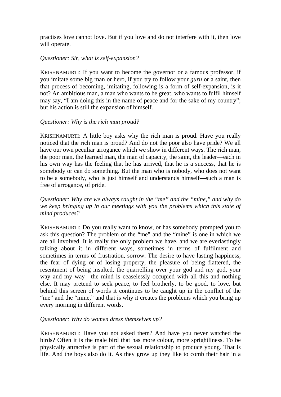practises love cannot love. But if you love and do not interfere with it, then love will operate.

### *Questioner: Sir, what is self-expansion?*

KRISHNAMURTI: If you want to become the governor or a famous professor, if you imitate some big man or hero, if you try to follow your *guru* or a saint, then that process of becoming, imitating, following is a form of self-expansion, is it not? An ambitious man, a man who wants to be great, who wants to fulfil himself may say, "I am doing this in the name of peace and for the sake of my country"; but his action is still the expansion of himself.

### *Questioner: Why is the rich man proud?*

KRISHNAMURTI: A little boy asks why the rich man is proud. Have you really noticed that the rich man is proud? And do not the poor also have pride? We all have our own peculiar arrogance which we show in different ways. The rich man, the poor man, the learned man, the man of capacity, the saint, the leader—each in his own way has the feeling that he has arrived, that he is a success, that he is somebody or can do something. But the man who is nobody, who does not want to be a somebody, who is just himself and understands himself—such a man is free of arrogance, of pride.

*Questioner: Why are we always caught in the "me" and the "mine," and why do we keep bringing up in our meetings with you the problems which this state of mind produces?* 

KRISHNAMURTI: Do you really want to know, or has somebody prompted you to ask this question? The problem of the "me" and the "mine" is one in which we are all involved. It is really the only problem we have, and we are everlastingly talking about it in different ways, sometimes in terms of fulfilment and sometimes in terms of frustration, sorrow. The desire to have lasting happiness, the fear of dying or of losing property, the pleasure of being flattered, the resentment of being insulted, the quarrelling over your god and my god, your way and my way—the mind is ceaselessly occupied with all this and nothing else. It may pretend to seek peace, to feel brotherly, to be good, to love, but behind this screen of words it continues to be caught up in the conflict of the "me" and the "mine," and that is why it creates the problems which you bring up every morning in different words.

### *Questioner: Why do women dress themselves up?*

KRISHNAMURTI: Have you not asked them? And have you never watched the birds? Often it is the male bird that has more colour, more sprightliness. To be physically attractive is part of the sexual relationship to produce young. That is life. And the boys also do it. As they grow up they like to comb their hair in a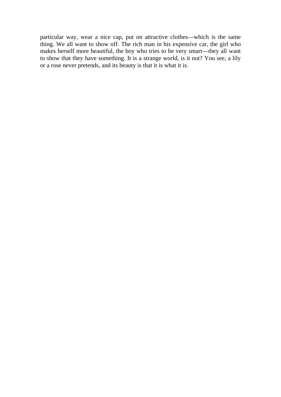particular way, wear a nice cap, put on attractive clothes—which is the same thing. We all want to show off. The rich man in his expensive car, the girl who makes herself more beautiful, the boy who tries to be very smart—they all want to show that they have something. It is a strange world, is it not? You see, a lily or a rose never pretends, and its beauty is that it is what it is.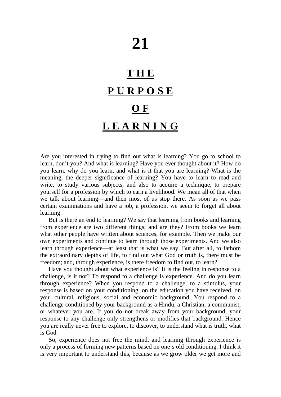# **21**

### **THE PURPOSE O F LEARNING**

Are you interested in trying to find out what is learning? You go to school to learn, don't you? And what is learning? Have you ever thought about it? How do you learn, why do you learn, and what is it that you are learning? What is the meaning, the deeper significance of learning? You have to learn to read and write, to study various subjects, and also to acquire a technique, to prepare yourself for a profession by which to earn a livelihood. We mean all of that when we talk about learning—and then most of us stop there. As soon as we pass certain examinations and have a job, a profession, we seem to forget all about learning.

But is there an end to learning? We say that learning from books and learning from experience are two different things; and are they? From books we learn what other people have written about sciences, for example. Then we make our own experiments and continue to learn through those experiments. And we also learn through experience—at least that is what we say. But after all, to fathom the extraordinary depths of life, to find out what God or truth is, there must be freedom; and, through experience, is there freedom to find out, to learn?

Have you thought about what experience is? It is the feeling in response to a challenge, is it not? To respond to a challenge is experience. And do you learn through experience? When you respond to a challenge, to a stimulus, your response is based on your conditioning, on the education you have received, on your cultural, religious, social and economic background. You respond to a challenge conditioned by your background as a Hindu, a Christian, a communist, or whatever you are. If you do not break away from your background, your response to any challenge only strengthens or modifies that background. Hence you are really never free to explore, to discover, to understand what is truth, what is God.

So, experience does not free the mind, and learning through experience is only a process of forming new patterns based on one's old conditioning. I think it is very important to understand this, because as we grow older we get more and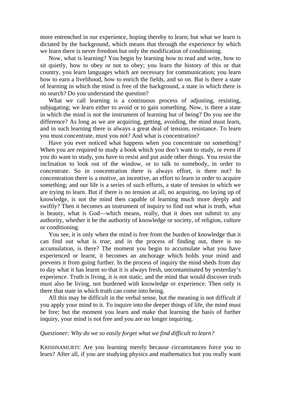more entrenched in our experience, hoping thereby to learn; but what we learn is dictated by the background, which means that through the experience by which we learn there is never freedom but only the modification of conditioning.

Now, what is learning? You begin by learning how to read and write, how to sit quietly, how to obey or not to obey; you learn the history of this or that country, you learn languages which are necessary for communication; you learn how to earn a livelihood, how to enrich the fields, and so on. But is there a state of learning in which the mind is free of the background, a state in which there is no search? Do you understand the question?

What we call learning is a continuous process of adjusting, resisting, subjugating; we learn either to avoid or to gain something. Now, is there a state in which the mind is not the instrument of learning but of being? Do you see the difference? As long as we are acquiring, getting, avoiding, the mind must learn, and in such learning there is always a great deal of tension, resistance. To learn you must concentrate, must you not? And what is concentration?

Have you ever noticed what happens when you concentrate on something? When you are required to study a book which you don't want to study, or even if you do want to study, you have to resist and put aside other things. You resist the inclination to look out of the window, or to talk to somebody, in order to concentrate. So in concentration there is always effort, is there not? In concentration there is a motive, an incentive, an effort to learn in order to acquire something; and our life is a series of such efforts, a state of tension in which we are trying to learn. But if there is no tension at all, no acquiring, no laying up of knowledge, is not the mind then capable of learning much more deeply and swiftly? Then it becomes an instrument of inquiry to find out what is truth, what is beauty, what is God—which means, really, that it does not submit to any authority, whether it be the authority of knowledge or society, of religion, culture or conditioning.

You see, it is only when the mind is free from the burden of knowledge that it can find out what is true; and in the process of finding out, there is no accumulation, is there? The moment you begin to accumulate what you have experienced or learnt, it becomes an anchorage which holds your mind and prevents it from going further. In the process of inquiry the mind sheds from day to day what it has learnt so that it is always fresh, uncontaminated by yesterday's experience. Truth is living, it is not static, and the mind that would discover truth must also be living, not burdened with knowledge or experience. Then only is there that state in which truth can come into being.

All this may be difficult in the verbal sense, but the meaning is not difficult if you apply your mind to it. To inquire into the deeper things of life, the mind must be free; but the moment you learn and make that learning the basis of further inquiry, your mind is not free and you are no longer inquiring.

#### *Questioner: Why do we so easily forget what we find difficult to learn?*

KRISHNAMURTI: Are you learning merely because circumstances force you to learn? After all, if you are studying physics and mathematics but you really want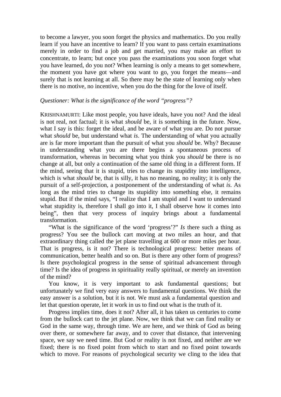to become a lawyer, you soon forget the physics and mathematics. Do you really learn if you have an incentive to learn? If you want to pass certain examinations merely in order to find a job and get married, you may make an effort to concentrate, to learn; but once you pass the examinations you soon forget what you have learned, do you not? When learning is only a means to get somewhere, the moment you have got where you want to go, you forget the means—and surely that is not learning at all. So there may be the state of learning only when there is no motive, no incentive, when you do the thing for the love of itself.

### *Questioner: What is the significance of the word "progress"?*

KRISHNAMURTI: Like most people, you have ideals, have you not? And the ideal is not real, not factual; it is what *should* be, it is something in the future. Now, what I say is this: forget the ideal, and be aware of what you are. Do not pursue what *should* be, but understand what *is*. The understanding of what you actually are is far more important than the pursuit of what you *should* be. Why? Because in understanding what you are there begins a spontaneous process of transformation, whereas in becoming what you think you *should* be there is no change at all, but only a continuation of the same old thing in a different form. If the mind, seeing that it is stupid, tries to change its stupidity into intelligence, which is what *should* be, that is silly, it has no meaning, no reality; it is only the pursuit of a self-projection, a postponement of the understanding of what *is*. As long as the mind tries to change its stupidity into something else, it remains stupid. But if the mind says, "I realize that I am stupid and I want to understand what stupidity is, therefore I shall go into it, I shall observe how it comes into being", then that very process of inquiry brings about a fundamental transformation.

"What is the significance of the word 'progress'?" *Is* there such a thing as progress? You see the bullock cart moving at two miles an hour, and that extraordinary thing called the jet plane travelling at 600 or more miles per hour. That is progress, is it not? There is technological progress: better means of communication, better health and so on. But is there any other form of progress? Is there psychological progress in the sense of spiritual advancement through time? Is the idea of progress in spirituality really spiritual, or merely an invention of the mind?

You know, it is very important to ask fundamental questions; but unfortunately we find very easy answers to fundamental questions. We think the easy answer is a solution, but it is not. We must ask a fundamental question and let that question operate, let it work in us to find out what is the truth of it.

Progress implies time, does it not? After all, it has taken us centuries to come from the bullock cart to the jet plane. Now, we think that we can find reality or God in the same way, through time. We are here, and we think of God as being over there, or somewhere far away, and to cover that distance, that intervening space, we say we need time. But God or reality is not fixed, and neither are we fixed; there is no fixed point from which to start and no fixed point towards which to move. For reasons of psychological security we cling to the idea that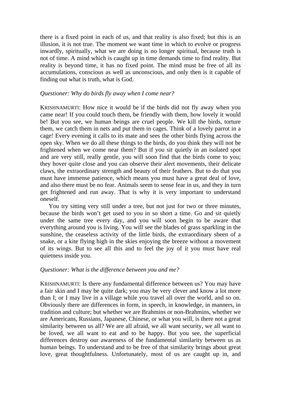there is a fixed point in each of us, and that reality is also fixed; but this is an illusion, it is not true. The moment we want time in which to evolve or progress inwardly, spiritually, what we are doing is no longer spiritual, because truth is not of time. A mind which is caught up in time demands time to find reality. But reality is beyond time, it has no fixed point. The mind must be free of all its accumulations, conscious as well as unconscious, and only then is it capable of finding out what is truth, what is God.

### *Questioner: Why do birds fly away when I come near?*

KRISHNAMURTI: How nice it would be if the birds did not fly away when you came near! If you could touch them, be friendly with them, how lovely it would be! But you see, we human beings are cruel people. We kill the birds, torture them, we catch them in nets and put them in cages. Think of a lovely parrot in a cage! Every evening it calls to its mate and sees the other birds flying across the open sky. When we do all these things to the birds, do you think they will not be frightened when we come near them? But if you sit quietly in an isolated spot and are very still, really gentle, you will soon find that the birds come to you; they hover quite close and you can observe their alert movements, their delicate claws, the extraordinary strength and beauty of their feathers. But to do that you must have immense patience, which means you must have a great deal of love, and also there must be no fear. Animals seem to sense fear in us, and they in turn get frightened and run away. That is why it is very important to understand oneself.

You try sitting very still under a tree, but not just for two or three minutes, because the birds won't get used to you in so short a time. Go and sit quietly under the same tree every day, and you will soon begin to be aware that everything around you is living. You will see the blades of grass sparkling in the sunshine, the ceaseless activity of the little birds, the extraordinary sheen of a snake, or a kite flying high in the skies enjoying the breeze without a movement of its wings. But to see all this and to feel the joy of it you must have real quietness inside you.

### *Questioner: What is the difference between you and me?*

KRISHNAMURTI: Is there any fundamental difference between us? You may have a fair skin and I may be quite dark; you may be very clever and know a lot more than I; or I may live in a village while you travel all over the world, and so on. Obviously there are differences in form, in speech, in knowledge, in manners, in tradition and culture; but whether we are Brahmins or non-Brahmins, whether we are Americans, Russians, Japanese, Chinese, or what you will, is there not a great similarity between us all? We are all afraid, we all want security, we all want to be loved, we all want to eat and to be happy. But you see, the superficial differences destroy our awareness of the fundamental similarity between us as human beings. To understand and to be free of that similarity brings about great love, great thoughtfulness. Unfortunately, most of us are caught up in, and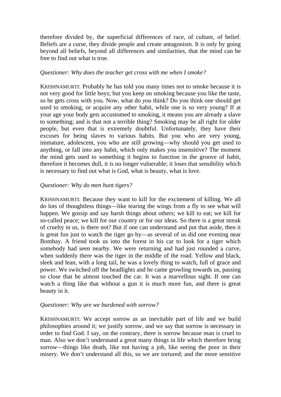therefore divided by, the superficial differences of race, of culture, of belief. Beliefs are a curse, they divide people and create antagonism. It is only by going beyond all beliefs, beyond all differences and similarities, that the mind can be free to find out what is true.

### *Questioner: Why does the teacher get cross with me when I smoke?*

KRISHNAMURTI: Probably he has told you many times not to smoke because it is not very good for little boys; but you keep on smoking because you like the taste, so he gets cross with you. Now, what do *you* think? Do you think one should get used to smoking, or acquire any other habit, while one is so very young? If at your age your body gets accustomed to smoking, it means you are already a slave to something; and is that not a terrible thing? Smoking may be all right for older people, but even that is extremely doubtful. Unfortunately, they have their excuses for being slaves to various habits. But you who are very young, immature, adolescent, you who are still growing—why should you get used to anything, or fall into any habit, which only makes you insensitive? The moment the mind gets used to something it begins to function in the groove of habit, therefore it becomes dull, it is no longer vulnerable; it loses that sensibility which is necessary to find out what is God, what is beauty, what is love.

### *Questioner: Why do men hunt tigers?*

KRISHNAMURTI: Because they want to kill for the excitement of killing. We all do lots of thoughtless things—like tearing the wings from a fly to see what will happen. We gossip and say harsh things about others; we kill to eat; we kill for so-called peace; we kill for our country or for our ideas. So there is a great streak of cruelty in us, is there not? But if one can understand and put that aside, then it is great fun just to watch the tiger go by—as several of us did one evening near Bombay. A friend took us into the forest in his car to look for a tiger which somebody had seen nearby. We were returning and had just rounded a curve, when suddenly there was the tiger in the middle of the road. Yellow and black, sleek and lean, with a long tail, he was a lovely thing to watch, full of grace and power. We switched off the headlights and he came growling towards us, passing so close that he almost touched the car. It was a marvellous sight. If one can watch a thing like that without a gun it is much more fun, and there is great beauty in it.

### *Questioner: Why are we burdened with sorrow?*

KRISHNAMURTI: We accept sorrow as an inevitable part of life and we build philosophies around it; we justify sorrow, and we say that sorrow is necessary in order to find God. I say, on the contrary, there is sorrow because man is cruel to man. Also we don't understand a great many things in life which therefore bring sorrow—things like death, like not having a job, like seeing the poor in their misery. We don't understand all this, so we are tortured; and the more sensitive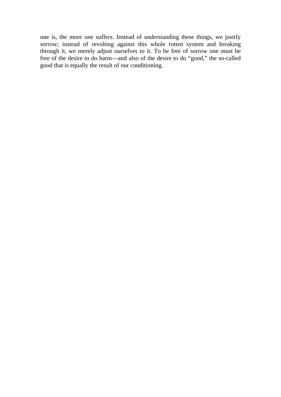one is, the more one suffers. Instead of understanding these things, we justify sorrow; instead of revolting against this whole rotten system and breaking through it, we merely adjust ourselves to it. To be free of sorrow one must be free of the desire to do harm—and also of the desire to do "good," the so-called good that is equally the result of our conditioning.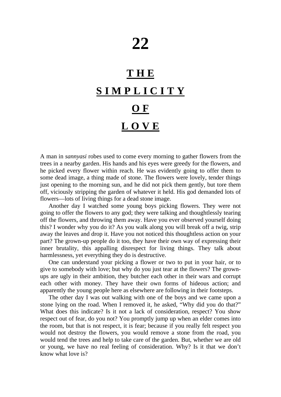## **22**

## **THE SIMPLICITY O F LOVE**

A man in *sannyasi* robes used to come every morning to gather flowers from the trees in a nearby garden. His hands and his eyes were greedy for the flowers, and he picked every flower within reach. He was evidently going to offer them to some dead image, a thing made of stone. The flowers were lovely, tender things just opening to the morning sun, and he did not pick them gently, but tore them off, viciously stripping the garden of whatever it held. His god demanded lots of flowers—lots of living things for a dead stone image.

Another day I watched some young boys picking flowers. They were not going to offer the flowers to any god; they were talking and thoughtlessly tearing off the flowers, and throwing them away. Have you ever observed yourself doing this? I wonder why you do it? As you walk along you will break off a twig, strip away the leaves and drop it. Have you not noticed this thoughtless action on your part? The grown-up people do it too, they have their own way of expressing their inner brutality, this appalling disrespect for living things. They talk about harmlessness, yet everything they do is destructive.

One can understand your picking a flower or two to put in your hair, or to give to somebody with love; but why do you just tear at the flowers? The grownups are ugly in their ambition, they butcher each other in their wars and corrupt each other with money. They have their own forms of hideous action; and apparently the young people here as elsewhere are following in their footsteps.

The other day I was out walking with one of the boys and we came upon a stone lying on the road. When I removed it, he asked, "Why did you do that?" What does this indicate? Is it not a lack of consideration, respect? You show respect out of fear, do you not? You promptly jump up when an elder comes into the room, but that is not respect, it is fear; because if you really felt respect you would not destroy the flowers, you would remove a stone from the road, you would tend the trees and help to take care of the garden. But, whether we are old or young, we have no real feeling of consideration. Why? Is it that we don't know what love is?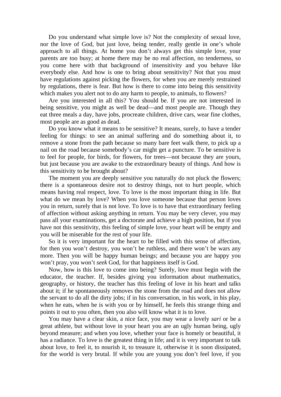Do you understand what simple love is? Not the complexity of sexual love, nor the love of God, but just love, being tender, really gentle in one's whole approach to all things. At home you don't always get this simple love, your parents are too busy; at home there may be no real affection, no tenderness, so you come here with that background of insensitivity and you behave like everybody else. And how is one to bring about sensitivity? Not that you must have regulations against picking the flowers, for when you are merely restrained by regulations, there is fear. But how is there to come into being this sensitivity which makes you alert not to do any harm to people, to animals, to flowers?

Are you interested in all this? You should be. If you are not interested in being sensitive, you might as well be dead—and most people are. Though they eat three meals a day, have jobs, procreate children, drive cars, wear fine clothes, most people are as good as dead.

Do you know what it means to be sensitive? It means, surely, to have a tender feeling for things: to see an animal suffering and do something about it, to remove a stone from the path because so many bare feet walk there, to pick up a nail on the road because somebody's car might get a puncture. To be sensitive is to feel for people, for birds, for flowers, for trees—not because they are yours, but just because you are awake to the extraordinary beauty of things. And how is this sensitivity to be brought about?

The moment you are deeply sensitive you naturally do not pluck the flowers; there is a spontaneous desire not to destroy things, not to hurt people, which means having real respect, love. To love is the most important thing in life. But what do we mean by love? When you love someone because that person loves you in return, surely that is not love. To love is to have that extraordinary feeling of affection without asking anything in return. You may be very clever, you may pass all your examinations, get a doctorate and achieve a high position, but if you have not this sensitivity, this feeling of simple love, your heart will be empty and you will be miserable for the rest of your life.

So it is very important for the heart to be filled with this sense of affection, for then you won't destroy, you won't be ruthless, and there won't be wars any more. Then you will be happy human beings; and because you are happy you won't pray, you won't *seek* God, for that happiness itself is God.

Now, how is this love to come into being? Surely, love must begin with the educator, the teacher. If, besides giving you information about mathematics, geography, or history, the teacher has this feeling of love in his heart and talks about it; if he spontaneously removes the stone from the road and does not allow the servant to do all the dirty jobs; if in his conversation, in his work, in his play, when he eats, when he is with you or by himself, he feels this strange thing and points it out to you often, then you also will know what it is to love.

You may have a clear skin, a nice face, you may wear a lovely *sari* or be a great athlete, but without love in your heart you are an ugly human being, ugly beyond measure; and when you love, whether your face is homely or beautiful, it has a radiance. To love is the greatest thing in life; and it is very important to talk about love, to feel it, to nourish it, to treasure it, otherwise it is soon dissipated, for the world is very brutal. If while you are young you don't feel love, if you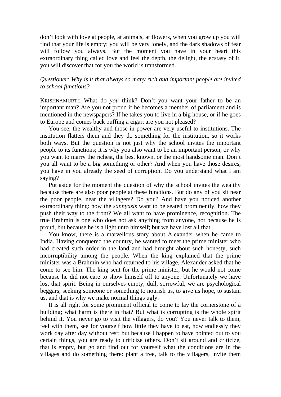don't look with love at people, at animals, at flowers, when you grow up you will find that your life is empty; you will be very lonely, and the dark shadows of fear will follow you always. But the moment you have in your heart this extraordinary thing called love and feel the depth, the delight, the ecstasy of it, you will discover that for you the world is transformed.

### *Questioner: Why is it that always so many rich and important people are invited to school functions?*

KRISHNAMURTI: What do *you* think? Don't you want your father to be an important man? Are you not proud if he becomes a member of parliament and is mentioned in the newspapers? If he takes you to live in a big house, or if he goes to Europe and comes back puffing a cigar, are you not pleased?

You see, the wealthy and those in power are very useful to institutions. The institution flatters them and they do something for the institution, so it works both ways. But the question is not just why the school invites the important people to its functions; it is why you also want to be an important person, or why you want to marry the richest, the best known, or the most handsome man. Don't you all want to be a big something or other? And when you have those desires, you have in you already the seed of corruption. Do you understand what I am saying?

Put aside for the moment the question of why the school invites the wealthy because there are also poor people at these functions. But do any of you sit near the poor people, near the villagers? Do you? And have you noticed another extraordinary thing: how the *sannyasis* want to be seated prominently, how they push their way to the front? We all want to have prominence, recognition. The true Brahmin is one who does not ask anything from anyone, not because he is proud, but because he is a light unto himself; but we have lost all that.

You know, there is a marvellous story about Alexander when he came to India. Having conquered the country, he wanted to meet the prime minister who had created such order in the land and had brought about such honesty, such incorruptibility among the people. When the king explained that the prime minister was a Brahmin who had returned to his village, Alexander asked that he come to see him. The king sent for the prime minister, but he would not come because he did not care to show himself off to anyone. Unfortunately we have lost that spirit. Being in ourselves empty, dull, sorrowful, we are psychological beggars, seeking someone or something to nourish us, to give us hope, to sustain us, and that is why we make normal things ugly.

It is all right for some prominent official to come to lay the cornerstone of a building; what harm is there in that? But what is corrupting is the whole spirit behind it. You never go to visit the villagers, do you? You never talk to them, feel with them, see for yourself how little they have to eat, how endlessly they work day after day without rest; but because I happen to have pointed out to you certain things, you are ready to criticize others. Don't sit around and criticize, that is empty, but go and find out for yourself what the conditions are in the villages and do something there: plant a tree, talk to the villagers, invite them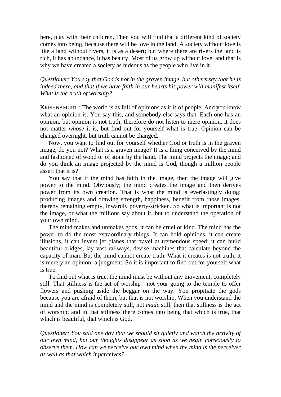here, play with their children. Then you will find that a different kind of society comes into being, because there will be love in the land. A society without love is like a land without rivers, it is as a desert; but where there are rivers the land is rich, it has abundance, it has beauty. Most of us grow up without love, and that is why we have created a society as hideous as the people who live in it.

*Questioner: You say that God is not in the graven image, but others say that he is indeed there, and that if we have faith in our hearts his power will manifest itself. What is the truth of worship?* 

KRISHNAMURTI: The world is as full of opinions as it is of people. And you know what an opinion is. You say this, and somebody else says that. Each one has an opinion, but opinion is not truth; therefore do not listen to mere opinion, it does not matter *whose* it is, but find out for yourself what is true. Opinion can be changed overnight, but truth cannot be changed.

Now, you want to find out for yourself whether God or truth is in the graven image, do you not? What is a graven image? It is a thing conceived by the mind and fashioned of wood or of stone by the hand. The mind projects the image; and do you think an image projected by the mind is God, though a million people assert that it is?

You say that if the mind has faith in the image, then the image will give power to the mind. Obviously; the mind creates the image and then derives power from its own creation. That is what the mind is everlastingly doing: producing images and drawing strength, happiness, benefit from those images, thereby remaining empty, inwardly poverty-stricken. So what is important is not the image, or what the millions say about it, but to understand the operation of your own mind.

The mind makes and unmakes gods, it can be cruel or kind. The mind has the power to do the most extraordinary things. It can hold opinions, it can create illusions, it can invent jet planes that travel at tremendous speed; it can build beautiful bridges, lay vast railways, devise machines that calculate beyond the capacity of man. But the mind cannot create truth. What it creates is not truth, it is merely an opinion, a judgment. So it is important to find out for yourself what is true.

To find out what is true, the mind must be without any movement, completely still. That stillness is the act of worship—not your going to the temple to offer flowers and pushing aside the beggar on the way. You propitiate the gods because you are afraid of them, but that is not worship. When you understand the mind and the mind is completely still, not *made* still, then that stillness is the act of worship; and in that stillness there comes into being that which is true, that which is beautiful, that which is God.

*Questioner: You said one day that we should sit quietly and watch the activity of our own mind, but our thoughts disappear as soon as we begin consciously to observe them. How can we perceive our own mind when the mind is the perceiver as well as that which it perceives?*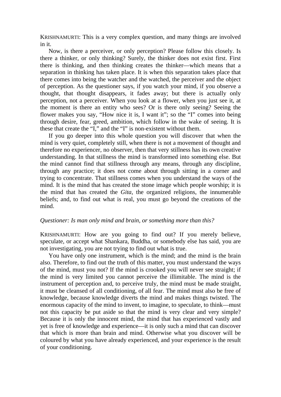KRISHNAMURTI: This is a very complex question, and many things are involved in it.

Now, is there a perceiver, or only perception? Please follow this closely. Is there a thinker, or only thinking? Surely, the thinker does not exist first. First there is thinking, and then thinking creates the thinker—which means that a separation in thinking has taken place. It is when this separation takes place that there comes into being the watcher and the watched, the perceiver and the object of perception. As the questioner says, if you watch your mind, if you observe a thought, that thought disappears, it fades away; but there is actually only perception, not a perceiver. When you look at a flower, when you just see it, at the moment is there an entity who sees? Or is there only seeing? Seeing the flower makes you say, "How nice it is, I want it"; so the "I" comes into being through desire, fear, greed, ambition, which follow in the wake of seeing. It is these that create the "I," and the "I" is non-existent without them.

If you go deeper into this whole question you will discover that when the mind is very quiet, completely still, when there is not a movement of thought and therefore no experiencer, no observer, then that very stillness has its own creative understanding. In that stillness the mind is transformed into something else. But the mind cannot find that stillness through any means, through any discipline, through any practice; it does not come about through sitting in a corner and trying to concentrate. That stillness comes when you understand the ways of the mind. It is the mind that has created the stone image which people worship; it is the mind that has created the *Gita*, the organized religions, the innumerable beliefs; and, to find out what is real, you must go beyond the creations of the mind.

#### *Questioner: Is man only mind and brain, or something more than this?*

KRISHNAMURTI: How are you going to find out? If you merely believe, speculate, or accept what Shankara, Buddha, or somebody else has said, you are not investigating, you are not trying to find out what is true.

You have only one instrument, which is the mind; and the mind is the brain also. Therefore, to find out the truth of this matter, you must understand the ways of the mind, must you not? If the mind is crooked you will never see straight; if the mind is very limited you cannot perceive the illimitable. The mind is the instrument of perception and, to perceive truly, the mind must be made straight, it must be cleansed of all conditioning, of all fear. The mind must also be free of knowledge, because knowledge diverts the mind and makes things twisted. The enormous capacity of the mind to invent, to imagine, to speculate, to think—must not this capacity be put aside so that the mind is very clear and very simple? Because it is only the innocent mind, the mind that has experienced vastly and yet is free of knowledge and experience—it is only such a mind that can discover that which is more than brain and mind. Otherwise what you discover will be coloured by what you have already experienced, and your experience is the result of your conditioning.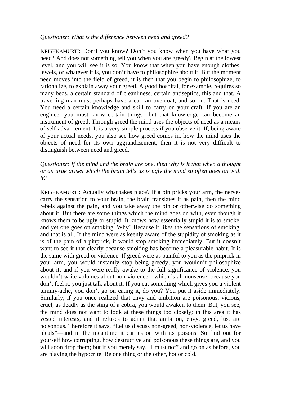### *Questioner: What is the difference between need and greed?*

KRISHNAMURTI: Don't you know? Don't you know when you have what you need? And does not something tell you when you are greedy? Begin at the lowest level, and you will see it is so. You know that when you have enough clothes, jewels, or whatever it is, you don't have to philosophize about it. But the moment need moves into the field of greed, it is then that you begin to philosophize, to rationalize, to explain away your greed. A good hospital, for example, requires so many beds, a certain standard of cleanliness, certain antiseptics, this and that. A travelling man must perhaps have a car, an overcoat, and so on. That is need. You need a certain knowledge and skill to carry on your craft. If you are an engineer you must know certain things—but that knowledge can become an instrument of greed. Through greed the mind uses the objects of need as a means of self-advancement. It is a very simple process if you observe it. If, being aware of your actual needs, you also see how greed comes in, how the mind uses the objects of need for its own aggrandizement, then it is not very difficult to distinguish between need and greed.

### *Questioner: If the mind and the brain are one, then why is it that when a thought or an urge arises which the brain tells us is ugly the mind so often goes on with it?*

KRISHNAMURTI: Actually what takes place? If a pin pricks your arm, the nerves carry the sensation to your brain, the brain translates it as pain, then the mind rebels against the pain, and you take away the pin or otherwise do something about it. But there are some things which the mind goes on with, even though it knows them to be ugly or stupid. It knows how essentially stupid it is to smoke, and yet one goes on smoking. Why? Because it likes the sensations of smoking, and that is all. If the mind were as keenly aware of the stupidity of smoking as it is of the pain of a pinprick, it would stop smoking immediately. But it doesn't want to see it that clearly because smoking has become a pleasurable habit. It is the same with greed or violence. If greed were as painful to you as the pinprick in your arm, you would instantly stop being greedy, you wouldn't philosophize about it; and if you were really awake to the full significance of violence, you wouldn't write volumes about non-violence—which is all nonsense, because you don't feel it, you just talk about it. If you eat something which gives you a violent tummy-ache, you don't go on eating it, do you? You put it aside immediately. Similarly, if you once realized that envy and ambition are poisonous, vicious, cruel, as deadly as the sting of a cobra, you would awaken to them. But, you see, the mind does not want to look at these things too closely; in this area it has vested interests, and it refuses to admit that ambition, envy, greed, lust are poisonous. Therefore it says, "Let us discuss non-greed, non-violence, let us have ideals"—and in the meantime it carries on with its poisons. So find out for yourself how corrupting, how destructive and poisonous these things are, and you will soon drop them; but if you merely say, "I must not" and go on as before, you are playing the hypocrite. Be one thing or the other, hot or cold.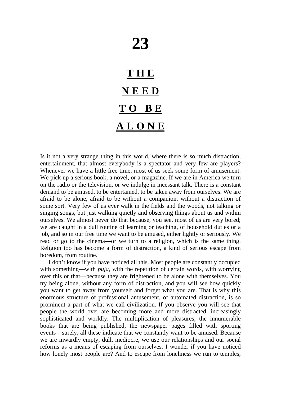## **23**

## **THE NEED TO BE ALONE**

Is it not a very strange thing in this world, where there is so much distraction, entertainment, that almost everybody is a spectator and very few are players? Whenever we have a little free time, most of us seek some form of amusement. We pick up a serious book, a novel, or a magazine. If we are in America we turn on the radio or the television, or we indulge in incessant talk. There is a constant demand to be amused, to be entertained, to be taken away from ourselves. We are afraid to be alone, afraid to be without a companion, without a distraction of some sort. Very few of us ever walk in the fields and the woods, not talking or singing songs, but just walking quietly and observing things about us and within ourselves. We almost never do that because, you see, most of us are very bored; we are caught in a dull routine of learning or teaching, of household duties or a job, and so in our free time we want to be amused, either lightly or seriously. We read or go to the cinema—or we turn to a religion, which is the same thing. Religion too has become a form of distraction, a kind of serious escape from boredom, from routine.

I don't know if you have noticed all this. Most people are constantly occupied with something—with *puja*, with the repetition of certain words, with worrying over this or that—because they are frightened to be alone with themselves. You try being alone, without any form of distraction, and you will see how quickly you want to get away from yourself and forget what you are. That is why this enormous structure of professional amusement, of automated distraction, is so prominent a part of what we call civilization. If you observe you will see that people the world over are becoming more and more distracted, increasingly sophisticated and worldly. The multiplication of pleasures, the innumerable books that are being published, the newspaper pages filled with sporting events—surely, all these indicate that we constantly want to be amused. Because we are inwardly empty, dull, mediocre, we use our relationships and our social reforms as a means of escaping from ourselves. I wonder if you have noticed how lonely most people are? And to escape from loneliness we run to temples,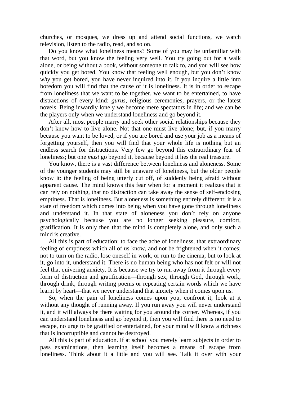churches, or mosques, we dress up and attend social functions, we watch television, listen to the radio, read, and so on.

Do you know what loneliness means? Some of you may be unfamiliar with that word, but you know the feeling very well. You try going out for a walk alone, or being without a book, without someone to talk to, and you will see how quickly you get bored. You know that feeling well enough, but you don't know *why* you get bored, you have never inquired into it. If you inquire a little into boredom you will find that the cause of it is loneliness. It is in order to escape from loneliness that we want to be together, we want to be entertained, to have distractions of every kind: *gurus*, religious ceremonies, prayers, or the latest novels. Being inwardly lonely we become mere spectators in life; and we can be the players only when we understand loneliness and go beyond it.

After all, most people marry and seek other social relationships because they don't know how to live alone. Not that one must live alone; but, if you marry because you want to be loved, or if you are bored and use your job as a means of forgetting yourself, then you will find that your whole life is nothing but an endless search for distractions. Very few go beyond this extraordinary fear of loneliness; but one *must* go beyond it, because beyond it lies the real treasure.

You know, there is a vast difference between loneliness and aloneness. Some of the younger students may still be unaware of loneliness, but the older people know it: the feeling of being utterly cut off, of suddenly being afraid without apparent cause. The mind knows this fear when for a moment it realizes that it can rely on nothing, that no distraction can take away the sense of self-enclosing emptiness. That is loneliness. But aloneness is something entirely different; it is a state of freedom which comes into being when you have gone through loneliness and understand it. In that state of aloneness you don't rely on anyone psychologically because you are no longer seeking pleasure, comfort, gratification. It is only then that the mind is completely alone, and only such a mind is creative.

All this is part of education: to face the ache of loneliness, that extraordinary feeling of emptiness which all of us know, and not be frightened when it comes; not to turn on the radio, lose oneself in work, or run to the cinema, but to look at it, go into it, understand it. There is no human being who has not felt or will not feel that quivering anxiety. It is because we try to run away from it through every form of distraction and gratification—through sex, through God, through work, through drink, through writing poems or repeating certain words which we have learnt by heart—that we never understand that anxiety when it comes upon us.

So, when the pain of loneliness comes upon you, confront it, look at it without any thought of running away. If you run away you will never understand it, and it will always be there waiting for you around the corner. Whereas, if you can understand loneliness and go beyond it, then you will find there is no need to escape, no urge to be gratified or entertained, for your mind will know a richness that is incorruptible and cannot be destroyed.

All this is part of education. If at school you merely learn subjects in order to pass examinations, then learning itself becomes a means of escape from loneliness. Think about it a little and you will see. Talk it over with your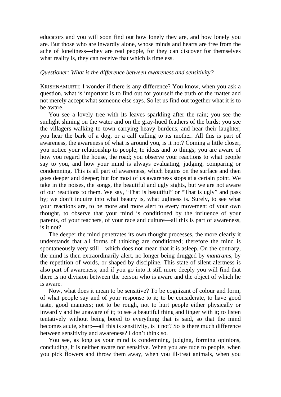educators and you will soon find out how lonely they are, and how lonely you are. But those who are inwardly alone, whose minds and hearts are free from the ache of loneliness—they are real people, for they can discover for themselves what reality is, they can receive that which is timeless.

#### *Questioner: What is the difference between awareness and sensitivity?*

KRISHNAMURTI: I wonder if there is any difference? You know, when you ask a question, what is important is to find out for yourself the truth of the matter and not merely accept what someone else says. So let us find out together what it is to be aware.

You see a lovely tree with its leaves sparkling after the rain; you see the sunlight shining on the water and on the gray-hued feathers of the birds; you see the villagers walking to town carrying heavy burdens, and hear their laughter; you hear the bark of a dog, or a calf calling to its mother. All this is part of awareness, the awareness of what is around you, is it not? Coming a little closer, you notice your relationship to people, to ideas and to things; you are aware of how you regard the house, the road; you observe your reactions to what people say to you, and how your mind is always evaluating, judging, comparing or condemning. This is all part of awareness, which begins on the surface and then goes deeper and deeper; but for most of us awareness stops at a certain point. We take in the noises, the songs, the beautiful and ugly sights, but we are not aware of our reactions to them. We say, "That is beautiful" or "That is ugly" and pass by; we don't inquire into what beauty is, what ugliness is. Surely, to see what your reactions are, to be more and more alert to every movement of your own thought, to observe that your mind is conditioned by the influence of your parents, of your teachers, of your race and culture—all this is part of awareness, is it not?

The deeper the mind penetrates its own thought processes, the more clearly it understands that all forms of thinking are conditioned; therefore the mind is spontaneously very still—which does not mean that it is asleep. On the contrary, the mind is then extraordinarily alert, no longer being drugged by *mantrams*, by the repetition of words, or shaped by discipline. This state of silent alertness is also part of awareness; and if you go into it still more deeply you will find that there is no division between the person who is aware and the object of which he is aware.

Now, what does it mean to be sensitive? To be cognizant of colour and form, of what people say and of your response to it; to be considerate, to have good taste, good manners; not to be rough, not to hurt people either physically or inwardly and be unaware of it; to see a beautiful thing and linger with it; to listen tentatively without being bored to everything that is said, so that the mind becomes acute, sharp—all this is sensitivity, is it not? So is there much difference between sensitivity and awareness? I don't think so.

You see, as long as your mind is condemning, judging, forming opinions, concluding, it is neither aware nor sensitive. When you are rude to people, when you pick flowers and throw them away, when you ill-treat animals, when you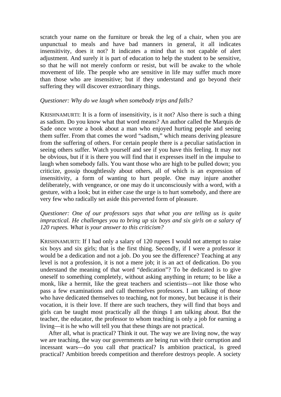scratch your name on the furniture or break the leg of a chair, when you are unpunctual to meals and have bad manners in general, it all indicates insensitivity, does it not? It indicates a mind that is not capable of alert adjustment. And surely it is part of education to help the student to be sensitive, so that he will not merely conform or resist, but will be awake to the whole movement of life. The people who are sensitive in life may suffer much more than those who are insensitive; but if they understand and go beyond their suffering they will discover extraordinary things.

### *Questioner: Why do we laugh when somebody trips and falls?*

KRISHNAMURTI: It is a form of insensitivity, is it not? Also there is such a thing as sadism. Do you know what that word means? An author called the Marquis de Sade once wrote a book about a man who enjoyed hurting people and seeing them suffer. From that comes the word "sadism," which means deriving pleasure from the suffering of others. For certain people there is a peculiar satisfaction in seeing others suffer. Watch yourself and see if you have this feeling. It may not be obvious, but if it is there you will find that it expresses itself in the impulse to laugh when somebody falls. You want those who are high to be pulled down; you criticize, gossip thoughtlessly about others, all of which is an expression of insensitivity, a form of wanting to hurt people. One may injure another deliberately, with vengeance, or one may do it unconsciously with a word, with a gesture, with a look; but in either case the urge is to hurt somebody, and there are very few who radically set aside this perverted form of pleasure.

### *Questioner: One of our professors says that what you are telling us is quite impractical. He challenges you to bring up six boys and six girls on a salary of 120 rupees. What is your answer to this criticism?*

KRISHNAMURTI: If I had only a salary of 120 rupees I would not attempt to raise six boys and six girls; that is the first thing. Secondly, if I were a professor it would be a dedication and not a job. Do you see the difference? Teaching at any level is not a profession, it is not a mere job; it is an act of dedication. Do you understand the meaning of that word "dedication"? To be dedicated is to give oneself to something completely, without asking anything in return; to be like a monk, like a hermit, like the great teachers and scientists—not like those who pass a few examinations and call themselves professors. I am talking of those who have dedicated themselves to teaching, not for money, but because it is their vocation, it is their love. If there are such teachers, they will find that boys and girls can be taught most practically all the things I am talking about. But the teacher, the educator, the professor to whom teaching is only a job for earning a living—it is he who will tell you that these things are not practical.

After all, what is practical? Think it out. The way we are living now, the way we are teaching, the way our governments are being run with their corruption and incessant wars—do you call *that* practical? Is ambition practical, is greed practical? Ambition breeds competition and therefore destroys people. A society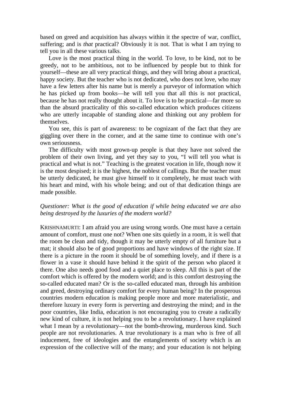based on greed and acquisition has always within it the spectre of war, conflict, suffering; and is *that* practical? Obviously it is not. That is what I am trying to tell you in all these various talks.

Love is the most practical thing in the world. To love, to be kind, not to be greedy, not to be ambitious, not to be influenced by people but to think for yourself—these are all very practical things, and they will bring about a practical, happy society. But the teacher who is not dedicated, who does not love, who may have a few letters after his name but is merely a purveyor of information which he has picked up from books—he will tell you that all this is not practical, because he has not really thought about it. To love is to be practical—far more so than the absurd practicality of this so-called education which produces citizens who are utterly incapable of standing alone and thinking out any problem for themselves.

You see, this is part of awareness: to be cognizant of the fact that they are giggling over there in the corner, and at the same time to continue with one's own seriousness.

The difficulty with most grown-up people is that they have not solved the problem of their own living, and yet they say to you, "I will tell you what is practical and what is not." Teaching is the greatest vocation in life, though now it is the most despised; it is the highest, the noblest of callings. But the teacher must be utterly dedicated, he must give himself to it completely, he must teach with his heart and mind, with his whole being; and out of that dedication things are made possible.

### *Questioner: What is the good of education if while being educated we are also being destroyed by the luxuries of the modern world?*

KRISHNAMURTI: I am afraid you are using wrong words. One must have a certain amount of comfort, must one not? When one sits quietly in a room, it is well that the room be clean and tidy, though it may be utterly empty of all furniture but a mat; it should also be of good proportions and have windows of the right size. If there is a picture in the room it should be of something lovely, and if there is a flower in a vase it should have behind it the spirit of the person who placed it there. One also needs good food and a quiet place to sleep. All this is part of the comfort which is offered by the modern world; and is this comfort destroying the so-called educated man? Or is the so-called educated man, through his ambition and greed, destroying ordinary comfort for every human being? In the prosperous countries modern education is making people more and more materialistic, and therefore luxury in every form is perverting and destroying the mind; and in the poor countries, like India, education is not encouraging you to create a radically new kind of culture, it is not helping you to be a revolutionary. I have explained what I mean by a revolutionary—not the bomb-throwing, murderous kind. Such people are not revolutionaries. A true revolutionary is a man who is free of all inducement, free of ideologies and the entanglements of society which is an expression of the collective will of the many; and your education is not helping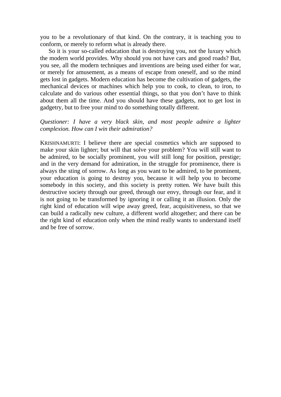you to be a revolutionary of that kind. On the contrary, it is teaching you to conform, or merely to reform what is already there.

So it is your so-called education that is destroying you, not the luxury which the modern world provides. Why should you not have cars and good roads? But, you see, all the modern techniques and inventions are being used either for war, or merely for amusement, as a means of escape from oneself, and so the mind gets lost in gadgets. Modern education has become the cultivation of gadgets, the mechanical devices or machines which help you to cook, to clean, to iron, to calculate and do various other essential things, so that you don't have to think about them all the time. And you should have these gadgets, not to get lost in gadgetry, but to free your mind to do something totally different.

### *Questioner: I have a very black skin, and most people admire a lighter complexion. How can I win their admiration?*

KRISHNAMURTI: I believe there are special cosmetics which are supposed to make your skin lighter; but will that solve your problem? You will still want to be admired, to be socially prominent, you will still long for position, prestige; and in the very demand for admiration, in the struggle for prominence, there is always the sting of sorrow. As long as you want to be admired, to be prominent, your education is going to destroy you, because it will help you to become somebody in this society, and this society is pretty rotten. We have built this destructive society through our greed, through our envy, through our fear, and it is not going to be transformed by ignoring it or calling it an illusion. Only the right kind of education will wipe away greed, fear, acquisitiveness, so that we can build a radically new culture, a different world altogether; and there can be the right kind of education only when the mind really wants to understand itself and be free of sorrow.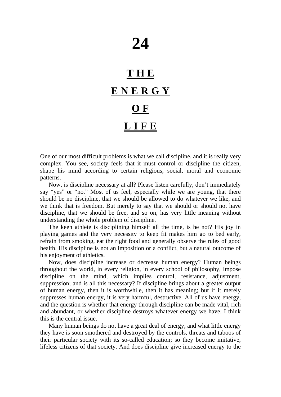### **24**

## **THE ENERGY O F LIFE**

One of our most difficult problems is what we call discipline, and it is really very complex. You see, society feels that it must control or discipline the citizen, shape his mind according to certain religious, social, moral and economic patterns.

Now, is discipline necessary at all? Please listen carefully, don't immediately say "yes" or "no." Most of us feel, especially while we are young, that there should be no discipline, that we should be allowed to do whatever we like, and we think that is freedom. But merely to say that we should or should not have discipline, that we should be free, and so on, has very little meaning without understanding the whole problem of discipline.

The keen athlete is disciplining himself all the time, is he not? His joy in playing games and the very necessity to keep fit makes him go to bed early, refrain from smoking, eat the right food and generally observe the rules of good health. His discipline is not an imposition or a conflict, but a natural outcome of his enjoyment of athletics.

Now, does discipline increase or decrease human energy? Human beings throughout the world, in every religion, in every school of philosophy, impose discipline on the mind, which implies control, resistance, adjustment, suppression; and is all this necessary? If discipline brings about a greater output of human energy, then it is worthwhile, then it has meaning; but if it merely suppresses human energy, it is very harmful, destructive. All of us have energy, and the question is whether that energy through discipline can be made vital, rich and abundant, or whether discipline destroys whatever energy we have. I think this is the central issue.

Many human beings do not have a great deal of energy, and what little energy they have is soon smothered and destroyed by the controls, threats and taboos of their particular society with its so-called education; so they become imitative, lifeless citizens of that society. And does discipline give increased energy to the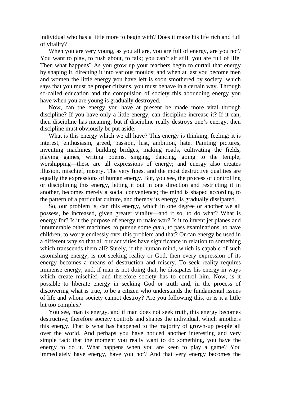individual who has a little more to begin with? Does it make his life rich and full of vitality?

When you are very young, as you all are, you are full of energy, are you not? You want to play, to rush about, to talk; you can't sit still, you are full of life. Then what happens? As you grow up your teachers begin to curtail that energy by shaping it, directing it into various moulds; and when at last you become men and women the little energy you have left is soon smothered by society, which says that you must be proper citizens, you must behave in a certain way. Through so-called education and the compulsion of society this abounding energy you have when you are young is gradually destroyed.

Now, can the energy you have at present be made more vital through discipline? If you have only a little energy, can discipline increase it? If it can, then discipline has meaning; but if discipline really destroys one's energy, then discipline must obviously be put aside.

What is this energy which we all have? This energy is thinking, feeling; it is interest, enthusiasm, greed, passion, lust, ambition, hate. Painting pictures, inventing machines, building bridges, making roads, cultivating the fields, playing games, writing poems, singing, dancing, going to the temple, worshipping—these are all expressions of energy; and energy also creates illusion, mischief, misery. The very finest and the most destructive qualities are equally the expressions of human energy. But, you see, the process of controlling or disciplining this energy, letting it out in one direction and restricting it in another, becomes merely a social convenience; the mind is shaped according to the pattern of a particular culture, and thereby its energy is gradually dissipated.

So, our problem is, can this energy, which in one degree or another we all possess, be increased, given greater vitality—and if so, to do what? What is energy for? Is it the purpose of energy to make war? Is it to invent jet planes and innumerable other machines, to pursue some *guru*, to pass examinations, to have children, to worry endlessly over this problem and that? Or can energy be used in a different way so that all our activities have significance in relation to something which transcends them all? Surely, if the human mind, which is capable of such astonishing energy, is not seeking reality or God, then every expression of its energy becomes a means of destruction and misery. To seek reality requires immense energy; and, if man is not doing that, he dissipates his energy in ways which create mischief, and therefore society has to control him. Now, is it possible to liberate energy in seeking God or truth and, in the process of discovering what is true, to be a citizen who understands the fundamental issues of life and whom society cannot destroy? Are you following this, or is it a little bit too complex?

You see, man is energy, and if man does not seek truth, this energy becomes destructive; therefore society controls and shapes the individual, which smothers this energy. That is what has happened to the majority of grown-up people all over the world. And perhaps you have noticed another interesting and very simple fact: that the moment you really want to do something, you have the energy to do it. What happens when you are keen to play a game? You immediately have energy, have you not? And that very energy becomes the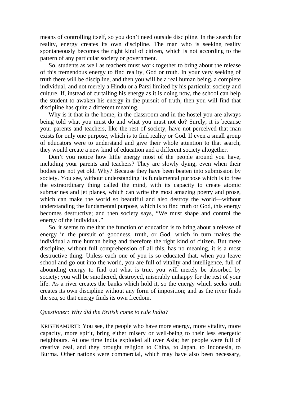means of controlling itself, so you don't need outside discipline. In the search for reality, energy creates its own discipline. The man who is seeking reality spontaneously becomes the right kind of citizen, which is not according to the pattern of any particular society or government.

So, students as well as teachers must work together to bring about the release of this tremendous energy to find reality, God or truth. In your very seeking of truth there will be discipline, and then you will be a real human being, a complete individual, and not merely a Hindu or a Parsi limited by his particular society and culture. If, instead of curtailing his energy as it is doing now, the school can help the student to awaken his energy in the pursuit of truth, then you will find that discipline has quite a different meaning.

Why is it that in the home, in the classroom and in the hostel you are always being told what you must do and what you must not do? Surely, it is because your parents and teachers, like the rest of society, have not perceived that man exists for only one purpose, which is to find reality or God. If even a small group of educators were to understand and give their whole attention to that search, they would create a new kind of education and a different society altogether.

Don't you notice how little energy most of the people around you have, including your parents and teachers? They are slowly dying, even when their bodies are not yet old. Why? Because they have been beaten into submission by society. You see, without understanding its fundamental purpose which is to free the extraordinary thing called the mind, with its capacity to create atomic submarines and jet planes, which can write the most amazing poetry and prose, which can make the world so beautiful and also destroy the world—without understanding the fundamental purpose, which is to find truth or God, this energy becomes destructive; and then society says, "We must shape and control the energy of the individual."

So, it seems to me that the function of education is to bring about a release of energy in the pursuit of goodness, truth, or God, which in turn makes the individual a true human being and therefore the right kind of citizen. But mere discipline, without full comprehension of all this, has no meaning, it is a most destructive thing. Unless each one of you is so educated that, when you leave school and go out into the world, you are full of vitality and intelligence, full of abounding energy to find out what is true, you will merely be absorbed by society; you will be smothered, destroyed, miserably unhappy for the rest of your life. As a river creates the banks which hold it, so the energy which seeks truth creates its own discipline without any form of imposition; and as the river finds the sea, so that energy finds its own freedom.

#### *Questioner: Why did the British come to rule India?*

KRISHNAMURTI: You see, the people who have more energy, more vitality, more capacity, more spirit, bring either misery or well-being to their less energetic neighbours. At one time India exploded all over Asia; her people were full of creative zeal, and they brought religion to China, to Japan, to Indonesia, to Burma. Other nations were commercial, which may have also been necessary,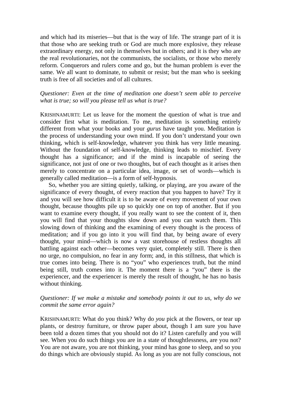and which had its miseries—but that is the way of life. The strange part of it is that those who are seeking truth or God are much more explosive, they release extraordinary energy, not only in themselves but in others; and it is they who are the real revolutionaries, not the communists, the socialists, or those who merely reform. Conquerors and rulers come and go, but the human problem is ever the same. We all want to dominate, to submit or resist; but the man who is seeking truth is free of all societies and of all cultures.

### *Questioner: Even at the time of meditation one doesn't seem able to perceive what is true; so will you please tell us what is true?*

KRISHNAMURTI: Let us leave for the moment the question of what is true and consider first what is meditation. To me, meditation is something entirely different from what your books and your *gurus* have taught you. Meditation is the process of understanding your own mind. If you don't understand your own thinking, which is self-knowledge, whatever you think has very little meaning. Without the foundation of self-knowledge, thinking leads to mischief. Every thought has a significance; and if the mind is incapable of seeing the significance, not just of one or two thoughts, but of each thought as it arises then merely to concentrate on a particular idea, image, or set of words—which is generally called meditation—is a form of self-hypnosis.

So, whether you are sitting quietly, talking, or playing, are you aware of the significance of every thought, of every reaction that you happen to have? Try it and you will see how difficult it is to be aware of every movement of your own thought, because thoughts pile up so quickly one on top of another. But if you want to examine every thought, if you really want to see the content of it, then you will find that your thoughts slow down and you can watch them. This slowing down of thinking and the examining of every thought is the process of meditation; and if you go into it you will find that, by being aware of every thought, your mind—which is now a vast storehouse of restless thoughts all battling against each other—becomes very quiet, completely still. There is then no urge, no compulsion, no fear in any form; and, in this stillness, that which is true comes into being. There is no "you" who experiences truth, but the mind being still, truth comes into it. The moment there is a "you" there is the experiencer, and the experiencer is merely the result of thought, he has no basis without thinking.

### *Questioner: If we make a mistake and somebody points it out to us, why do we commit the same error again?*

KRISHNAMURTI: What do you think? Why do *you* pick at the flowers, or tear up plants, or destroy furniture, or throw paper about, though I am sure you have been told a dozen times that you should not do it? Listen carefully and you will see. When you do such things you are in a state of thoughtlessness, are you not? You are not aware, you are not thinking, your mind has gone to sleep, and so you do things which are obviously stupid. As long as you are not fully conscious, not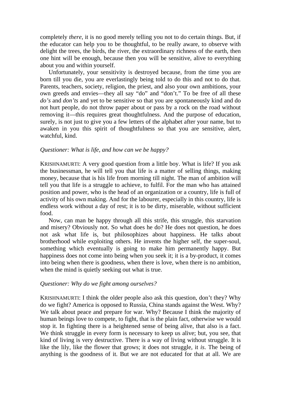completely *there*, it is no good merely telling you not to do certain things. But, if the educator can help you to be thoughtful, to be really aware, to observe with delight the trees, the birds, the river, the extraordinary richness of the earth, then one hint will be enough, because then you will be sensitive, alive to everything about you and within yourself.

Unfortunately, your sensitivity is destroyed because, from the time you are born till you die, you are everlastingly being told to do this and not to do that. Parents, teachers, society, religion, the priest, and also your own ambitions, your own greeds and envies—they all say "do" and "don't." To be free of all these *do's* and *don'ts* and yet to be sensitive so that you are spontaneously kind and do not hurt people, do not throw paper about or pass by a rock on the road without removing it—this requires great thoughtfulness. And the purpose of education, surely, is not just to give you a few letters of the alphabet after your name, but to awaken in you this spirit of thoughtfulness so that you are sensitive, alert, watchful, kind.

#### *Questioner: What is life, and how can we be happy?*

KRISHNAMURTI: A very good question from a little boy. What is life? If you ask the businessman, he will tell you that life is a matter of selling things, making money, because that is his life from morning till night. The man of ambition will tell you that life is a struggle to achieve, to fulfil. For the man who has attained position and power, who is the head of an organization or a country, life is full of activity of his own making. And for the labourer, especially in this country, life is endless work without a day of rest; it is to be dirty, miserable, without sufficient food.

Now, can man be happy through all this strife, this struggle, this starvation and misery? Obviously not. So what does he do? He does not question, he does not ask what life is, but philosophizes about happiness. He talks about brotherhood while exploiting others. He invents the higher self, the super-soul, something which eventually is going to make him permanently happy. But happiness does not come into being when you seek it; it is a by-product, it comes into being when there is goodness, when there is love, when there is no ambition, when the mind is quietly seeking out what is true.

### *Questioner: Why do we fight among ourselves?*

KRISHNAMURTI: I think the older people also ask this question, don't they? Why do we fight? America is opposed to Russia, China stands against the West. Why? We talk about peace and prepare for war. Why? Because I think the majority of human beings love to compete, to fight, that is the plain fact, otherwise we would stop it. In fighting there is a heightened sense of being alive, that also is a fact. We think struggle in every form is necessary to keep us alive; but, you see, that kind of living is very destructive. There is a way of living without struggle. It is like the lily, like the flower that grows; it does not struggle, it *is*. The being of anything is the goodness of it. But we are not educated for that at all. We are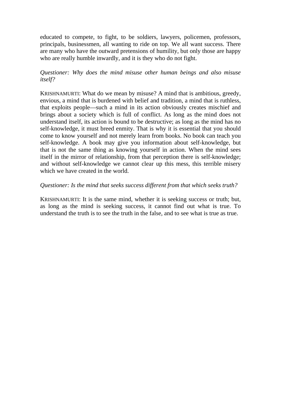educated to compete, to fight, to be soldiers, lawyers, policemen, professors, principals, businessmen, all wanting to ride on top. We all want success. There are many who have the outward pretensions of humility, but only those are happy who are really humble inwardly, and it is they who do not fight.

### *Questioner: Why does the mind misuse other human beings and also misuse itself?*

KRISHNAMURTI: What do we mean by misuse? A mind that is ambitious, greedy, envious, a mind that is burdened with belief and tradition, a mind that is ruthless, that exploits people—such a mind in its action obviously creates mischief and brings about a society which is full of conflict. As long as the mind does not understand itself, its action is bound to be destructive; as long as the mind has no self-knowledge, it must breed enmity. That is why it is essential that you should come to know yourself and not merely learn from books. No book can teach you self-knowledge. A book may give you information about self-knowledge, but that is not the same thing as knowing yourself in action. When the mind sees itself in the mirror of relationship, from that perception there is self-knowledge; and without self-knowledge we cannot clear up this mess, this terrible misery which we have created in the world.

### *Questioner: Is the mind that seeks success different from that which seeks truth?*

KRISHNAMURTI: It is the same mind, whether it is seeking success or truth; but, as long as the mind is seeking success, it cannot find out what is true. To understand the truth is to see the truth in the false, and to see what is true as true.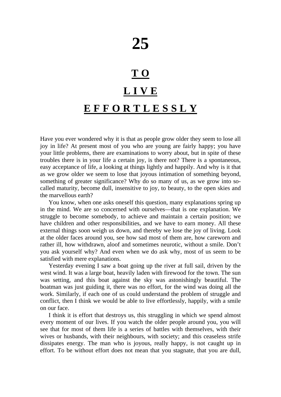# **25**

### **T O LIVE EFFORTLESSLY**

Have you ever wondered why it is that as people grow older they seem to lose all joy in life? At present most of you who are young are fairly happy; you have your little problems, there are examinations to worry about, but in spite of these troubles there is in your life a certain joy, is there not? There is a spontaneous, easy acceptance of life, a looking at things lightly and happily. And why is it that as we grow older we seem to lose that joyous intimation of something beyond, something of greater significance? Why do so many of us, as we grow into socalled maturity, become dull, insensitive to joy, to beauty, to the open skies and the marvellous earth?

You know, when one asks oneself this question, many explanations spring up in the mind. We are so concerned with ourselves—that is one explanation. We struggle to become somebody, to achieve and maintain a certain position; we have children and other responsibilities, and we have to earn money. All these external things soon weigh us down, and thereby we lose the joy of living. Look at the older faces around you, see how sad most of them are, how careworn and rather ill, how withdrawn, aloof and sometimes neurotic, without a smile. Don't you ask yourself why? And even when we do ask why, most of us seem to be satisfied with mere explanations.

Yesterday evening I saw a boat going up the river at full sail, driven by the west wind. It was a large boat, heavily laden with firewood for the town. The sun was setting, and this boat against the sky was astonishingly beautiful. The boatman was just guiding it, there was no effort, for the wind was doing all the work. Similarly, if each one of us could understand the problem of struggle and conflict, then I think we would be able to live effortlessly, happily, with a smile on our face.

I think it is effort that destroys us, this struggling in which we spend almost every moment of our lives. If you watch the older people around you, you will see that for most of them life is a series of battles with themselves, with their wives or husbands, with their neighbours, with society; and this ceaseless strife dissipates energy. The man who is joyous, really happy, is not caught up in effort. To be without effort does not mean that you stagnate, that you are dull,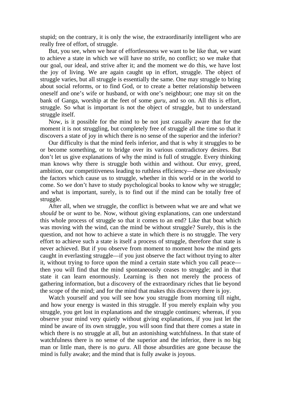stupid; on the contrary, it is only the wise, the extraordinarily intelligent who are really free of effort, of struggle.

But, you see, when we hear of effortlessness we want to be like that, we want to achieve a state in which we will have no strife, no conflict; so we make that our goal, our ideal, and strive after it; and the moment we do this, we have lost the joy of living. We are again caught up in effort, struggle. The object of struggle varies, but all struggle is essentially the same. One may struggle to bring about social reforms, or to find God, or to create a better relationship between oneself and one's wife or husband, or with one's neighbour; one may sit on the bank of Ganga, worship at the feet of some *guru*, and so on. All this is effort, struggle. So what is important is not the object of struggle, but to understand struggle itself.

Now, is it possible for the mind to be not just casually aware that for the moment it is not struggling, but completely free of struggle all the time so that it discovers a state of joy in which there is no sense of the superior and the inferior?

Our difficulty is that the mind feels inferior, and that is why it struggles to be or become something, or to bridge over its various contradictory desires. But don't let us give explanations of why the mind is full of struggle. Every thinking man knows why there is struggle both within and without. Our envy, greed, ambition, our competitiveness leading to ruthless efficiency—these are obviously the factors which cause us to struggle, whether in this world or in the world to come. So we don't have to study psychological books to know why we struggle; and what is important, surely, is to find out if the mind can be totally free of struggle.

After all, when we struggle, the conflict is between what we are and what we *should* be or *want* to be. Now, without giving explanations, can one understand this whole process of struggle so that it comes to an end? Like that boat which was moving with the wind, can the mind be without struggle? Surely, this is the question, and not how to achieve a state in which there is no struggle. The very effort to achieve such a state is itself a process of struggle, therefore that state is never achieved. But if you observe from moment to moment how the mind gets caught in everlasting struggle—if you just observe the fact without trying to alter it, without trying to force upon the mind a certain state which you call peace then you will find that the mind spontaneously ceases to struggle; and in that state it can learn enormously. Learning is then not merely the process of gathering information, but a discovery of the extraordinary riches that lie beyond the scope of the mind; and for the mind that makes this discovery there is joy.

Watch yourself and you will see how you struggle from morning till night, and how your energy is wasted in this struggle. If you merely explain why you struggle, you get lost in explanations and the struggle continues; whereas, if you observe your mind very quietly without giving explanations, if you just let the mind be aware of its own struggle, you will soon find that there comes a state in which there is no struggle at all, but an astonishing watchfulness. In that state of watchfulness there is no sense of the superior and the inferior, there is no big man or little man, there is no *guru*. All those absurdities are gone because the mind is fully awake; and the mind that is fully awake is joyous.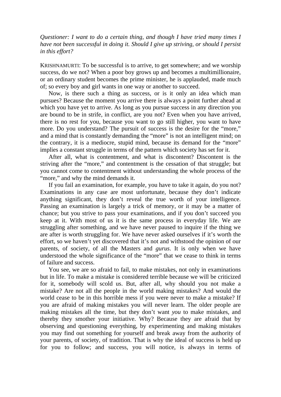### *Questioner: I want to do a certain thing, and though I have tried many times I have not been successful in doing it. Should I give up striving, or should I persist in this effort?*

KRISHNAMURTI: To be successful is to arrive, to get somewhere; and we worship success, do we not? When a poor boy grows up and becomes a multimillionaire, or an ordinary student becomes the prime minister, he is applauded, made much of; so every boy and girl wants in one way or another to succeed.

Now, is there such a thing as success, or is it only an idea which man pursues? Because the moment you arrive there is always a point further ahead at which you have yet to arrive. As long as you pursue success in any direction you are bound to be in strife, in conflict, are you not? Even when you have arrived, there is no rest for you, because you want to go still higher, you want to have more. Do you understand? The pursuit of success is the desire for the "more," and a mind that is constantly demanding the "more" is not an intelligent mind; on the contrary, it is a mediocre, stupid mind, because its demand for the "more" implies a constant struggle in terms of the pattern which society has set for it.

After all, what is contentment, and what is discontent? Discontent is the striving after the "more," and contentment is the cessation of that struggle; but you cannot come to contentment without understanding the whole process of the "more," and why the mind demands it.

If you fail an examination, for example, you have to take it again, do you not? Examinations in any case are most unfortunate, because they don't indicate anything significant, they don't reveal the true worth of your intelligence. Passing an examination is largely a trick of memory, or it may be a matter of chance; but you strive to pass your examinations, and if you don't succeed you keep at it. With most of us it is the same process in everyday life. We are struggling after something, and we have never paused to inquire if the thing we are after is worth struggling for. We have never asked ourselves if it's worth the effort, so we haven't yet discovered that it's not and withstood the opinion of our parents, of society, of all the Masters and *gurus*. It is only when we have understood the whole significance of the "more" that we cease to think in terms of failure and success.

You see, we are so afraid to fail, to make mistakes, not only in examinations but in life. To make a mistake is considered terrible because we will be criticized for it, somebody will scold us. But, after all, why should you not make a mistake? Are not all the people in the world making mistakes? And would the world cease to be in this horrible mess if you were never to make a mistake? If you are afraid of making mistakes you will never learn. The older people are making mistakes all the time, but they don't want *you* to make mistakes, and thereby they smother your initiative. Why? Because they are afraid that by observing and questioning everything, by experimenting and making mistakes you may find out something for yourself and break away from the authority of your parents, of society, of tradition. That is why the ideal of success is held up for you to follow; and success, you will notice, is always in terms of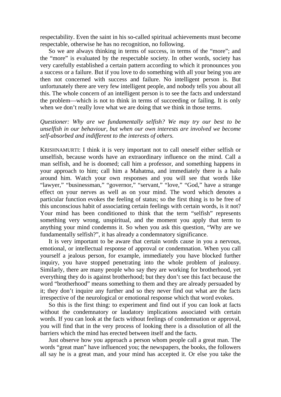respectability. Even the saint in his so-called spiritual achievements must become respectable, otherwise he has no recognition, no following.

So we are always thinking in terms of success, in terms of the "more"; and the "more" is evaluated by the respectable society. In other words, society has very carefully established a certain pattern according to which it pronounces you a success or a failure. But if you love to do something with all your being you are then not concerned with success and failure. No intelligent person is. But unfortunately there are very few intelligent people, and nobody tells you about all this. The whole concern of an intelligent person is to see the facts and understand the problem—which is not to think in terms of succeeding or failing. It is only when we don't really love what we are doing that we think in those terms.

*Questioner: Why are we fundamentally selfish? We may try our best to be unselfish in our behaviour, but when our own interests are involved we become self-absorbed and indifferent to the interests of others.* 

KRISHNAMURTI: I think it is very important not to call oneself either selfish or unselfish, because words have an extraordinary influence on the mind. Call a man selfish, and he is doomed; call him a professor, and something happens in your approach to him; call him a Mahatma, and immediately there is a halo around him. Watch your own responses and you will see that words like "lawyer," "businessman," "governor," "servant," "love," "God," have a strange effect on your nerves as well as on your mind. The word which denotes a particular function evokes the feeling of status; so the first thing is to be free of this unconscious habit of associating certain feelings with certain words, is it not? Your mind has been conditioned to think that the term "selfish" represents something very wrong, unspiritual, and the moment you apply that term to anything your mind condemns it. So when you ask this question, "Why are we fundamentally selfish?", it has already a condemnatory significance.

It is very important to be aware that certain words cause in you a nervous, emotional, or intellectual response of approval or condemnation. When you call yourself a jealous person, for example, immediately you have blocked further inquiry, you have stopped penetrating into the whole problem of jealousy. Similarly, there are many people who say they are working for brotherhood, yet everything they do is against brotherhood; but they don't see this fact because the word "brotherhood" means something to them and they are already persuaded by it; they don't inquire any further and so they never find out what are the facts irrespective of the neurological or emotional response which that word evokes.

So this is the first thing: to experiment and find out if you can look at facts without the condemnatory or laudatory implications associated with certain words. If you can look at the facts without feelings of condemnation or approval, you will find that in the very process of looking there is a dissolution of all the barriers which the mind has erected between itself and the facts.

Just observe how you approach a person whom people call a great man. The words "great man" have influenced you; the newspapers, the books, the followers all say he is a great man, and your mind has accepted it. Or else you take the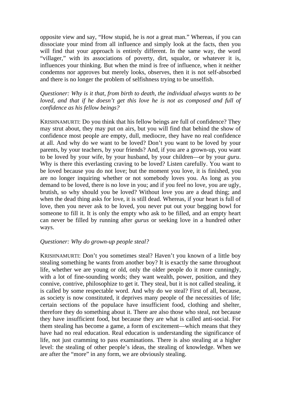opposite view and say, "How stupid, he is *not* a great man." Whereas, if you can dissociate your mind from all influence and simply look at the facts, then you will find that your approach is entirely different. In the same way, the word "villager," with its associations of poverty, dirt, squalor, or whatever it is, influences your thinking. But when the mind is free of influence, when it neither condemns nor approves but merely looks, observes, then it is not self-absorbed and there is no longer the problem of selfishness trying to be unselfish.

### *Questioner: Why is it that, from birth to death, the individual always wants to be loved, and that if he doesn't get this love he is not as composed and full of confidence as his fellow beings?*

KRISHNAMURTI: Do you think that his fellow beings are full of confidence? They may strut about, they may put on airs, but you will find that behind the show of confidence most people are empty, dull, mediocre, they have no real confidence at all. And why do we want to be loved? Don't you want to be loved by your parents, by your teachers, by your friends? And, if you are a grown-up, you want to be loved by your wife, by your husband, by your children—or by your *guru*. Why is there this everlasting craving to be loved? Listen carefully. You want to be loved because you do not love; but the moment you love, it is finished, you are no longer inquiring whether or not somebody loves you. As long as you demand to be loved, there is no love in you; and if you feel no love, you are ugly, brutish, so why should you be loved? Without love you are a dead thing; and when the dead thing asks for love, it is still dead. Whereas, if your heart is full of love, then you never ask to be loved, you never put out your begging bowl for someone to fill it. It is only the empty who ask to be filled, and an empty heart can never be filled by running after *gurus* or seeking love in a hundred other ways.

### *Questioner: Why do grown-up people steal?*

KRISHNAMURTI: Don't you sometimes steal? Haven't you known of a little boy stealing something he wants from another boy? It is exactly the same throughout life, whether we are young or old, only the older people do it more cunningly, with a lot of fine-sounding words; they want wealth, power, position, and they connive, contrive, philosophize to get it. They steal, but it is not called stealing, it is called by some respectable word. And why do we steal? First of all, because, as society is now constituted, it deprives many people of the necessities of life; certain sections of the populace have insufficient food, clothing and shelter, therefore they do something about it. There are also those who steal, not because they have insufficient food, but because they are what is called anti-social. For them stealing has become a game, a form of excitement—which means that they have had no real education. Real education is understanding the significance of life, not just cramming to pass examinations. There is also stealing at a higher level: the stealing of other people's ideas, the stealing of knowledge. When we are after the "more" in any form, we are obviously stealing.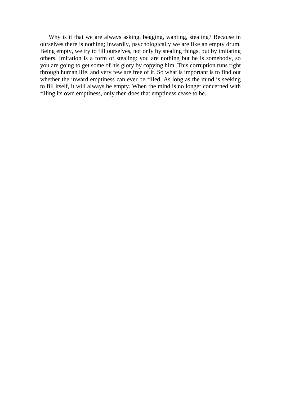Why is it that we are always asking, begging, wanting, stealing? Because in ourselves there is nothing; inwardly, psychologically we are like an empty drum. Being empty, we try to fill ourselves, not only by stealing things, but by imitating others. Imitation is a form of stealing: you are nothing but he is somebody, so you are going to get some of his glory by copying him. This corruption runs right through human life, and very few are free of it. So what is important is to find out whether the inward emptiness can ever be filled. As long as the mind is seeking to fill itself, it will always be empty. When the mind is no longer concerned with filling its own emptiness, only then does that emptiness cease to be.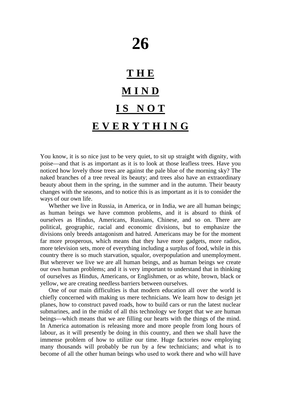# **26**

## **THE MIND IS NOT EVERYTHING**

You know, it is so nice just to be very quiet, to sit up straight with dignity, with poise—and that is as important as it is to look at those leafless trees. Have you noticed how lovely those trees are against the pale blue of the morning sky? The naked branches of a tree reveal its beauty; and trees also have an extraordinary beauty about them in the spring, in the summer and in the autumn. Their beauty changes with the seasons, and to notice this is as important as it is to consider the ways of our own life.

Whether we live in Russia, in America, or in India, we are all human beings; as human beings we have common problems, and it is absurd to think of ourselves as Hindus, Americans, Russians, Chinese, and so on. There are political, geographic, racial and economic divisions, but to emphasize the divisions only breeds antagonism and hatred. Americans may be for the moment far more prosperous, which means that they have more gadgets, more radios, more television sets, more of everything including a surplus of food, while in this country there is so much starvation, squalor, overpopulation and unemployment. But wherever we live we are all human beings, and as human beings we create our own human problems; and it is very important to understand that in thinking of ourselves as Hindus, Americans, or Englishmen, or as white, brown, black or yellow, we are creating needless barriers between ourselves.

One of our main difficulties is that modern education all over the world is chiefly concerned with making us mere technicians. We learn how to design jet planes, how to construct paved roads, how to build cars or run the latest nuclear submarines, and in the midst of all this technology we forget that we are human beings—which means that we are filling our hearts with the things of the mind. In America automation is releasing more and more people from long hours of labour, as it will presently be doing in this country, and then we shall have the immense problem of how to utilize our time. Huge factories now employing many thousands will probably be run by a few technicians; and what is to become of all the other human beings who used to work there and who will have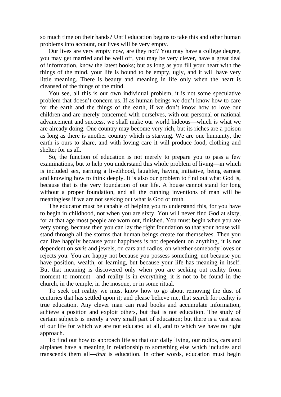so much time on their hands? Until education begins to take this and other human problems into account, our lives will be very empty.

Our lives are very empty now, are they not? You may have a college degree, you may get married and be well off, you may be very clever, have a great deal of information, know the latest books; but as long as you fill your heart with the things of the mind, your life is bound to be empty, ugly, and it will have very little meaning. There is beauty and meaning in life only when the heart is cleansed of the things of the mind.

You see, all this is our own individual problem, it is not some speculative problem that doesn't concern us. If as human beings we don't know how to care for the earth and the things of the earth, if we don't know how to love our children and are merely concerned with ourselves, with our personal or national advancement and success, we shall make our world hideous—which is what we are already doing. One country may become very rich, but its riches are a poison as long as there is another country which is starving. We are one humanity, the earth is ours to share, and with loving care it will produce food, clothing and shelter for us all.

So, the function of education is not merely to prepare you to pass a few examinations, but to help you understand this whole problem of living—in which is included sex, earning a livelihood, laughter, having initiative, being earnest and knowing how to think deeply. It is also our problem to find out what God is, because that is the very foundation of our life. A house cannot stand for long without a proper foundation, and all the cunning inventions of man will be meaningless if we are not seeking out what is God or truth.

The educator must be capable of helping you to understand this, for you have to begin in childhood, not when you are sixty. You will never find God at sixty, for at that age most people are worn out, finished. You must begin when you are very young, because then you can lay the right foundation so that your house will stand through all the storms that human beings create for themselves. Then you can live happily because your happiness is not dependent on anything, it is not dependent on *saris* and jewels, on cars and radios, on whether somebody loves or rejects you. You are happy not because you possess something, not because you have position, wealth, or learning, but because your life has meaning in itself. But that meaning is discovered only when you are seeking out reality from moment to moment—and reality is in everything, it is not to be found in the church, in the temple, in the mosque, or in some ritual.

To seek out reality we must know how to go about removing the dust of centuries that has settled upon it; and please believe me, that search for reality is true education. Any clever man can read books and accumulate information, achieve a position and exploit others, but that is not education. The study of certain subjects is merely a very small part of education; but there is a vast area of our life for which we are not educated at all, and to which we have no right approach.

To find out how to approach life so that our daily living, our radios, cars and airplanes have a meaning in relationship to something else which includes and transcends them all—*that* is education. In other words, education must begin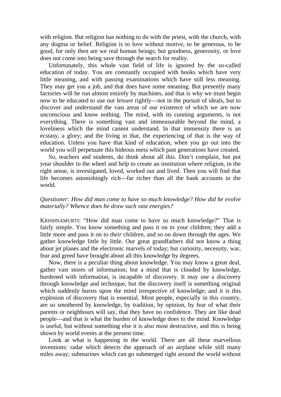with religion. But religion has nothing to do with the priest, with the church, with any dogma or belief. Religion is to love without motive, to be generous, to be good, for only then are we real human beings; but goodness, generosity, or love does not come into being save through the search for reality.

Unfortunately, this whole vast field of life is ignored by the so-called education of today. You are constantly occupied with books which have very little meaning, and with passing examinations which have still less meaning. They may get you a job, and that does have some meaning. But presently many factories will be run almost entirely by machines, and that is why we must begin now to be educated to use our leisure rightly—not in the pursuit of ideals, but to discover and understand the vast areas of our existence of which we are now unconscious and know nothing. The mind, with its cunning arguments, is not everything. There is something vast and immeasurable beyond the mind, a loveliness which the mind cannot understand. In that immensity there is an ecstasy, a glory; and the living in that, the experiencing of that is the way of education. Unless you have that kind of education, when you go out into the world you will perpetuate this hideous mess which past generations have created.

So, teachers and students, do think about all this. Don't complain, but put your shoulder to the wheel and help to create an institution where religion, in the right sense, is investigated, loved, worked out and lived. Then you will find that life becomes astonishingly rich—far richer than all the bank accounts in the world.

#### *Questioner: How did man come to have so much knowledge? How did he evolve materially? Whence does he draw such vast energies?*

KRISHNAMURTI: "How did man come to have so much knowledge?" That is fairly simple. You know something and pass it on to your children; they add a little more and pass it on to *their* children, and so on down through the ages. We gather knowledge little by little. Our great grandfathers did not know a thing about jet planes and the electronic marvels of today; but curiosity, necessity, war, fear and greed have brought about all this knowledge by degrees.

Now, there is a peculiar thing about knowledge. You may know a great deal, gather vast stores of information; but a mind that is clouded by knowledge, burdened with information, is incapable of discovery. It may use a discovery through knowledge and technique, but the discovery itself is something original which suddenly bursts upon the mind irrespective of knowledge; and it is this explosion of discovery that is essential. Most people, especially in this country, are so smothered by knowledge, by tradition, by opinion, by fear of what their parents or neighbours will say, that they have no confidence. They are like dead people—and that is what the burden of knowledge does to the mind. Knowledge is useful, but without something else it is also most destructive, and this is being shown by world events at the present time.

Look at what is happening in the world. There are all these marvellous inventions: radar which detects the approach of an airplane while still many miles away; submarines which can go submerged right around the world without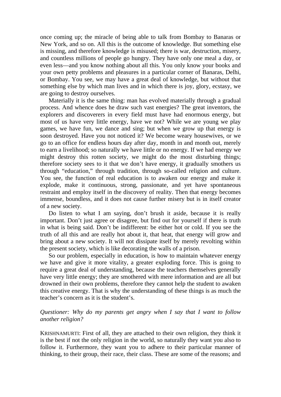once coming up; the miracle of being able to talk from Bombay to Banaras or New York, and so on. All this is the outcome of knowledge. But something else is missing, and therefore knowledge is misused; there is war, destruction, misery, and countless millions of people go hungry. They have only one meal a day, or even less—and you know nothing about all this. You only know your books and your own petty problems and pleasures in a particular corner of Banaras, Delhi, or Bombay. You see, we may have a great deal of knowledge, but without that something else by which man lives and in which there is joy, glory, ecstasy, we are going to destroy ourselves.

Materially it is the same thing: man has evolved materially through a gradual process. And whence does he draw such vast energies? The great inventors, the explorers and discoverers in every field must have had enormous energy, but most of us have very little energy, have we not? While we are young we play games, we have fun, we dance and sing; but when we grow up that energy is soon destroyed. Have you not noticed it? We become weary housewives, or we go to an office for endless hours day after day, month in and month out, merely to earn a livelihood; so naturally we have little or no energy. If we had energy we might destroy this rotten society, we might do the most disturbing things; therefore society sees to it that we don't have energy, it gradually smothers us through "education," through tradition, through so-called religion and culture. You see, the function of real education is to awaken our energy and make it explode, make it continuous, strong, passionate, and yet have spontaneous restraint and employ itself in the discovery of reality. Then that energy becomes immense, boundless, and it does not cause further misery but is in itself creator of a new society.

Do listen to what I am saying, don't brush it aside, because it is really important. Don't just agree or disagree, but find out for yourself if there is truth in what is being said. Don't be indifferent: be either hot or cold. If you see the truth of all this and are really hot about it, that heat, that energy will grow and bring about a new society. It will not dissipate itself by merely revolting within the present society, which is like decorating the walls of a prison.

So our problem, especially in education, is how to maintain whatever energy we have and give it more vitality, a greater exploding force. This is going to require a great deal of understanding, because the teachers themselves generally have very little energy; they are smothered with mere information and are all but drowned in their own problems, therefore they cannot help the student to awaken this creative energy. That is why the understanding of these things is as much the teacher's concern as it is the student's.

#### *Questioner: Why do my parents get angry when I say that I want to follow another religion?*

KRISHNAMURTI: First of all, they are attached to their own religion, they think it is the best if not the only religion in the world, so naturally they want you also to follow it. Furthermore, they want you to adhere to their particular manner of thinking, to their group, their race, their class. These are some of the reasons; and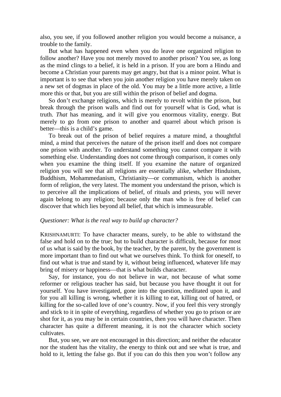also, you see, if you followed another religion you would become a nuisance, a trouble to the family.

But what has happened even when you do leave one organized religion to follow another? Have you not merely moved to another prison? You see, as long as the mind clings to a belief, it is held in a prison. If you are born a Hindu and become a Christian your parents may get angry, but that is a minor point. What is important is to see that when you join another religion you have merely taken on a new set of dogmas in place of the old. You may be a little more active, a little more this or that, but you are still within the prison of belief and dogma.

So don't exchange religions, which is merely to revolt within the prison, but break through the prison walls and find out for yourself what is God, what is truth. *That* has meaning, and it will give you enormous vitality, energy. But merely to go from one prison to another and quarrel about which prison is better—this is a child's game.

To break out of the prison of belief requires a mature mind, a thoughtful mind, a mind that perceives the nature of the prison itself and does not compare one prison with another. To understand something you cannot compare it with something else. Understanding does not come through comparison, it comes only when you examine the thing itself. If you examine the nature of organized religion you will see that all religions are essentially alike, whether Hinduism, Buddhism, Mohammedanism, Christianity—or communism, which is another form of religion, the very latest. The moment you understand the prison, which is to perceive all the implications of belief, of rituals and priests, you will never again belong to any religion; because only the man who is free of belief can discover that which lies beyond all belief, that which is immeasurable.

#### *Questioner: What is the real way to build up character?*

KRISHNAMURTI: To have character means, surely, to be able to withstand the false and hold on to the true; but to build character is difficult, because for most of us what is said by the book, by the teacher, by the parent, by the government is more important than to find out what we ourselves think. To think for oneself, to find out what is true and stand by it, without being influenced, whatever life may bring of misery or happiness—that is what builds character.

Say, for instance, you do not believe in war, not because of what some reformer or religious teacher has said, but because you have thought it out for yourself. You have investigated, gone into the question, meditated upon it, and for you all killing is wrong, whether it is killing to eat, killing out of hatred, or killing for the so-called love of one's country. Now, if you feel this very strongly and stick to it in spite of everything, regardless of whether you go to prison or are shot for it, as you may be in certain countries, then you will have character. Then character has quite a different meaning, it is not the character which society cultivates.

But, you see, we are not encouraged in this direction; and neither the educator nor the student has the vitality, the energy to think out and see what is true, and hold to it, letting the false go. But if you can do this then you won't follow any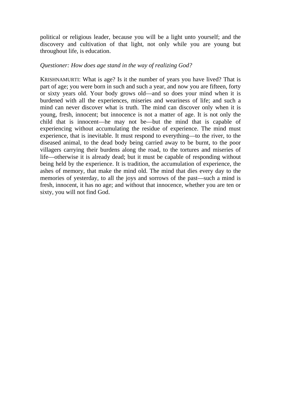political or religious leader, because you will be a light unto yourself; and the discovery and cultivation of that light, not only while you are young but throughout life, is education.

#### *Questioner: How does age stand in the way of realizing God?*

KRISHNAMURTI: What is age? Is it the number of years you have lived? That is part of age; you were born in such and such a year, and now you are fifteen, forty or sixty years old. Your body grows old—and so does your mind when it is burdened with all the experiences, miseries and weariness of life; and such a mind can never discover what is truth. The mind can discover only when it is young, fresh, innocent; but innocence is not a matter of age. It is not only the child that is innocent—he may not be—but the mind that is capable of experiencing without accumulating the residue of experience. The mind must experience, that is inevitable. It must respond to everything—to the river, to the diseased animal, to the dead body being carried away to be burnt, to the poor villagers carrying their burdens along the road, to the tortures and miseries of life—otherwise it is already dead; but it must be capable of responding without being held by the experience. It is tradition, the accumulation of experience, the ashes of memory, that make the mind old. The mind that dies every day to the memories of yesterday, to all the joys and sorrows of the past—such a mind is fresh, innocent, it has no age; and without that innocence, whether you are ten or sixty, you will not find God.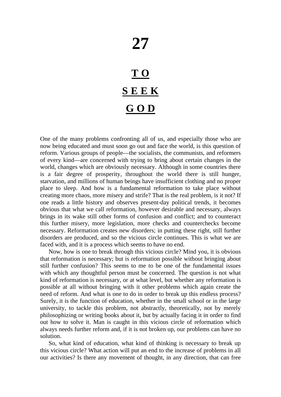## **27**

### **T O SEEK GOD**

One of the many problems confronting all of us, and especially those who are now being educated and must soon go out and face the world, is this question of reform. Various groups of people—the socialists, the communists, and reformers of every kind—are concerned with trying to bring about certain changes in the world, changes which are obviously necessary. Although in some countries there is a fair degree of prosperity, throughout the world there is still hunger, starvation, and millions of human beings have insufficient clothing and no proper place to sleep. And how is a fundamental reformation to take place without creating more chaos, more misery and strife? That is the real problem, is it not? If one reads a little history and observes present-day political trends, it becomes obvious that what we call reformation, however desirable and necessary, always brings in its wake still other forms of confusion and conflict; and to counteract this further misery, more legislation, more checks and counterchecks become necessary. Reformation creates new disorders; in putting these right, still further disorders are produced, and so the vicious circle continues. This is what we are faced with, and it is a process which seems to have no end.

Now, how is one to break through this vicious circle? Mind you, it is obvious that reformation is necessary; but is reformation possible without bringing about still further confusion? This seems to me to be one of the fundamental issues with which any thoughtful person must be concerned. The question is not what kind of reformation is necessary, or at what level, but whether any reformation is possible at all without bringing with it other problems which again create the need of reform. And what is one to do in order to break up this endless process? Surely, it is the function of education, whether in the small school or in the large university, to tackle this problem, not abstractly, theoretically, not by merely philosophizing or writing books about it, but by actually facing it in order to find out how to solve it. Man is caught in this vicious circle of reformation which always needs further reform and, if it is not broken up, our problems can have no solution.

So, what kind of education, what kind of thinking is necessary to break up this vicious circle? What action will put an end to the increase of problems in all our activities? Is there any movement of thought, in any direction, that can free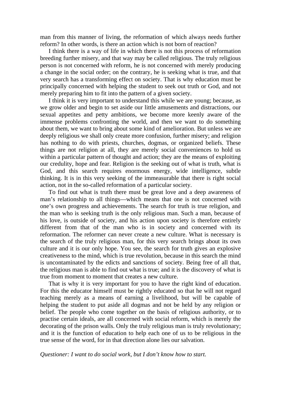man from this manner of living, the reformation of which always needs further reform? In other words, is there an action which is not born of reaction?

I think there is a way of life in which there is not this process of reformation breeding further misery, and that way may be called religious. The truly religious person is not concerned with reform, he is not concerned with merely producing a change in the social order; on the contrary, he is seeking what is true, and that very search has a transforming effect on society. That is why education must be principally concerned with helping the student to seek out truth or God, and not merely preparing him to fit into the pattern of a given society.

I think it is very important to understand this while we are young; because, as we grow older and begin to set aside our little amusements and distractions, our sexual appetites and petty ambitions, we become more keenly aware of the immense problems confronting the world, and then we want to do something about them, we want to bring about some kind of amelioration. But unless we are deeply religious we shall only create more confusion, further misery; and religion has nothing to do with priests, churches, dogmas, or organized beliefs. These things are not religion at all, they are merely social conveniences to hold us within a particular pattern of thought and action; they are the means of exploiting our credulity, hope and fear. Religion is the seeking out of what is truth, what is God, and this search requires enormous energy, wide intelligence, subtle thinking. It is in this very seeking of the immeasurable that there is right social action, not in the so-called reformation of a particular society.

To find out what is truth there must be great love and a deep awareness of man's relationship to all things—which means that one is not concerned with one's own progress and achievements. The search for truth is true religion, and the man who is seeking truth is the only religious man. Such a man, because of his love, is outside of society, and his action upon society is therefore entirely different from that of the man who is in society and concerned with its reformation. The reformer can never create a new culture. What is necessary is the search of the truly religious man, for this very search brings about its own culture and it is our only hope. You see, the search for truth gives an explosive creativeness to the mind, which is true revolution, because in this search the mind is uncontaminated by the edicts and sanctions of society. Being free of all that, the religious man is able to find out what is true; and it is the discovery of what is true from moment to moment that creates a new culture.

That is why it is very important for you to have the right kind of education. For this the educator himself must be rightly educated so that he will not regard teaching merely as a means of earning a livelihood, but will be capable of helping the student to put aside all dogmas and not be held by any religion or belief. The people who come together on the basis of religious authority, or to practise certain ideals, are all concerned with social reform, which is merely the decorating of the prison walls. Only the truly religious man is truly revolutionary; and it is the function of education to help each one of us to be religious in the true sense of the word, for in that direction alone lies our salvation.

*Questioner: I want to do social work, but I don't know how to start.*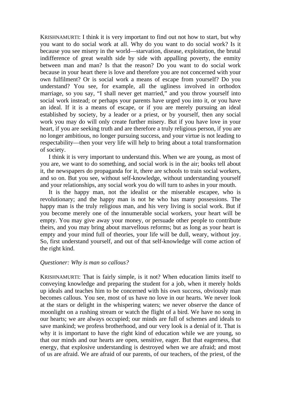KRISHNAMURTI: I think it is very important to find out not how to start, but why you want to do social work at all. Why do you want to do social work? Is it because you see misery in the world—starvation, disease, exploitation, the brutal indifference of great wealth side by side with appalling poverty, the enmity between man and man? Is that the reason? Do you want to do social work because in your heart there is love and therefore you are not concerned with your own fulfilment? Or is social work a means of escape from yourself? Do you understand? You see, for example, all the ugliness involved in orthodox marriage, so you say, "I shall never get married," and you throw yourself into social work instead; or perhaps your parents have urged you into it, or you have an ideal. If it is a means of escape, or if you are merely pursuing an ideal established by society, by a leader or a priest, or by yourself, then any social work you may do will only create further misery. But if you have love in your heart, if you are seeking truth and are therefore a truly religious person, if you are no longer ambitious, no longer pursuing success, and your virtue is not leading to respectability—then your very life will help to bring about a total transformation of society.

I think it is very important to understand this. When we are young, as most of you are, we want to do something, and social work is in the air; books tell about it, the newspapers do propaganda for it, there are schools to train social workers, and so on. But you see, without self-knowledge, without understanding yourself and your relationships, any social work you do will turn to ashes in your mouth.

It is the happy man, not the idealist or the miserable escapee, who is revolutionary; and the happy man is not he who has many possessions. The happy man is the truly religious man, and his very living is social work. But if you become merely one of the innumerable social workers, your heart will be empty. You may give away your money, or persuade other people to contribute theirs, and you may bring about marvellous reforms; but as long as your heart is empty and your mind full of theories, your life will be dull, weary, without joy. So, first understand yourself, and out of that self-knowledge will come action of the right kind.

#### *Questioner: Why is man so callous?*

KRISHNAMURTI: That is fairly simple, is it not? When education limits itself to conveying knowledge and preparing the student for a job, when it merely holds up ideals and teaches him to be concerned with his own success, obviously man becomes callous. You see, most of us have no love in our hearts. We never look at the stars or delight in the whispering waters; we never observe the dance of moonlight on a rushing stream or watch the flight of a bird. We have no song in our hearts; we are always occupied; our minds are full of schemes and ideals to save mankind; we profess brotherhood, and our very look is a denial of it. That is why it is important to have the right kind of education while we are young, so that our minds and our hearts are open, sensitive, eager. But that eagerness, that energy, that explosive understanding is destroyed when we are afraid; and most of us are afraid. We are afraid of our parents, of our teachers, of the priest, of the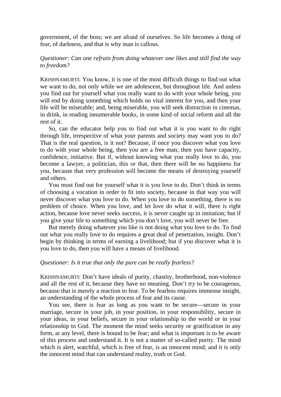government, of the boss; we are afraid of ourselves. So life becomes a thing of fear, of darkness, and that is why man is callous.

#### *Questioner: Can one refrain from doing whatever one likes and still find the way to freedom?*

KRISHNAMURTI: You know, it is one of the most difficult things to find out what we want to do, not only while we are adolescent, but throughout life. And unless you find out for yourself what you really want to do with your whole being, you will end by doing something which holds no vital interest for you, and then your life will be miserable; and, being miserable, you will seek distraction in cinemas, in drink, in reading innumerable books, in some kind of social reform and all the rest of it.

So, can the educator help you to find out what it is you want to do right through life, irrespective of what your parents and society may want you to do? That is the real question, is it not? Because, if once you discover what you love to do with your whole being, then you are a free man; then you have capacity, confidence, initiative. But if, without knowing what you really love to do, you become a lawyer, a politician, this or that, then there will be no happiness for you, because that very profession will become the means of destroying yourself and others.

You must find out for yourself what it is you love to do. Don't think in terms of choosing a vocation in order to fit into society, because in that way you will never discover what you love to do. When you love to do something, there is no problem of choice. When you love, and let love do what it will, there is right action, because love never seeks success, it is never caught up in imitation; but if you give your life to something which you don't love, you will never be free.

But merely doing whatever you like is not doing what you love to do. To find out what you really love to do requires a great deal of penetration, insight. Don't begin by thinking in terms of earning a livelihood; but if you discover what it is you love to do, then you will have a means of livelihood.

#### *Questioner: Is it true that only the pure can be really fearless?*

KRISHNAMURTI: Don't have ideals of purity, chastity, brotherhood, non-violence and all the rest of it, because they have no meaning. Don't *try* to be courageous, because that is merely a reaction to fear. To be fearless requires immense insight, an understanding of the whole process of fear and its cause.

You see, there is fear as long as you want to be secure—secure in your marriage, secure in your job, in your position, in your responsibility, secure in your ideas, in your beliefs, secure in your relationship to the world or in your relationship to God. The moment the mind seeks security or gratification in any form, at any level, there is bound to be fear; and what is important is to be aware of this process and understand it. It is not a matter of so-called purity. The mind which is alert, watchful, which is free of fear, is an innocent mind; and it is only the innocent mind that can understand reality, truth or God.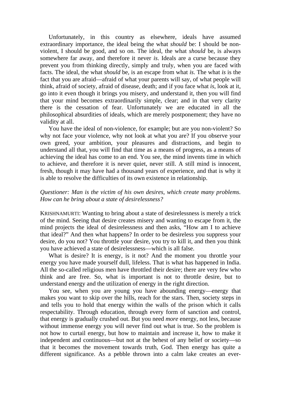Unfortunately, in this country as elsewhere, ideals have assumed extraordinary importance, the ideal being the what *should* be: I should be nonviolent, I should be good, and so on. The ideal, the what *should* be, is always somewhere far away, and therefore it never *is*. Ideals are a curse because they prevent you from thinking directly, simply and truly, when you are faced with facts. The ideal, the what *should* be, is an escape from what *is*. The what *is* is the fact that you are afraid—afraid of what your parents will say, of what people will think, afraid of society, afraid of disease, death; and if you face what *is*, look at it, go into it even though it brings you misery, and understand it, then you will find that your mind becomes extraordinarily simple, clear; and in that very clarity there is the cessation of fear. Unfortunately we are educated in all the philosophical absurdities of ideals, which are merely postponement; they have no validity at all.

You have the ideal of non-violence, for example; but are you non-violent? So why not face your violence, why not look at what you are? If you observe your own greed, your ambition, your pleasures and distractions, and begin to understand all that, you will find that time as a means of progress, as a means of achieving the ideal has come to an end. You see, the mind invents time in which to achieve, and therefore it is never quiet, never still. A still mind is innocent, fresh, though it may have had a thousand years of experience, and that is why it is able to resolve the difficulties of its own existence in relationship.

#### *Questioner: Man is the victim of his own desires, which create many problems. How can he bring about a state of desirelessness?*

KRISHNAMURTI: Wanting to bring about a state of desirelessness is merely a trick of the mind. Seeing that desire creates misery and wanting to escape from it, the mind projects the ideal of desirelessness and then asks, "How am I to achieve that ideal?" And then what happens? In order to be desireless you suppress your desire, do you not? You throttle your desire, you try to kill it, and then you think you have achieved a state of desirelessness—which is all false.

What is desire? It is energy, is it not? And the moment you throttle your energy you have made yourself dull, lifeless. That is what has happened in India. All the so-called religious men have throttled their desire; there are very few who think and are free. So, what is important is not to throttle desire, but to understand energy and the utilization of energy in the right direction.

You see, when you are young you have abounding energy—energy that makes you want to skip over the hills, reach for the stars. Then, society steps in and tells you to hold that energy within the walls of the prison which it calls respectability. Through education, through every form of sanction and control, that energy is gradually crushed out. But you need *more* energy, not less, because without immense energy you will never find out what is true. So the problem is not how to curtail energy, but how to maintain and increase it, how to make it independent and continuous—but not at the behest of any belief or society—so that it becomes the movement towards truth, God. Then energy has quite a different significance. As a pebble thrown into a calm lake creates an ever-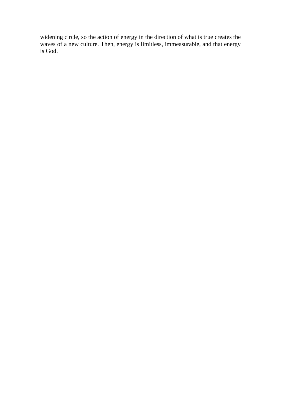widening circle, so the action of energy in the direction of what is true creates the waves of a new culture. Then, energy is limitless, immeasurable, and that energy is God.